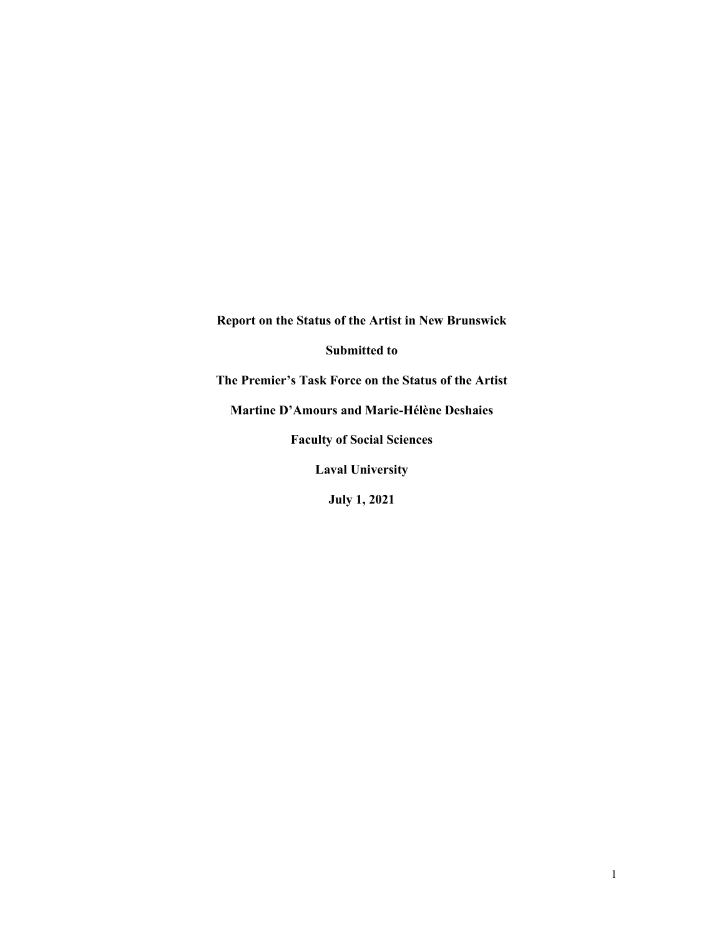**Report on the Status of the Artist in New Brunswick**

**Submitted to**

**The Premier's Task Force on the Status of the Artist**

**Martine D'Amours and Marie-Hélène Deshaies**

**Faculty of Social Sciences**

**Laval University**

**July 1, 2021**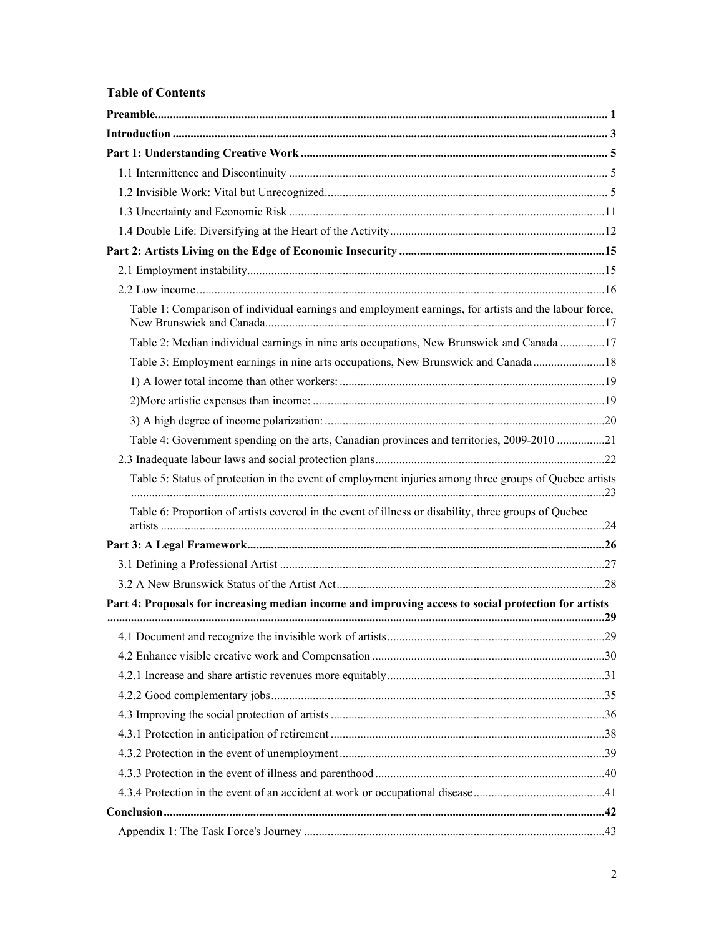# **Table of Contents**

| Table 1: Comparison of individual earnings and employment earnings, for artists and the labour force,  |  |
|--------------------------------------------------------------------------------------------------------|--|
| Table 2: Median individual earnings in nine arts occupations, New Brunswick and Canada 17              |  |
| Table 3: Employment earnings in nine arts occupations, New Brunswick and Canada 18                     |  |
|                                                                                                        |  |
|                                                                                                        |  |
|                                                                                                        |  |
| Table 4: Government spending on the arts, Canadian provinces and territories, 2009-2010 21             |  |
|                                                                                                        |  |
| Table 5: Status of protection in the event of employment injuries among three groups of Quebec artists |  |
| Table 6: Proportion of artists covered in the event of illness or disability, three groups of Quebec   |  |
|                                                                                                        |  |
|                                                                                                        |  |
|                                                                                                        |  |
| Part 4: Proposals for increasing median income and improving access to social protection for artists   |  |
|                                                                                                        |  |
|                                                                                                        |  |
|                                                                                                        |  |
|                                                                                                        |  |
|                                                                                                        |  |
|                                                                                                        |  |
|                                                                                                        |  |
|                                                                                                        |  |
|                                                                                                        |  |
|                                                                                                        |  |
|                                                                                                        |  |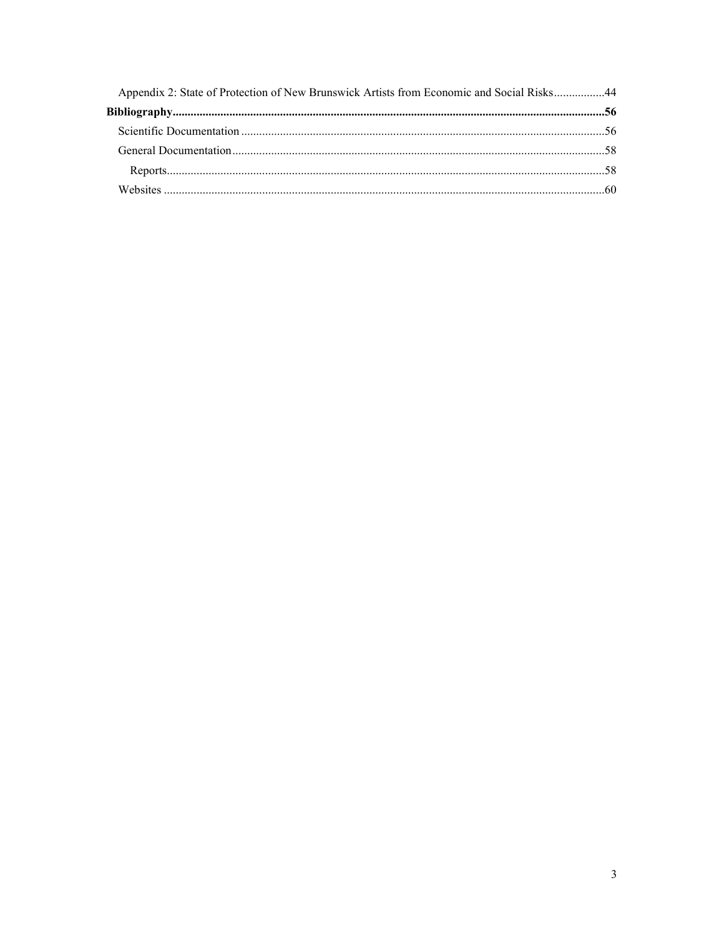| Appendix 2: State of Protection of New Brunswick Artists from Economic and Social Risks44 |  |
|-------------------------------------------------------------------------------------------|--|
|                                                                                           |  |
|                                                                                           |  |
|                                                                                           |  |
|                                                                                           |  |
|                                                                                           |  |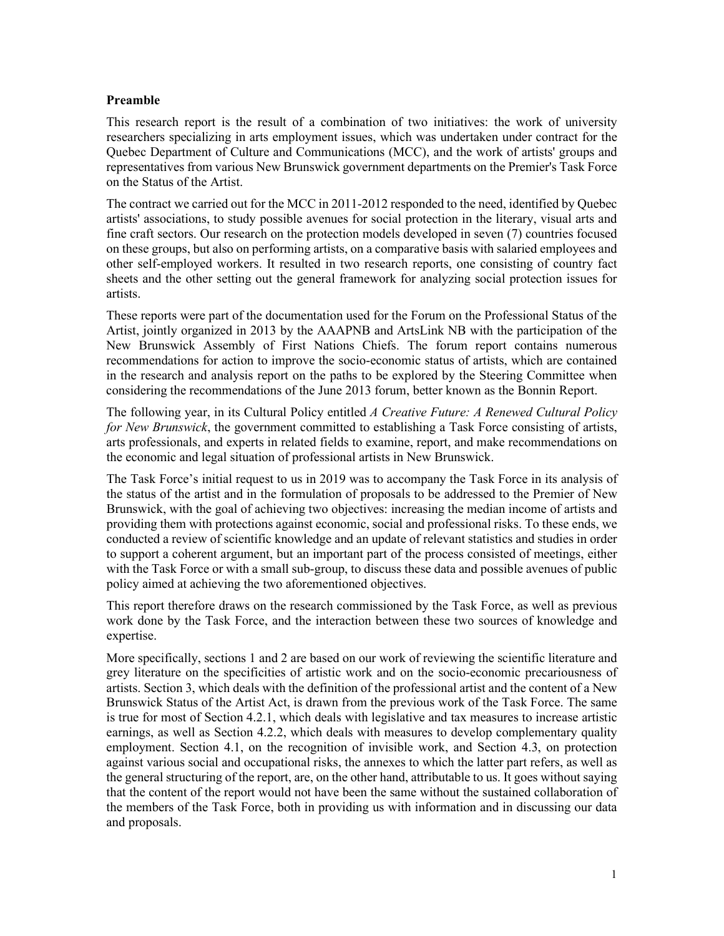## <span id="page-3-0"></span>**Preamble**

This research report is the result of a combination of two initiatives: the work of university researchers specializing in arts employment issues, which was undertaken under contract for the Quebec Department of Culture and Communications (MCC), and the work of artists' groups and representatives from various New Brunswick government departments on the Premier's Task Force on the Status of the Artist.

The contract we carried out for the MCC in 2011-2012 responded to the need, identified by Quebec artists' associations, to study possible avenues for social protection in the literary, visual arts and fine craft sectors. Our research on the protection models developed in seven (7) countries focused on these groups, but also on performing artists, on a comparative basis with salaried employees and other self-employed workers. It resulted in two research reports, one consisting of country fact sheets and the other setting out the general framework for analyzing social protection issues for artists.

These reports were part of the documentation used for the Forum on the Professional Status of the Artist, jointly organized in 2013 by the AAAPNB and ArtsLink NB with the participation of the New Brunswick Assembly of First Nations Chiefs. The forum report contains numerous recommendations for action to improve the socio-economic status of artists, which are contained in the research and analysis report on the paths to be explored by the Steering Committee when considering the recommendations of the June 2013 forum, better known as the Bonnin Report.

The following year, in its Cultural Policy entitled *A Creative Future: A Renewed Cultural Policy for New Brunswick*, the government committed to establishing a Task Force consisting of artists, arts professionals, and experts in related fields to examine, report, and make recommendations on the economic and legal situation of professional artists in New Brunswick.

The Task Force's initial request to us in 2019 was to accompany the Task Force in its analysis of the status of the artist and in the formulation of proposals to be addressed to the Premier of New Brunswick, with the goal of achieving two objectives: increasing the median income of artists and providing them with protections against economic, social and professional risks. To these ends, we conducted a review of scientific knowledge and an update of relevant statistics and studies in order to support a coherent argument, but an important part of the process consisted of meetings, either with the Task Force or with a small sub-group, to discuss these data and possible avenues of public policy aimed at achieving the two aforementioned objectives.

This report therefore draws on the research commissioned by the Task Force, as well as previous work done by the Task Force, and the interaction between these two sources of knowledge and expertise.

More specifically, sections 1 and 2 are based on our work of reviewing the scientific literature and grey literature on the specificities of artistic work and on the socio-economic precariousness of artists. Section 3, which deals with the definition of the professional artist and the content of a New Brunswick Status of the Artist Act, is drawn from the previous work of the Task Force. The same is true for most of Section 4.2.1, which deals with legislative and tax measures to increase artistic earnings, as well as Section 4.2.2, which deals with measures to develop complementary quality employment. Section 4.1, on the recognition of invisible work, and Section 4.3, on protection against various social and occupational risks, the annexes to which the latter part refers, as well as the general structuring of the report, are, on the other hand, attributable to us. It goes without saying that the content of the report would not have been the same without the sustained collaboration of the members of the Task Force, both in providing us with information and in discussing our data and proposals.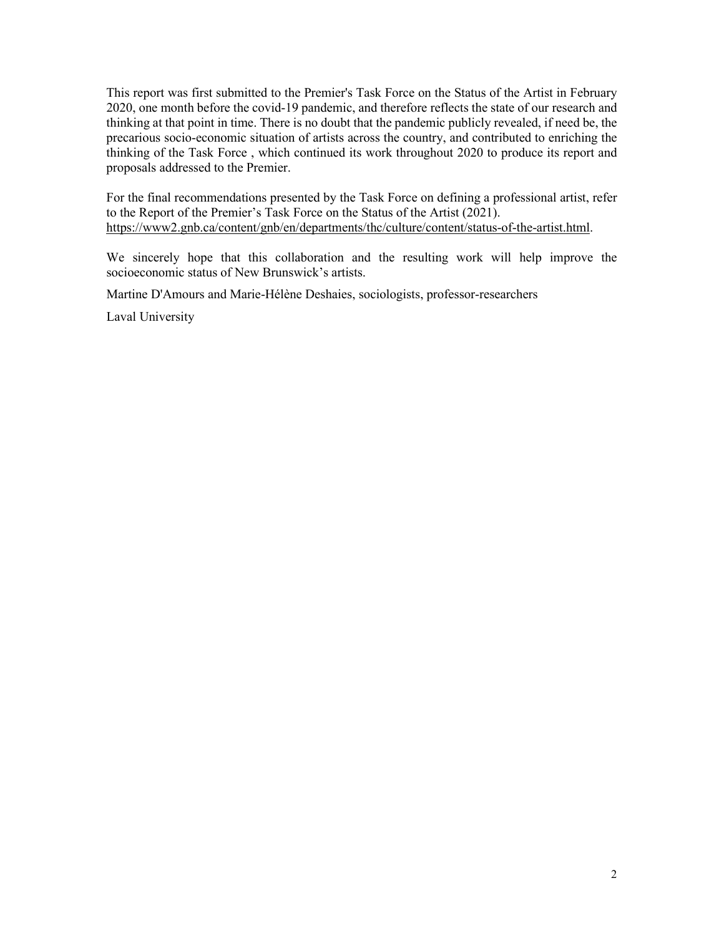This report was first submitted to the Premier's Task Force on the Status of the Artist in February 2020, one month before the covid-19 pandemic, and therefore reflects the state of our research and thinking at that point in time. There is no doubt that the pandemic publicly revealed, if need be, the precarious socio-economic situation of artists across the country, and contributed to enriching the thinking of the Task Force , which continued its work throughout 2020 to produce its report and proposals addressed to the Premier.

For the final recommendations presented by the Task Force on defining a professional artist, refer to the Report of the Premier's Task Force on the Status of the Artist (2021). [https://www2.gnb.ca/content/gnb/en/departments/thc/culture/content/status-of-the-artist.html.](https://www2.gnb.ca/content/gnb/en/departments/thc/culture/content/statusoftheartist.html)

We sincerely hope that this collaboration and the resulting work will help improve the socioeconomic status of New Brunswick's artists.

Martine D'Amours and Marie-Hélène Deshaies, sociologists, professor-researchers

Laval University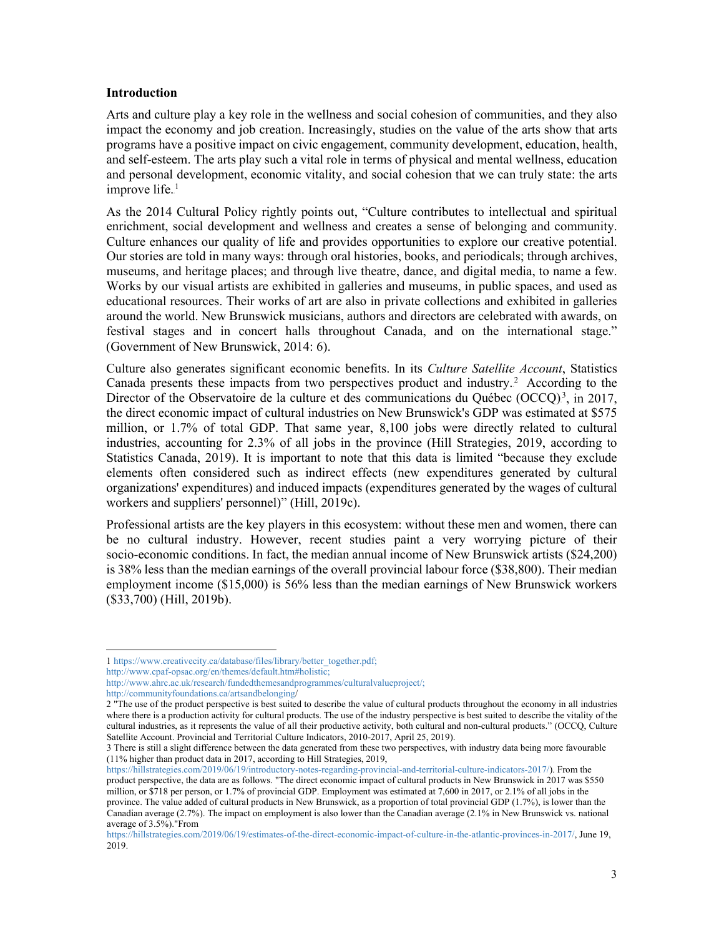#### <span id="page-5-0"></span>**Introduction**

Arts and culture play a key role in the wellness and social cohesion of communities, and they also impact the economy and job creation. Increasingly, studies on the value of the arts show that arts programs have a positive impact on civic engagement, community development, education, health, and self-esteem. The arts play such a vital role in terms of physical and mental wellness, education and personal development, economic vitality, and social cohesion that we can truly state: the arts improve life. $<sup>1</sup>$ </sup>

As the 2014 Cultural Policy rightly points out, "Culture contributes to intellectual and spiritual enrichment, social development and wellness and creates a sense of belonging and community. Culture enhances our quality of life and provides opportunities to explore our creative potential. Our stories are told in many ways: through oral histories, books, and periodicals; through archives, museums, and heritage places; and through live theatre, dance, and digital media, to name a few. Works by our visual artists are exhibited in galleries and museums, in public spaces, and used as educational resources. Their works of art are also in private collections and exhibited in galleries around the world. New Brunswick musicians, authors and directors are celebrated with awards, on festival stages and in concert halls throughout Canada, and on the international stage." (Government of New Brunswick, 2014: 6).

Culture also generates significant economic benefits. In its *Culture Satellite Account*, Statistics Canada presents these impacts from two perspectives product and industry. $2$  According to the Director of the Observatoire de la culture et des communications du Québec (OCCQ)<sup>3</sup>, in 2017, the direct economic impact of cultural industries on New Brunswick's GDP was estimated at \$575 million, or 1.7% of total GDP. That same year, 8,100 jobs were directly related to cultural industries, accounting for 2.3% of all jobs in the province (Hill Strategies, 2019, according to Statistics Canada, 2019). It is important to note that this data is limited "because they exclude elements often considered such as indirect effects (new expenditures generated by cultural organizations' expenditures) and induced impacts (expenditures generated by the wages of cultural workers and suppliers' personnel)" (Hill, 2019c).

Professional artists are the key players in this ecosystem: without these men and women, there can be no cultural industry. However, recent studies paint a very worrying picture of their socio-economic conditions. In fact, the median annual income of New Brunswick artists (\$24,200) is 38% less than the median earnings of the overall provincial labour force (\$38,800). Their median employment income (\$15,000) is 56% less than the median earnings of New Brunswick workers (\$33,700) (Hill, 2019b).

<sup>1</sup> [https://www.creativecity.ca/database/files/library/better\\_together.pdf;](https://www.creativecity.ca/database/files/library/better_together.pdf)

[http://www.cpaf-opsac.org/en/themes/default.htm#holistic;](http://www.cpaf-opsac.org/en/themes/default.htm#holistic)

[http://www.ahrc.ac.uk/research/fundedthemesandprogrammes/culturalvalueproject/;](http://www.ahrc.ac.uk/research/fundedthemesandprogrammes/culturalvalueproject/)

http://communityfoundations.ca/artsandbelonging/

<sup>2</sup> "The use of the product perspective is best suited to describe the value of cultural products throughout the economy in all industries where there is a production activity for cultural products. The use of the industry perspective is best suited to describe the vitality of the cultural industries, as it represents the value of all their productive activity, both cultural and non-cultural products." (OCCQ, Culture Satellite Account. Provincial and Territorial Culture Indicators, 2010-2017, April 25, 2019).

<sup>3</sup> There is still a slight difference between the data generated from these two perspectives, with industry data being more favourable (11% higher than product data in 2017, according to Hill Strategies, 2019,

https://hillstrategies.com/2019/06/19/introductory-notes-regarding-provincial-and-territorial-culture-indicators-2017/). From the product perspective, the data are as follows. "The direct economic impact of cultural products in New Brunswick in 2017 was \$550 million, or \$718 per person, or 1.7% of provincial GDP. Employment was estimated at 7,600 in 2017, or 2.1% of all jobs in the province. The value added of cultural products in New Brunswick, as a proportion of total provincial GDP (1.7%), is lower than the Canadian average (2.7%). The impact on employment is also lower than the Canadian average (2.1% in New Brunswick vs. national average of 3.5%)."From

https://hillstrategies.com/2019/06/19/estimates-of-the-direct-economic-impact-of-culture-in-the-atlantic-provinces-in-2017/, June 19, 2019.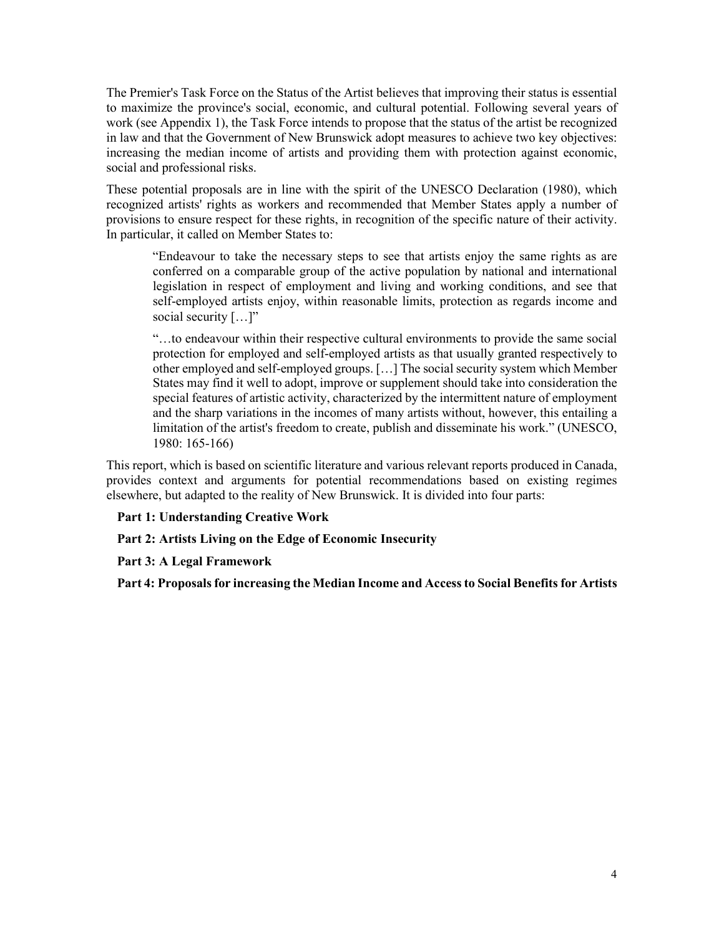The Premier's Task Force on the Status of the Artist believes that improving their status is essential to maximize the province's social, economic, and cultural potential. Following several years of work (see Appendix 1), the Task Force intends to propose that the status of the artist be recognized in law and that the Government of New Brunswick adopt measures to achieve two key objectives: increasing the median income of artists and providing them with protection against economic, social and professional risks.

These potential proposals are in line with the spirit of the UNESCO Declaration (1980), which recognized artists' rights as workers and recommended that Member States apply a number of provisions to ensure respect for these rights, in recognition of the specific nature of their activity. In particular, it called on Member States to:

"Endeavour to take the necessary steps to see that artists enjoy the same rights as are conferred on a comparable group of the active population by national and international legislation in respect of employment and living and working conditions, and see that self-employed artists enjoy, within reasonable limits, protection as regards income and social security [...]"

"…to endeavour within their respective cultural environments to provide the same social protection for employed and self-employed artists as that usually granted respectively to other employed and self-employed groups. […] The social security system which Member States may find it well to adopt, improve or supplement should take into consideration the special features of artistic activity, characterized by the intermittent nature of employment and the sharp variations in the incomes of many artists without, however, this entailing a limitation of the artist's freedom to create, publish and disseminate his work." (UNESCO, 1980: 165-166)

This report, which is based on scientific literature and various relevant reports produced in Canada, provides context and arguments for potential recommendations based on existing regimes elsewhere, but adapted to the reality of New Brunswick. It is divided into four parts:

**Part 1: Understanding Creative Work**

**Part 2: Artists Living on the Edge of Economic Insecurity**

**Part 3: A Legal Framework**

**Part 4: Proposalsfor increasing the Median Income and Accessto Social Benefitsfor Artists**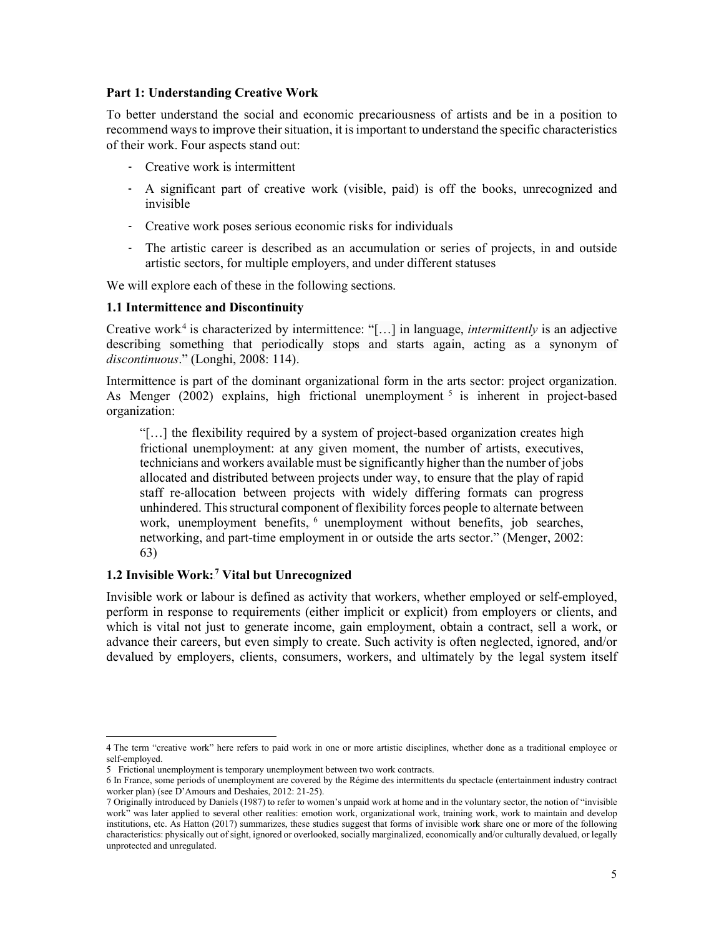#### <span id="page-7-0"></span>**Part 1: Understanding Creative Work**

To better understand the social and economic precariousness of artists and be in a position to recommend ways to improve their situation, it is important to understand the specific characteristics of their work. Four aspects stand out:

- Creative work is intermittent
- A significant part of creative work (visible, paid) is off the books, unrecognized and invisible
- Creative work poses serious economic risks for individuals
- The artistic career is described as an accumulation or series of projects, in and outside artistic sectors, for multiple employers, and under different statuses

We will explore each of these in the following sections.

#### <span id="page-7-1"></span>**1.1 Intermittence and Discontinuity**

Creative work<sup>4</sup> is characterized by intermittence: "[...] in language, *intermittently* is an adjective describing something that periodically stops and starts again, acting as a synonym of *discontinuous*." (Longhi, 2008: 114).

Intermittence is part of the dominant organizational form in the arts sector: project organization. As Menger (2002) explains, high frictional unemployment <sup>5</sup> is inherent in project-based organization:

"[…] the flexibility required by a system of project-based organization creates high frictional unemployment: at any given moment, the number of artists, executives, technicians and workers available must be significantly higher than the number of jobs allocated and distributed between projects under way, to ensure that the play of rapid staff re-allocation between projects with widely differing formats can progress unhindered. Thisstructural component of flexibility forces people to alternate between work, unemployment benefits, <sup>6</sup> unemployment without benefits, job searches, networking, and part-time employment in or outside the arts sector." (Menger, 2002: 63)

## <span id="page-7-2"></span>**1.2 Invisible Work:**6F **<sup>7</sup> Vital but Unrecognized**

Invisible work or labour is defined as activity that workers, whether employed or self-employed, perform in response to requirements (either implicit or explicit) from employers or clients, and which is vital not just to generate income, gain employment, obtain a contract, sell a work, or advance their careers, but even simply to create. Such activity is often neglected, ignored, and/or devalued by employers, clients, consumers, workers, and ultimately by the legal system itself

<sup>4</sup> The term "creative work" here refers to paid work in one or more artistic disciplines, whether done as a traditional employee or self-employed.

<sup>5</sup> Frictional unemployment is temporary unemployment between two work contracts.

<sup>6</sup> In France, some periods of unemployment are covered by the Régime des intermittents du spectacle (entertainment industry contract worker plan) (see D'Amours and Deshaies, 2012: 21-25).

<sup>7</sup> Originally introduced by Daniels (1987) to refer to women's unpaid work at home and in the voluntary sector, the notion of "invisible work" was later applied to several other realities: emotion work, organizational work, training work, work to maintain and develop institutions, etc. As Hatton (2017) summarizes, these studies suggest that forms of invisible work share one or more of the following characteristics: physically out of sight, ignored or overlooked, socially marginalized, economically and/or culturally devalued, or legally unprotected and unregulated.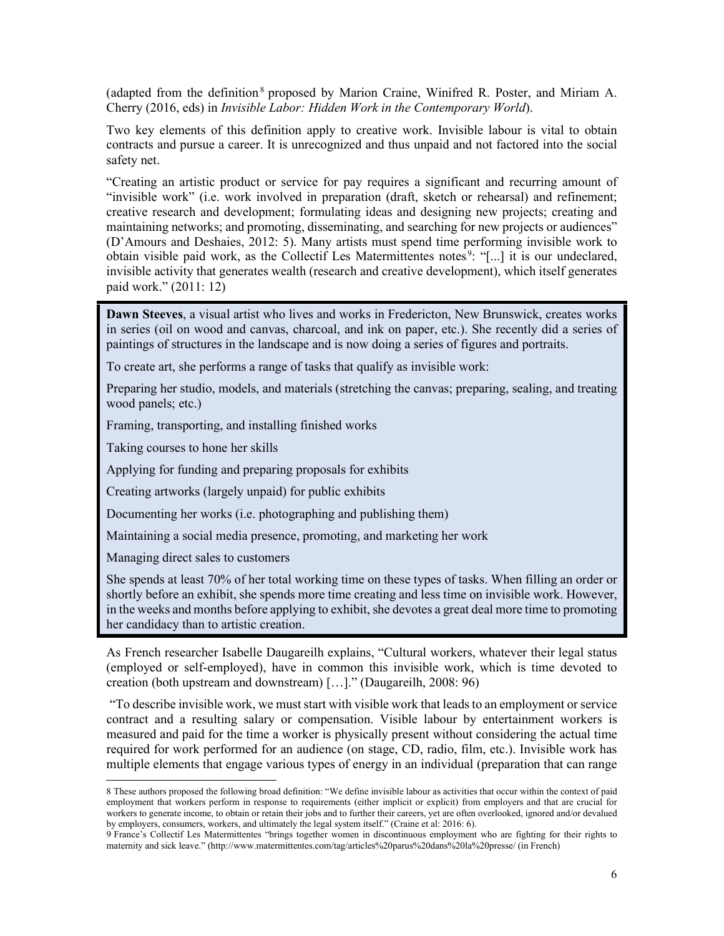(adapted from the definition<sup>8</sup> proposed by Marion Craine, Winifred R. Poster, and Miriam A. Cherry (2016, eds) in *Invisible Labor: Hidden Work in the Contemporary World*).

Two key elements of this definition apply to creative work. Invisible labour is vital to obtain contracts and pursue a career. It is unrecognized and thus unpaid and not factored into the social safety net.

"Creating an artistic product or service for pay requires a significant and recurring amount of "invisible work" (i.e. work involved in preparation (draft, sketch or rehearsal) and refinement; creative research and development; formulating ideas and designing new projects; creating and maintaining networks; and promoting, disseminating, and searching for new projects or audiences" (D'Amours and Deshaies, 2012: 5). Many artists must spend time performing invisible work to obtain visible paid work, as the Collectif Les Matermittentes notes<sup>9</sup>: "[...] it is our undeclared, invisible activity that generates wealth (research and creative development), which itself generates paid work." (2011: 12)

**Dawn Steeves**, a visual artist who lives and works in Fredericton, New Brunswick, creates works in series (oil on wood and canvas, charcoal, and ink on paper, etc.). She recently did a series of paintings of structures in the landscape and is now doing a series of figures and portraits.

To create art, she performs a range of tasks that qualify as invisible work:

Preparing her studio, models, and materials (stretching the canvas; preparing, sealing, and treating wood panels; etc.)

Framing, transporting, and installing finished works

Taking courses to hone her skills

Applying for funding and preparing proposals for exhibits

Creating artworks (largely unpaid) for public exhibits

Documenting her works (i.e. photographing and publishing them)

Maintaining a social media presence, promoting, and marketing her work

Managing direct sales to customers

She spends at least 70% of her total working time on these types of tasks. When filling an order or shortly before an exhibit, she spends more time creating and less time on invisible work. However, in the weeks and months before applying to exhibit, she devotes a great deal more time to promoting her candidacy than to artistic creation.

As French researcher Isabelle Daugareilh explains, "Cultural workers, whatever their legal status (employed or self-employed), have in common this invisible work, which is time devoted to creation (both upstream and downstream) […]." (Daugareilh, 2008: 96)

"To describe invisible work, we muststart with visible work that leadsto an employment or service contract and a resulting salary or compensation. Visible labour by entertainment workers is measured and paid for the time a worker is physically present without considering the actual time required for work performed for an audience (on stage, CD, radio, film, etc.). Invisible work has multiple elements that engage various types of energy in an individual (preparation that can range

<sup>8</sup> These authors proposed the following broad definition: "We define invisible labour as activities that occur within the context of paid employment that workers perform in response to requirements (either implicit or explicit) from employers and that are crucial for workers to generate income, to obtain or retain their jobs and to further their careers, yet are often overlooked, ignored and/or devalued by employers, consumers, workers, and ultimately the legal system itself." (Craine et al: 2016: 6).

<sup>9</sup> France's Collectif Les Matermittentes "brings together women in discontinuous employment who are fighting for their rights to maternity and sick leave." [\(http://www.matermittentes.com/tag/articles%20parus%20dans%20la%20presse/](http://www.matermittentes.com/tag/articles%2520parus%2520dans%2520la%2520presse/) (in French)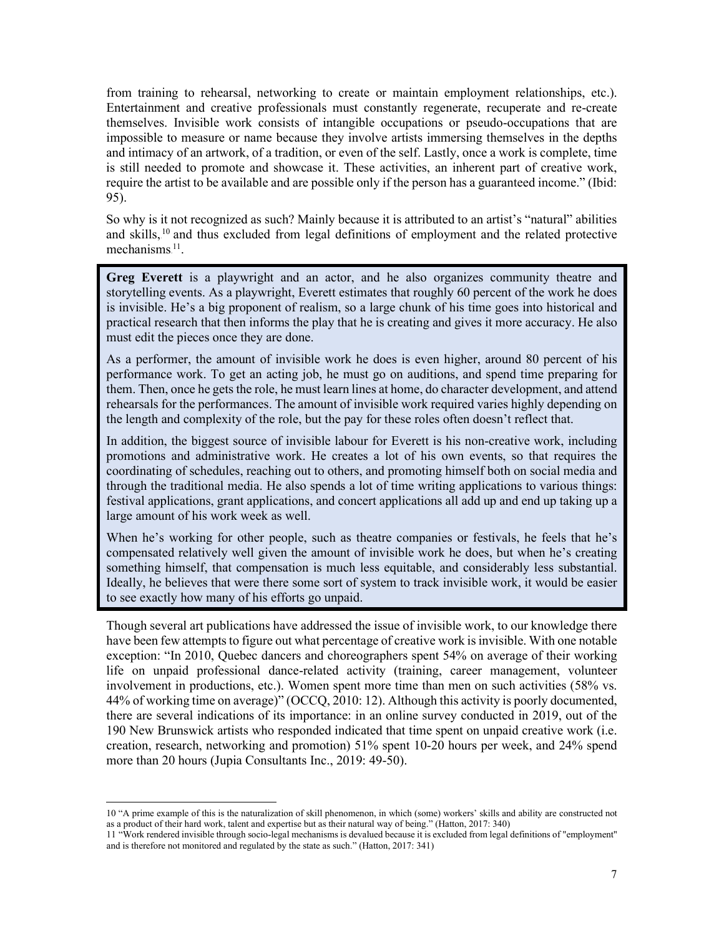from training to rehearsal, networking to create or maintain employment relationships, etc.). Entertainment and creative professionals must constantly regenerate, recuperate and re-create themselves. Invisible work consists of intangible occupations or pseudo-occupations that are impossible to measure or name because they involve artists immersing themselves in the depths and intimacy of an artwork, of a tradition, or even of the self. Lastly, once a work is complete, time is still needed to promote and showcase it. These activities, an inherent part of creative work, require the artist to be available and are possible only if the person has a guaranteed income." (Ibid: 95).

So why is it not recognized as such? Mainly because it is attributed to an artist's "natural" abilities and skills, <sup>10</sup> and thus excluded from legal definitions of employment and the related protective mechanisms.<sup>11</sup>.

**Greg Everett** is a playwright and an actor, and he also organizes community theatre and storytelling events. As a playwright, Everett estimates that roughly 60 percent of the work he does is invisible. He's a big proponent of realism, so a large chunk of his time goes into historical and practical research that then informs the play that he is creating and gives it more accuracy. He also must edit the pieces once they are done.

As a performer, the amount of invisible work he does is even higher, around 80 percent of his performance work. To get an acting job, he must go on auditions, and spend time preparing for them. Then, once he gets the role, he must learn lines at home, do character development, and attend rehearsals for the performances. The amount of invisible work required varies highly depending on the length and complexity of the role, but the pay for these roles often doesn't reflect that.

In addition, the biggest source of invisible labour for Everett is his non-creative work, including promotions and administrative work. He creates a lot of his own events, so that requires the coordinating of schedules, reaching out to others, and promoting himself both on social media and through the traditional media. He also spends a lot of time writing applications to various things: festival applications, grant applications, and concert applications all add up and end up taking up a large amount of his work week as well.

When he's working for other people, such as theatre companies or festivals, he feels that he's compensated relatively well given the amount of invisible work he does, but when he's creating something himself, that compensation is much less equitable, and considerably less substantial. Ideally, he believes that were there some sort of system to track invisible work, it would be easier to see exactly how many of his efforts go unpaid.

Though several art publications have addressed the issue of invisible work, to our knowledge there have been few attempts to figure out what percentage of creative work is invisible. With one notable exception: "In 2010, Quebec dancers and choreographers spent 54% on average of their working life on unpaid professional dance-related activity (training, career management, volunteer involvement in productions, etc.). Women spent more time than men on such activities (58% vs. 44% of working time on average)" (OCCQ, 2010: 12). Although this activity is poorly documented, there are several indications of its importance: in an online survey conducted in 2019, out of the 190 New Brunswick artists who responded indicated that time spent on unpaid creative work (i.e. creation, research, networking and promotion) 51% spent 10-20 hours per week, and 24% spend more than 20 hours (Jupia Consultants Inc., 2019: 49-50).

<sup>10</sup> "A prime example of this is the naturalization of skill phenomenon, in which (some) workers' skills and ability are constructed not as a product of their hard work, talent and expertise but as their natural way of being." (Hatton, 2017: 340)

<sup>11</sup> "Work rendered invisible through socio-legal mechanisms is devalued because it is excluded from legal definitions of "employment" and is therefore not monitored and regulated by the state as such." (Hatton, 2017: 341)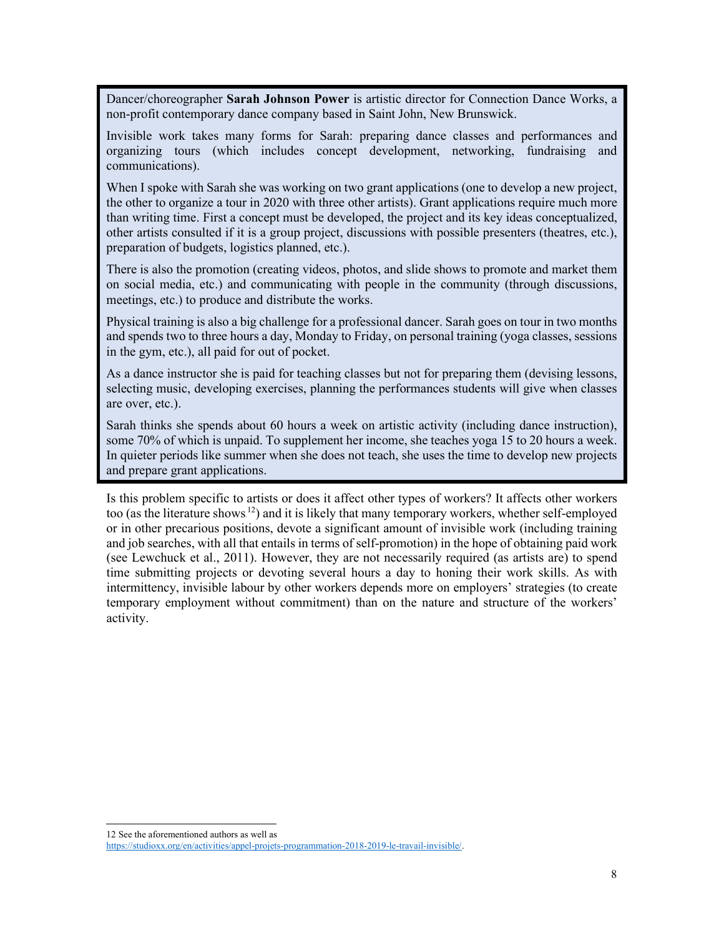Dancer/choreographer **Sarah Johnson Power** is artistic director for Connection Dance Works, a non-profit contemporary dance company based in Saint John, New Brunswick.

Invisible work takes many forms for Sarah: preparing dance classes and performances and organizing tours (which includes concept development, networking, fundraising and communications).

When I spoke with Sarah she was working on two grant applications (one to develop a new project, the other to organize a tour in 2020 with three other artists). Grant applications require much more than writing time. First a concept must be developed, the project and its key ideas conceptualized, other artists consulted if it is a group project, discussions with possible presenters (theatres, etc.), preparation of budgets, logistics planned, etc.).

There is also the promotion (creating videos, photos, and slide shows to promote and market them on social media, etc.) and communicating with people in the community (through discussions, meetings, etc.) to produce and distribute the works.

Physical training is also a big challenge for a professional dancer. Sarah goes on tour in two months and spends two to three hours a day, Monday to Friday, on personal training (yoga classes, sessions in the gym, etc.), all paid for out of pocket.

As a dance instructor she is paid for teaching classes but not for preparing them (devising lessons, selecting music, developing exercises, planning the performances students will give when classes are over, etc.).

Sarah thinks she spends about 60 hours a week on artistic activity (including dance instruction), some 70% of which is unpaid. To supplement her income, she teaches yoga 15 to 20 hours a week. In quieter periods like summer when she does not teach, she uses the time to develop new projects and prepare grant applications.

Is this problem specific to artists or does it affect other types of workers? It affects other workers too (as the literature shows.<sup>12</sup>) and it is likely that many temporary workers, whether self-employed or in other precarious positions, devote a significant amount of invisible work (including training and job searches, with all that entails in terms of self-promotion) in the hope of obtaining paid work (see Lewchuck et al., 2011). However, they are not necessarily required (as artists are) to spend time submitting projects or devoting several hours a day to honing their work skills. As with intermittency, invisible labour by other workers depends more on employers' strategies (to create temporary employment without commitment) than on the nature and structure of the workers' activity.

<sup>12</sup> See the aforementioned authors as well as

[https://studioxx.org/en/activities/appel-projets-programmation-2018-2019-le-travail-invisible/.](https://studioxx.org/en/activities/appel-projets-programmation-2018-2019-le-travail-invisible/)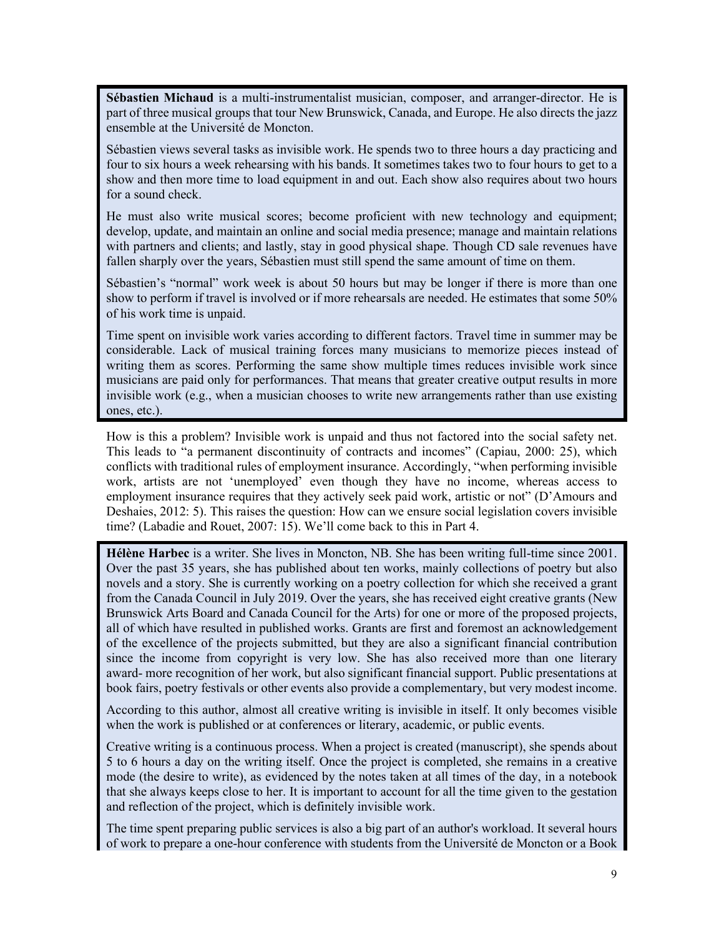**Sébastien Michaud** is a multi-instrumentalist musician, composer, and arranger-director. He is part of three musical groups that tour New Brunswick, Canada, and Europe. He also directs the jazz ensemble at the Université de Moncton.

Sébastien views several tasks as invisible work. He spends two to three hours a day practicing and four to six hours a week rehearsing with his bands. It sometimes takes two to four hours to get to a show and then more time to load equipment in and out. Each show also requires about two hours for a sound check.

He must also write musical scores; become proficient with new technology and equipment; develop, update, and maintain an online and social media presence; manage and maintain relations with partners and clients; and lastly, stay in good physical shape. Though CD sale revenues have fallen sharply over the years, Sébastien must still spend the same amount of time on them.

Sébastien's "normal" work week is about 50 hours but may be longer if there is more than one show to perform if travel is involved or if more rehearsals are needed. He estimates that some 50% of his work time is unpaid.

Time spent on invisible work varies according to different factors. Travel time in summer may be considerable. Lack of musical training forces many musicians to memorize pieces instead of writing them as scores. Performing the same show multiple times reduces invisible work since musicians are paid only for performances. That means that greater creative output results in more invisible work (e.g., when a musician chooses to write new arrangements rather than use existing ones, etc.).

How is this a problem? Invisible work is unpaid and thus not factored into the social safety net. This leads to "a permanent discontinuity of contracts and incomes" (Capiau, 2000: 25), which conflicts with traditional rules of employment insurance. Accordingly, "when performing invisible work, artists are not 'unemployed' even though they have no income, whereas access to employment insurance requires that they actively seek paid work, artistic or not" (D'Amours and Deshaies, 2012: 5). This raises the question: How can we ensure social legislation covers invisible time? (Labadie and Rouet, 2007: 15). We'll come back to this in Part 4.

**Hélène Harbec** is a writer. She lives in Moncton, NB. She has been writing full-time since 2001. Over the past 35 years, she has published about ten works, mainly collections of poetry but also novels and a story. She is currently working on a poetry collection for which she received a grant from the Canada Council in July 2019. Over the years, she has received eight creative grants (New Brunswick Arts Board and Canada Council for the Arts) for one or more of the proposed projects, all of which have resulted in published works. Grants are first and foremost an acknowledgement of the excellence of the projects submitted, but they are also a significant financial contribution since the income from copyright is very low. She has also received more than one literary award- more recognition of her work, but also significant financial support. Public presentations at book fairs, poetry festivals or other events also provide a complementary, but very modest income.

According to this author, almost all creative writing is invisible in itself. It only becomes visible when the work is published or at conferences or literary, academic, or public events.

Creative writing is a continuous process. When a project is created (manuscript), she spends about 5 to 6 hours a day on the writing itself. Once the project is completed, she remains in a creative mode (the desire to write), as evidenced by the notes taken at all times of the day, in a notebook that she always keeps close to her. It is important to account for all the time given to the gestation and reflection of the project, which is definitely invisible work.

The time spent preparing public services is also a big part of an author's workload. It several hours of work to prepare a one-hour conference with students from the Université de Moncton or a Book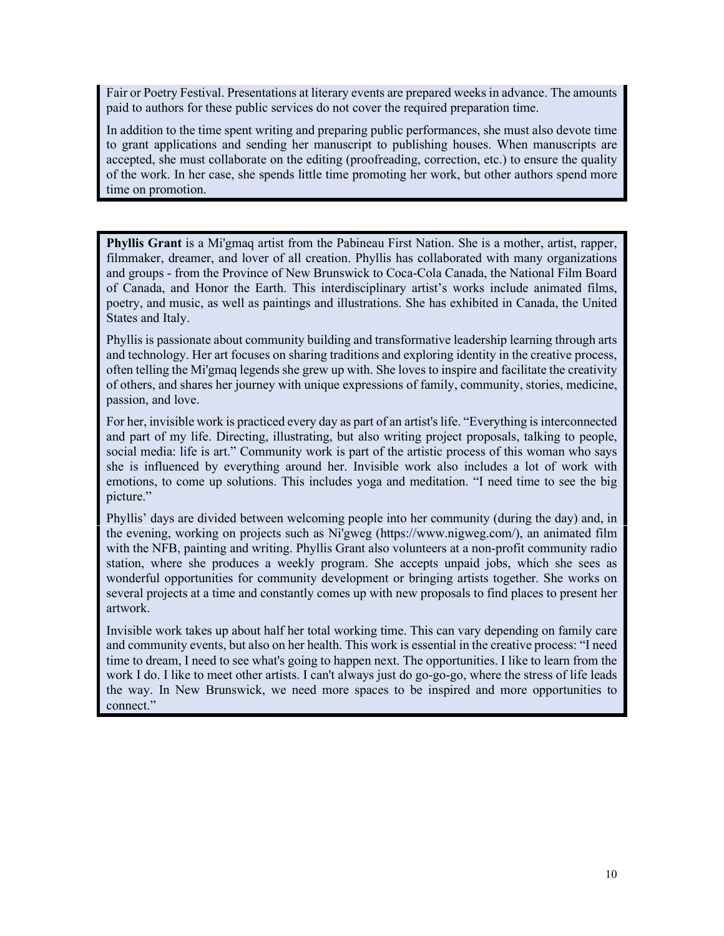Fair or Poetry Festival. Presentations at literary events are prepared weeks in advance. The amounts paid to authors for these public services do not cover the required preparation time.

In addition to the time spent writing and preparing public performances, she must also devote time to grant applications and sending her manuscript to publishing houses. When manuscripts are accepted, she must collaborate on the editing (proofreading, correction, etc.) to ensure the quality of the work. In her case, she spends little time promoting her work, but other authors spend more time on promotion.

**Phyllis Grant** is a Mi'gmaq artist from the Pabineau First Nation. She is a mother, artist, rapper, filmmaker, dreamer, and lover of all creation. Phyllis has collaborated with many organizations and groups - from the Province of New Brunswick to Coca-Cola Canada, the National Film Board of Canada, and Honor the Earth. This interdisciplinary artist's works include animated films, poetry, and music, as well as paintings and illustrations. She has exhibited in Canada, the United States and Italy.

Phyllis is passionate about community building and transformative leadership learning through arts and technology. Her art focuses on sharing traditions and exploring identity in the creative process, often telling the Mi'gmaq legends she grew up with. She loves to inspire and facilitate the creativity of others, and shares her journey with unique expressions of family, community, stories, medicine, passion, and love.

For her, invisible work is practiced every day as part of an artist's life. "Everything is interconnected and part of my life. Directing, illustrating, but also writing project proposals, talking to people, social media: life is art." Community work is part of the artistic process of this woman who says she is influenced by everything around her. Invisible work also includes a lot of work with emotions, to come up solutions. This includes yoga and meditation. "I need time to see the big picture."

Phyllis' days are divided between welcoming people into her community (during the day) and, in the evening, working on projects such as Ni'gweg [\(https://www.nigweg.com/\)](https://www.nigweg.com/), an animated film with the NFB, painting and writing. Phyllis Grant also volunteers at a non-profit community radio station, where she produces a weekly program. She accepts unpaid jobs, which she sees as wonderful opportunities for community development or bringing artists together. She works on several projects at a time and constantly comes up with new proposals to find places to present her artwork.

Invisible work takes up about half her total working time. This can vary depending on family care and community events, but also on her health. This work is essential in the creative process: "I need time to dream, I need to see what's going to happen next. The opportunities. I like to learn from the work I do. I like to meet other artists. I can't always just do go-go-go, where the stress of life leads the way. In New Brunswick, we need more spaces to be inspired and more opportunities to connect."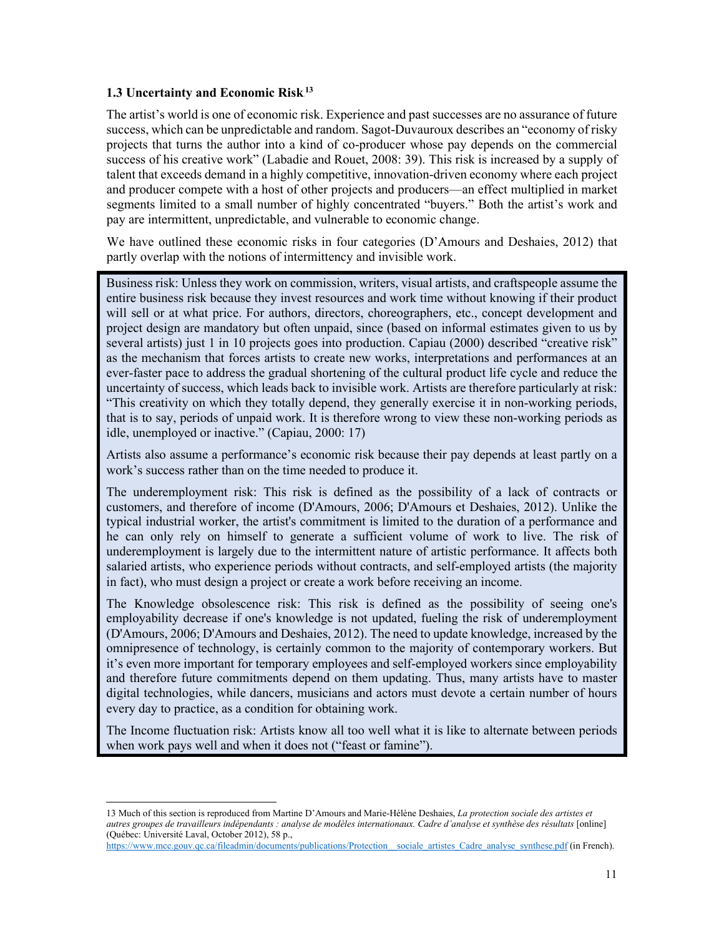## <span id="page-13-0"></span>1.3 Uncertainty and Economic Risk<sup>13</sup>

The artist's world is one of economic risk. Experience and past successes are no assurance of future success, which can be unpredictable and random. Sagot-Duvauroux describes an "economy of risky projects that turns the author into a kind of co-producer whose pay depends on the commercial success of his creative work" (Labadie and Rouet, 2008: 39). This risk is increased by a supply of talent that exceeds demand in a highly competitive, innovation-driven economy where each project and producer compete with a host of other projects and producers—an effect multiplied in market segments limited to a small number of highly concentrated "buyers." Both the artist's work and pay are intermittent, unpredictable, and vulnerable to economic change.

We have outlined these economic risks in four categories (D'Amours and Deshaies, 2012) that partly overlap with the notions of intermittency and invisible work.

Business risk: Unless they work on commission, writers, visual artists, and craftspeople assume the entire business risk because they invest resources and work time without knowing if their product will sell or at what price. For authors, directors, choreographers, etc., concept development and project design are mandatory but often unpaid, since (based on informal estimates given to us by several artists) just 1 in 10 projects goes into production. Capiau (2000) described "creative risk" as the mechanism that forces artists to create new works, interpretations and performances at an ever-faster pace to address the gradual shortening of the cultural product life cycle and reduce the uncertainty of success, which leads back to invisible work. Artists are therefore particularly at risk: "This creativity on which they totally depend, they generally exercise it in non-working periods, that is to say, periods of unpaid work. It is therefore wrong to view these non-working periods as idle, unemployed or inactive." (Capiau, 2000: 17)

Artists also assume a performance's economic risk because their pay depends at least partly on a work's success rather than on the time needed to produce it.

The underemployment risk: This risk is defined as the possibility of a lack of contracts or customers, and therefore of income (D'Amours, 2006; D'Amours et Deshaies, 2012). Unlike the typical industrial worker, the artist's commitment is limited to the duration of a performance and he can only rely on himself to generate a sufficient volume of work to live. The risk of underemployment is largely due to the intermittent nature of artistic performance. It affects both salaried artists, who experience periods without contracts, and self-employed artists (the majority in fact), who must design a project or create a work before receiving an income.

The Knowledge obsolescence risk: This risk is defined as the possibility of seeing one's employability decrease if one's knowledge is not updated, fueling the risk of underemployment (D'Amours, 2006; D'Amours and Deshaies, 2012). The need to update knowledge, increased by the omnipresence of technology, is certainly common to the majority of contemporary workers. But it's even more important for temporary employees and self-employed workers since employability and therefore future commitments depend on them updating. Thus, many artists have to master digital technologies, while dancers, musicians and actors must devote a certain number of hours every day to practice, as a condition for obtaining work.

The Income fluctuation risk: Artists know all too well what it is like to alternate between periods when work pays well and when it does not ("feast or famine").

<sup>13</sup> Much of this section is reproduced from Martine D'Amours and Marie-Hélène Deshaies, *La protection sociale des artistes et* autres groupes de travailleurs indépendants : analyse de modèles internationaux. Cadre d'analyse et synthèse des résultats [online] (Québec: Université Laval, October 2012), 58 p.,

[https://www.mcc.gouv.qc.ca/fileadmin/documents/publications/Protection\\_\\_sociale\\_artistes\\_Cadre\\_analyse\\_synthese.pdf](https://www.mcc.gouv.qc.ca/fileadmin/documents/publications/Protection__sociale_artistes_Cadre_analyse_synthese.pdf) (in French).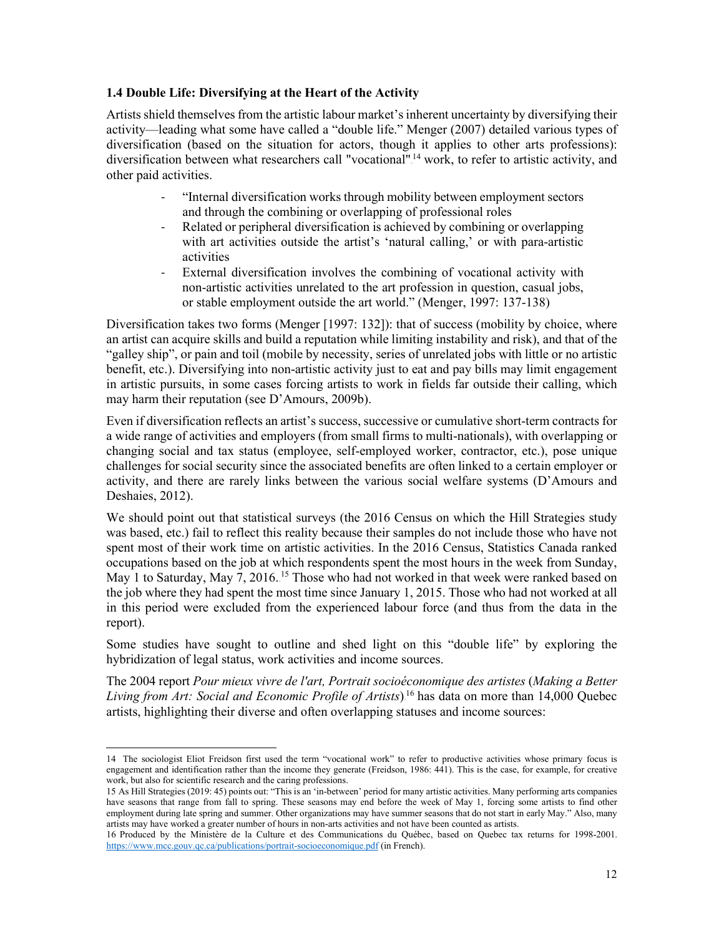## <span id="page-14-0"></span>**1.4 Double Life: Diversifying at the Heart of the Activity**

Artists shield themselves from the artistic labour market's inherent uncertainty by diversifying their activity—leading what some have called a "double life." Menger (2007) detailed various types of diversification (based on the situation for actors, though it applies to other arts professions): diversification between what researchers call "vocational".<sup>14</sup> work, to refer to artistic activity, and other paid activities.

- "Internal diversification works through mobility between employment sectors and through the combining or overlapping of professional roles
- Related or peripheral diversification is achieved by combining or overlapping with art activities outside the artist's 'natural calling,' or with para-artistic activities
- External diversification involves the combining of vocational activity with non-artistic activities unrelated to the art profession in question, casual jobs, or stable employment outside the art world." (Menger, 1997: 137-138)

Diversification takes two forms (Menger [1997: 132]): that of success (mobility by choice, where an artist can acquire skills and build a reputation while limiting instability and risk), and that of the "galley ship", or pain and toil (mobile by necessity, series of unrelated jobs with little or no artistic benefit, etc.). Diversifying into non-artistic activity just to eat and pay bills may limit engagement in artistic pursuits, in some cases forcing artists to work in fields far outside their calling, which may harm their reputation (see D'Amours, 2009b).

Even if diversification reflects an artist's success, successive or cumulative short-term contracts for a wide range of activities and employers (from small firms to multi-nationals), with overlapping or changing social and tax status (employee, self-employed worker, contractor, etc.), pose unique challenges for social security since the associated benefits are often linked to a certain employer or activity, and there are rarely links between the various social welfare systems (D'Amours and Deshaies, 2012).

We should point out that statistical surveys (the 2016 Census on which the Hill Strategies study was based, etc.) fail to reflect this reality because their samples do not include those who have not spent most of their work time on artistic activities. In the 2016 Census, Statistics Canada ranked occupations based on the job at which respondents spent the most hours in the week from Sunday, May 1 to Saturday, May 7, 2016.<sup>15</sup> Those who had not worked in that week were ranked based on the job where they had spent the most time since January 1, 2015. Those who had not worked at all in this period were excluded from the experienced labour force (and thus from the data in the report).

Some studies have sought to outline and shed light on this "double life" by exploring the hybridization of legal status, work activities and income sources.

The 2004 report *Pour mieux vivre de l'art, Portrait socioéconomique des artistes* (*Making a Better* Living from Art: Social and Economic Profile of Artists).<sup>16</sup> has data on more than 14,000 Quebec artists, highlighting their diverse and often overlapping statuses and income sources:

<sup>14</sup> The sociologist Eliot Freidson first used the term "vocational work" to refer to productive activities whose primary focus is engagement and identification rather than the income they generate (Freidson, 1986: 441). This is the case, for example, for creative work, but also for scientific research and the caring professions.

<sup>15</sup> As Hill Strategies (2019: 45) points out: "This is an 'in-between' period for many artistic activities. Many performing arts companies have seasons that range from fall to spring. These seasons may end before the week of May 1, forcing some artists to find other employment during late spring and summer. Other organizations may have summer seasons that do not start in early May." Also, many artists may have worked a greater number of hours in non-arts activities and not have been counted as artists.

<sup>16</sup> Produced by the Ministère de la Culture et des Communications du Québec, based on Quebec tax returns for 1998-2001. <https://www.mcc.gouv.qc.ca/publications/portrait-socioeconomique.pdf> (in French).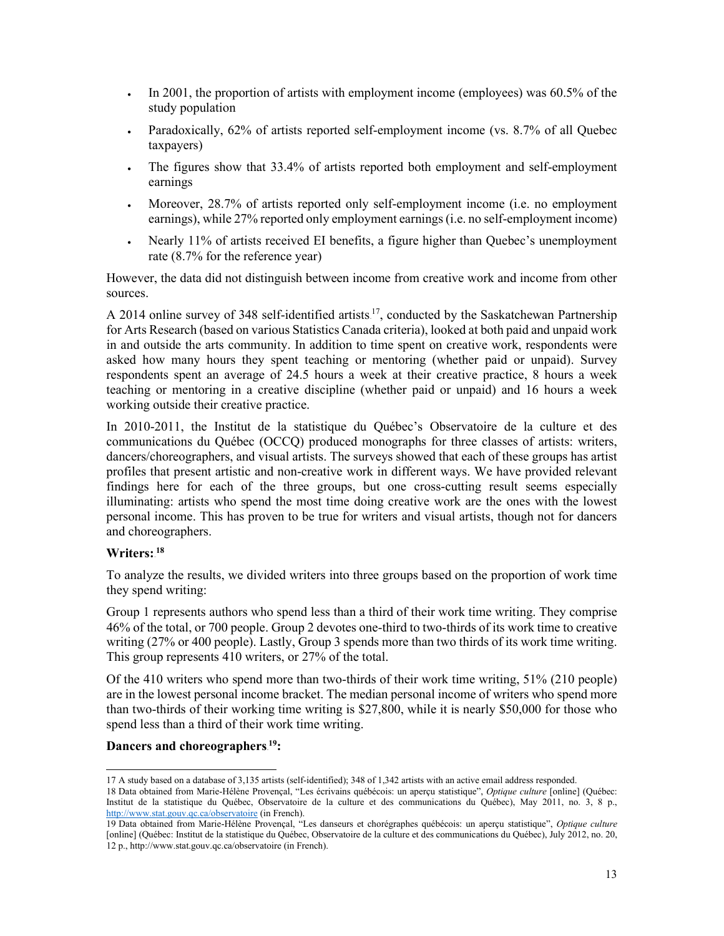- In 2001, the proportion of artists with employment income (employees) was 60.5% of the study population
- Paradoxically, 62% of artists reported self-employment income (vs. 8.7% of all Quebec taxpayers)
- The figures show that 33.4% of artists reported both employment and self-employment earnings
- Moreover, 28.7% of artists reported only self-employment income (i.e. no employment earnings), while 27% reported only employment earnings(i.e. no self-employment income)
- Nearly 11% of artists received EI benefits, a figure higher than Quebec's unemployment rate (8.7% for the reference year)

However, the data did not distinguish between income from creative work and income from other sources.

A 2014 online survey of 348 self-identified artists.<sup>17</sup>, conducted by the Saskatchewan Partnership for Arts Research (based on various Statistics Canada criteria), looked at both paid and unpaid work in and outside the arts community. In addition to time spent on creative work, respondents were asked how many hours they spent teaching or mentoring (whether paid or unpaid). Survey respondents spent an average of 24.5 hours a week at their creative practice, 8 hours a week teaching or mentoring in a creative discipline (whether paid or unpaid) and 16 hours a week working outside their creative practice.

In 2010-2011, the Institut de la statistique du Québec's Observatoire de la culture et des communications du Québec (OCCQ) produced monographs for three classes of artists: writers, dancers/choreographers, and visual artists. The surveys showed that each of these groups has artist profiles that present artistic and non-creative work in different ways. We have provided relevant findings here for each of the three groups, but one cross-cutting result seems especially illuminating: artists who spend the most time doing creative work are the ones with the lowest personal income. This has proven to be true for writers and visual artists, though not for dancers and choreographers.

# $\textbf{W}$ riters: 18

To analyze the results, we divided writers into three groups based on the proportion of work time they spend writing:

Group 1 represents authors who spend less than a third of their work time writing. They comprise 46% of the total, or 700 people. Group 2 devotes one-third to two-thirds of its work time to creative writing (27% or 400 people). Lastly, Group 3 spends more than two thirds of its work time writing. This group represents 410 writers, or 27% of the total.

Of the 410 writers who spend more than two-thirds of their work time writing, 51% (210 people) are in the lowest personal income bracket. The median personal income of writers who spend more than two-thirds of their working time writing is \$27,800, while it is nearly \$50,000 for those who spend less than a third of their work time writing.

## **Dancers** and choreographers.<sup>19</sup>:

<sup>17</sup> A study based on a database of 3,135 artists (self-identified); 348 of 1,342 artists with an active email address responded.

<sup>18</sup> Data obtained from Marie-Hélène Provençal, "Les écrivains québécois: un aperçu statistique", *Optique culture* [online] (Québec: Institut de la statistique du Québec, Observatoire de la culture et des communications du Québec), May 2011, no. 3, 8 p., <http://www.stat.gouv.qc.ca/observatoire> (in French).

<sup>19</sup> Data obtained from Marie-Hélène Provençal, "Les danseurs et chorégraphes québécois: un aperçu statistique", *Optique culture* [online] (Québec: Institut de la statistique du Québec, Observatoire de la culture et des communications du Québec), July 2012, no. 20, 12 p., <http://www.stat.gouv.qc.ca/observatoire> (in French).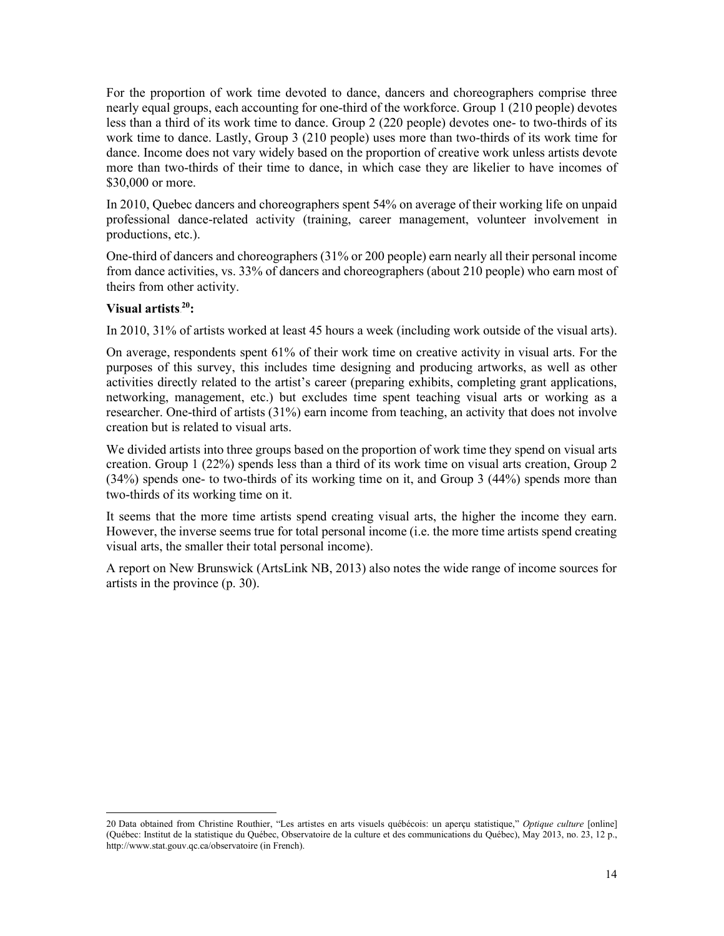For the proportion of work time devoted to dance, dancers and choreographers comprise three nearly equal groups, each accounting for one-third of the workforce. Group 1 (210 people) devotes less than a third of its work time to dance. Group 2 (220 people) devotes one- to two-thirds of its work time to dance. Lastly, Group 3 (210 people) uses more than two-thirds of its work time for dance. Income does not vary widely based on the proportion of creative work unless artists devote more than two-thirds of their time to dance, in which case they are likelier to have incomes of \$30,000 or more.

In 2010, Quebec dancers and choreographers spent 54% on average of their working life on unpaid professional dance-related activity (training, career management, volunteer involvement in productions, etc.).

One-third of dancers and choreographers (31% or 200 people) earn nearly all their personal income from dance activities, vs. 33% of dancers and choreographers (about 210 people) who earn most of theirs from other activity.

# **Visual** artists.<sup>20</sup>:

In 2010, 31% of artists worked at least 45 hours a week (including work outside of the visual arts).

On average, respondents spent 61% of their work time on creative activity in visual arts. For the purposes of this survey, this includes time designing and producing artworks, as well as other activities directly related to the artist's career (preparing exhibits, completing grant applications, networking, management, etc.) but excludes time spent teaching visual arts or working as a researcher. One-third of artists (31%) earn income from teaching, an activity that does not involve creation but is related to visual arts.

We divided artists into three groups based on the proportion of work time they spend on visual arts creation. Group 1 (22%) spends less than a third of its work time on visual arts creation, Group 2 (34%) spends one- to two-thirds of its working time on it, and Group 3 (44%) spends more than two-thirds of its working time on it.

It seems that the more time artists spend creating visual arts, the higher the income they earn. However, the inverse seems true for total personal income (i.e. the more time artists spend creating visual arts, the smaller their total personal income).

A report on New Brunswick (ArtsLink NB, 2013) also notes the wide range of income sources for artists in the province (p. 30).

<sup>20</sup> Data obtained from Christine Routhier, "Les artistes en arts visuels québécois: un aperçu statistique," *Optique culture* [online] (Québec: Institut de la statistique du Québec, Observatoire de la culture et des communications du Québec), May 2013, no. 23, 12 p., <http://www.stat.gouv.qc.ca/observatoire> (in French).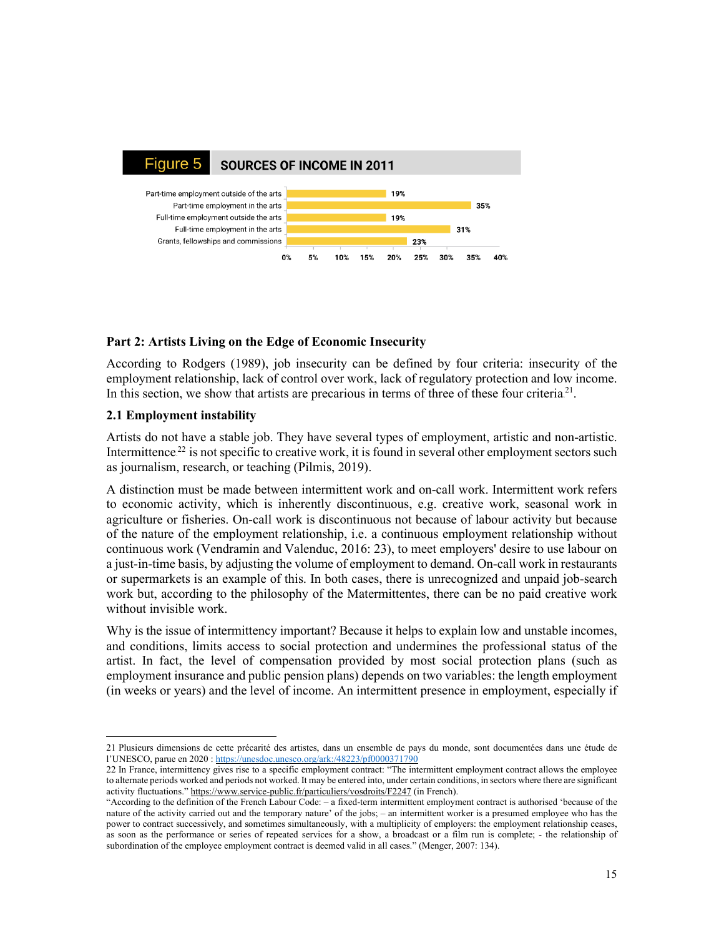

## <span id="page-17-0"></span>**Part 2: Artists Living on the Edge of Economic Insecurity**

According to Rodgers (1989), job insecurity can be defined by four criteria: insecurity of the employment relationship, lack of control over work, lack of regulatory protection and low income. In this section, we show that artists are precarious in terms of three of these four criteria.<sup>21</sup>.

## <span id="page-17-1"></span>**2.1 Employment instability**

Artists do not have a stable job. They have several types of employment, artistic and non-artistic. Intermittence.<sup>22</sup> is not specific to creative work, it is found in several other employment sectors such as journalism, research, or teaching (Pilmis, 2019).

A distinction must be made between intermittent work and on-call work. Intermittent work refers to economic activity, which is inherently discontinuous, e.g. creative work, seasonal work in agriculture or fisheries. On-call work is discontinuous not because of labour activity but because of the nature of the employment relationship, i.e. a continuous employment relationship without continuous work (Vendramin and Valenduc, 2016: 23), to meet employers' desire to use labour on a just-in-time basis, by adjusting the volume of employment to demand. On-call work in restaurants or supermarkets is an example of this. In both cases, there is unrecognized and unpaid job-search work but, according to the philosophy of the Matermittentes, there can be no paid creative work without invisible work.

Why is the issue of intermittency important? Because it helps to explain low and unstable incomes, and conditions, limits access to social protection and undermines the professional status of the artist. In fact, the level of compensation provided by most social protection plans (such as employment insurance and public pension plans) depends on two variables: the length employment (in weeks or years) and the level of income. An intermittent presence in employment, especially if

<sup>21</sup> Plusieurs dimensions de cette précarité des artistes, dans un ensemble de pays du monde, sont documentées dans une étude de l'UNESCO, parue en 2020 : <https://unesdoc.unesco.org/ark:/48223/pf0000371790>

<sup>22</sup> In France, intermittency gives rise to a specific employment contract: "The intermittent employment contract allows the employee to alternate periods worked and periods not worked. It may be entered into, under certain conditions, in sectors where there are significant activity fluctuations." <https://www.service-public.fr/particuliers/vosdroits/F2247> (in French).

<sup>&</sup>quot;According to the definition of the French Labour Code: ‒ a fixed-term intermittent employment contract is authorised 'because of the nature of the activity carried out and the temporary nature' of the jobs; - an intermittent worker is a presumed employee who has the power to contract successively, and sometimes simultaneously, with a multiplicity of employers: the employment relationship ceases, as soon as the performance or series of repeated services for a show, a broadcast or a film run is complete; - the relationship of subordination of the employee employment contract is deemed valid in all cases." (Menger, 2007: 134).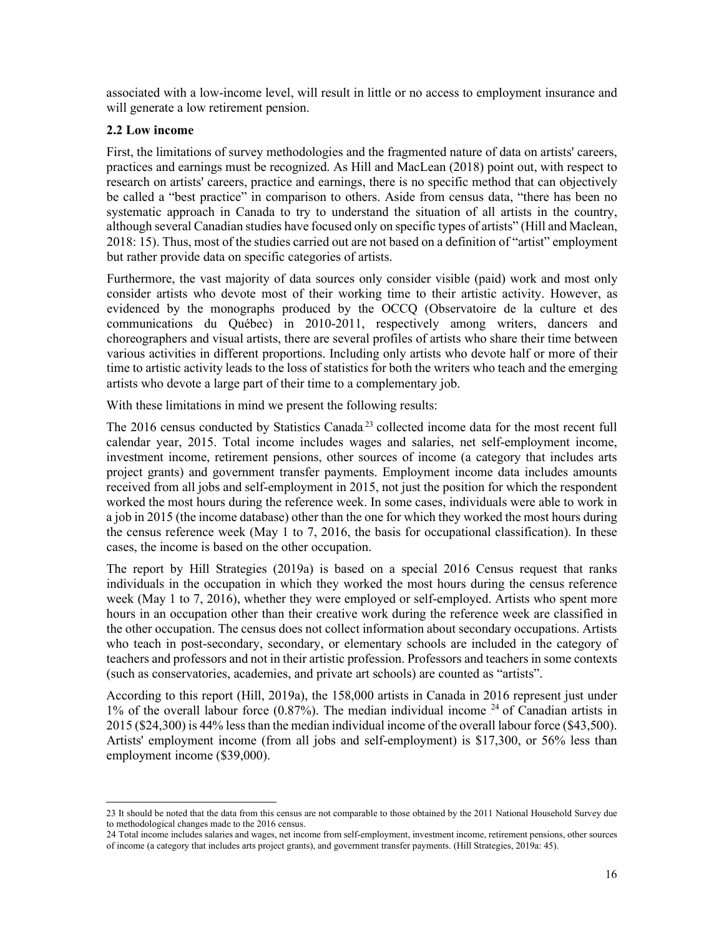associated with a low-income level, will result in little or no access to employment insurance and will generate a low retirement pension.

#### <span id="page-18-0"></span>**2.2 Low income**

First, the limitations of survey methodologies and the fragmented nature of data on artists' careers, practices and earnings must be recognized. As Hill and MacLean (2018) point out, with respect to research on artists' careers, practice and earnings, there is no specific method that can objectively be called a "best practice" in comparison to others. Aside from census data, "there has been no systematic approach in Canada to try to understand the situation of all artists in the country, although several Canadian studies have focused only on specific types of artists" (Hill and Maclean, 2018: 15). Thus, most of the studies carried out are not based on a definition of "artist" employment but rather provide data on specific categories of artists.

Furthermore, the vast majority of data sources only consider visible (paid) work and most only consider artists who devote most of their working time to their artistic activity. However, as evidenced by the monographs produced by the OCCQ (Observatoire de la culture et des communications du Québec) in 2010-2011, respectively among writers, dancers and choreographers and visual artists, there are several profiles of artists who share their time between various activities in different proportions. Including only artists who devote half or more of their time to artistic activity leads to the loss of statistics for both the writers who teach and the emerging artists who devote a large part of their time to a complementary job.

With these limitations in mind we present the following results:

The 2016 census conducted by Statistics Canada.<sup>23</sup> collected income data for the most recent full calendar year, 2015. Total income includes wages and salaries, net self-employment income, investment income, retirement pensions, other sources of income (a category that includes arts project grants) and government transfer payments. Employment income data includes amounts received from all jobs and self-employment in 2015, not just the position for which the respondent worked the most hours during the reference week. In some cases, individuals were able to work in a job in 2015 (the income database) other than the one for which they worked the most hours during the census reference week (May 1 to 7, 2016, the basis for occupational classification). In these cases, the income is based on the other occupation.

The report by Hill Strategies (2019a) is based on a special 2016 Census request that ranks individuals in the occupation in which they worked the most hours during the census reference week (May 1 to 7, 2016), whether they were employed or self-employed. Artists who spent more hours in an occupation other than their creative work during the reference week are classified in the other occupation. The census does not collect information about secondary occupations. Artists who teach in post-secondary, secondary, or elementary schools are included in the category of teachers and professors and not in their artistic profession. Professors and teachers in some contexts (such as conservatories, academies, and private art schools) are counted as "artists".

According to this report (Hill, 2019a), the 158,000 artists in Canada in 2016 represent just under 1% of the overall labour force  $(0.87%)$ . The median individual income <sup>24</sup> of Canadian artists in 2015 (\$24,300) is 44% lessthan the median individual income of the overall labour force (\$43,500). Artists' employment income (from all jobs and self-employment) is \$17,300, or 56% less than employment income (\$39,000).

<sup>23</sup> It should be noted that the data from this census are not comparable to those obtained by the 2011 National Household Survey due to methodological changes made to the 2016 census.

<sup>24</sup> Total income includes salaries and wages, net income from self-employment, investment income, retirement pensions, other sources of income (a category that includes arts project grants), and government transfer payments. (Hill Strategies, 2019a: 45).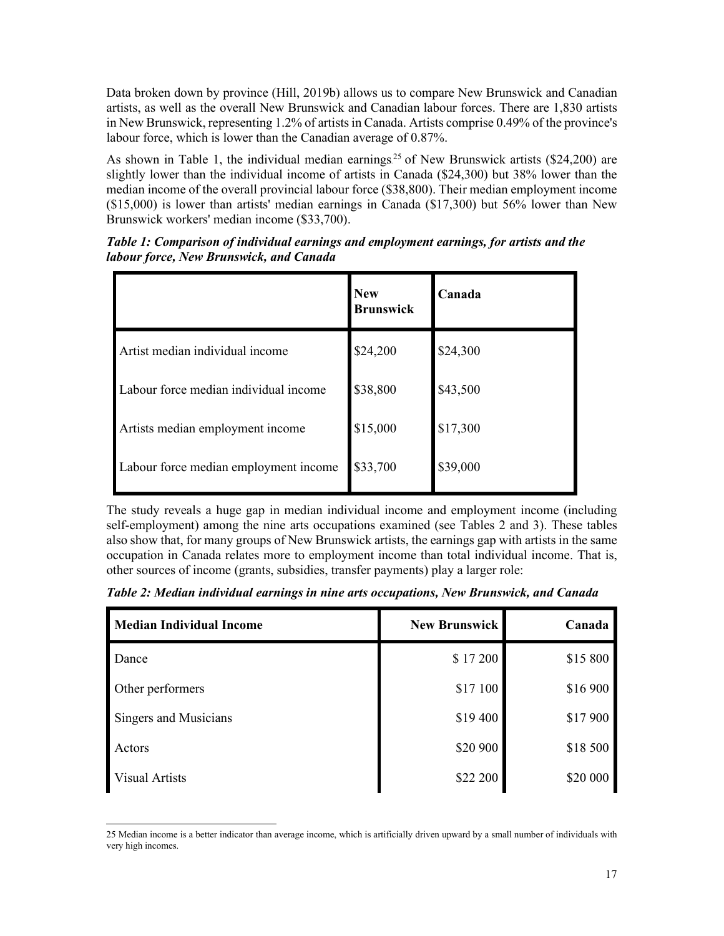Data broken down by province (Hill, 2019b) allows us to compare New Brunswick and Canadian artists, as well as the overall New Brunswick and Canadian labour forces. There are 1,830 artists in New Brunswick, representing 1.2% of artists in Canada. Artists comprise 0.49% of the province's labour force, which is lower than the Canadian average of 0.87%.

As shown in Table 1, the individual median earnings.<sup>25</sup> of New Brunswick artists (\$24,200) are slightly lower than the individual income of artists in Canada (\$24,300) but 38% lower than the median income of the overall provincial labour force (\$38,800). Their median employment income  $($15,000)$  is lower than artists' median earnings in Canada  $($17,300)$  but 56% lower than New Brunswick workers' median income (\$33,700).

|                                       | <b>New</b><br><b>Brunswick</b> | Canada   |
|---------------------------------------|--------------------------------|----------|
| Artist median individual income       | \$24,200                       | \$24,300 |
| Labour force median individual income | \$38,800                       | \$43,500 |
| Artists median employment income      | \$15,000                       | \$17,300 |
| Labour force median employment income | \$33,700                       | \$39,000 |

<span id="page-19-0"></span>*Table 1: Comparison of individual earnings and employment earnings, for artists and the labour force, New Brunswick, and Canada*

The study reveals a huge gap in median individual income and employment income (including self-employment) among the nine arts occupations examined (see Tables 2 and 3). These tables also show that, for many groups of New Brunswick artists, the earnings gap with artists in the same occupation in Canada relates more to employment income than total individual income. That is, other sources of income (grants, subsidies, transfer payments) play a larger role:

<span id="page-19-1"></span>*Table 2: Median individual earnings in nine arts occupations, New Brunswick, and Canada*

| <b>Median Individual Income</b> | <b>New Brunswick</b> | Canada   |
|---------------------------------|----------------------|----------|
| Dance                           | \$17200              | \$15 800 |
| Other performers                | \$17 100             | \$16 900 |
| Singers and Musicians           | \$19 400             | \$17 900 |
| Actors                          | \$20 900             | \$18 500 |
| <b>Visual Artists</b>           | \$22 200             | \$20 000 |

<sup>25</sup> Median income is a better indicator than average income, which is artificially driven upward by a small number of individuals with very high incomes.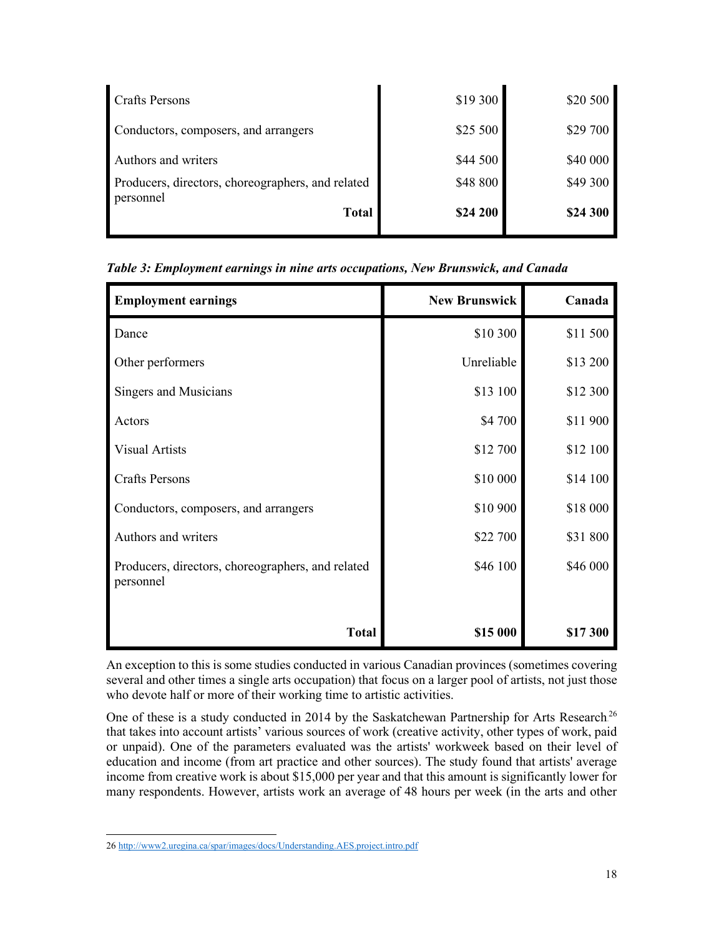| Crafts Persons                                                           | \$19 300             | \$20 500             |
|--------------------------------------------------------------------------|----------------------|----------------------|
| Conductors, composers, and arrangers                                     | \$25 500             | \$29 700             |
| Authors and writers<br>Producers, directors, choreographers, and related | \$44 500<br>\$48 800 | \$40 000<br>\$49 300 |
| personnel<br><b>Total</b>                                                | \$24 200             | \$24 300             |

<span id="page-20-0"></span>*Table 3: Employment earnings in nine arts occupations, New Brunswick, and Canada*

| <b>Employment earnings</b>                                     | <b>New Brunswick</b> | Canada   |
|----------------------------------------------------------------|----------------------|----------|
| Dance                                                          | \$10 300             | \$11 500 |
| Other performers                                               | Unreliable           | \$13 200 |
| Singers and Musicians                                          | \$13 100             | \$12 300 |
| Actors                                                         | \$4 700              | \$11900  |
| <b>Visual Artists</b>                                          | \$12 700             | \$12 100 |
| <b>Crafts Persons</b>                                          | \$10 000             | \$14 100 |
| Conductors, composers, and arrangers                           | \$10 900             | \$18 000 |
| Authors and writers                                            | \$22 700             | \$31 800 |
| Producers, directors, choreographers, and related<br>personnel | \$46 100             | \$46 000 |
| <b>Total</b>                                                   | \$15 000             | \$17 300 |

An exception to this is some studies conducted in various Canadian provinces (sometimes covering several and other times a single arts occupation) that focus on a larger pool of artists, not just those who devote half or more of their working time to artistic activities.

One of these is a study conducted in 2014 by the Saskatchewan Partnership for Arts Research.<sup>26</sup> that takes into account artists' various sources of work (creative activity, other types of work, paid or unpaid). One of the parameters evaluated was the artists' workweek based on their level of education and income (from art practice and other sources). The study found that artists' average income from creative work is about \$15,000 per year and that this amount is significantly lower for many respondents. However, artists work an average of 48 hours per week (in the arts and other

<sup>26</sup> <http://www2.uregina.ca/spar/images/docs/Understanding.AES.project.intro.pdf>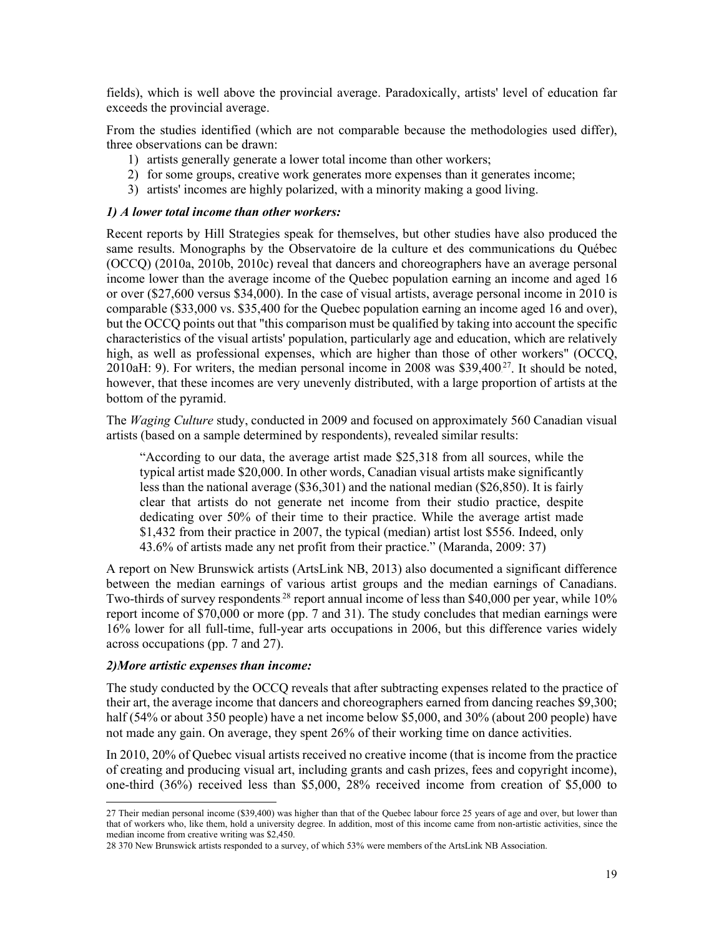fields), which is well above the provincial average. Paradoxically, artists' level of education far exceeds the provincial average.

From the studies identified (which are not comparable because the methodologies used differ), three observations can be drawn:

- 1) artists generally generate a lower total income than other workers;
- 2) for some groups, creative work generates more expenses than it generates income;
- 3) artists' incomes are highly polarized, with a minority making a good living.

#### <span id="page-21-0"></span>*1) A lower total income than other workers:*

Recent reports by Hill Strategies speak for themselves, but other studies have also produced the same results. Monographs by the Observatoire de la culture et des communications du Québec (OCCQ) (2010a, 2010b, 2010c) reveal that dancers and choreographers have an average personal income lower than the average income of the Quebec population earning an income and aged 16 or over (\$27,600 versus \$34,000). In the case of visual artists, average personal income in 2010 is comparable (\$33,000 vs. \$35,400 for the Quebec population earning an income aged 16 and over), but the OCCQ points out that "this comparison must be qualified by taking into account the specific characteristics of the visual artists' population, particularly age and education, which are relatively high, as well as professional expenses, which are higher than those of other workers" (OCCQ, 2010aH: 9). For writers, the median personal income in 2008 was \$39,400 $^{27}$ . It should be noted, however, that these incomes are very unevenly distributed, with a large proportion of artists at the bottom of the pyramid.

The *Waging Culture* study, conducted in 2009 and focused on approximately 560 Canadian visual artists (based on a sample determined by respondents), revealed similar results:

"According to our data, the average artist made \$25,318 from all sources, while the typical artist made \$20,000. In other words, Canadian visual artists make significantly less than the national average (\$36,301) and the national median (\$26,850). It is fairly clear that artists do not generate net income from their studio practice, despite dedicating over 50% of their time to their practice. While the average artist made \$1,432 from their practice in 2007, the typical (median) artist lost \$556. Indeed, only 43.6% of artists made any net profit from their practice." (Maranda, 2009: 37)

A report on New Brunswick artists (ArtsLink NB, 2013) also documented a significant difference between the median earnings of various artist groups and the median earnings of Canadians. Two-thirds of survey respondents<sup>28</sup> report annual income of less than \$40,000 per year, while 10% report income of \$70,000 or more (pp. 7 and 31). The study concludes that median earnings were 16% lower for all full-time, full-year arts occupations in 2006, but this difference varies widely across occupations (pp. 7 and 27).

#### <span id="page-21-1"></span>*2)More artistic expenses than income:*

The study conducted by the OCCQ reveals that after subtracting expenses related to the practice of their art, the average income that dancers and choreographers earned from dancing reaches \$9,300; half (54% or about 350 people) have a net income below \$5,000, and 30% (about 200 people) have not made any gain. On average, they spent 26% of their working time on dance activities.

In 2010, 20% of Quebec visual artists received no creative income (that is income from the practice of creating and producing visual art, including grants and cash prizes, fees and copyright income), one-third (36%) received less than \$5,000, 28% received income from creation of \$5,000 to

<sup>27</sup> Their median personal income (\$39,400) was higher than that of the Quebec labour force 25 years of age and over, but lower than that of workers who, like them, hold a university degree. In addition, most of this income came from non-artistic activities, since the median income from creative writing was \$2,450.

<sup>28</sup> 370 New Brunswick artists responded to a survey, of which 53% were members of the ArtsLink NB Association.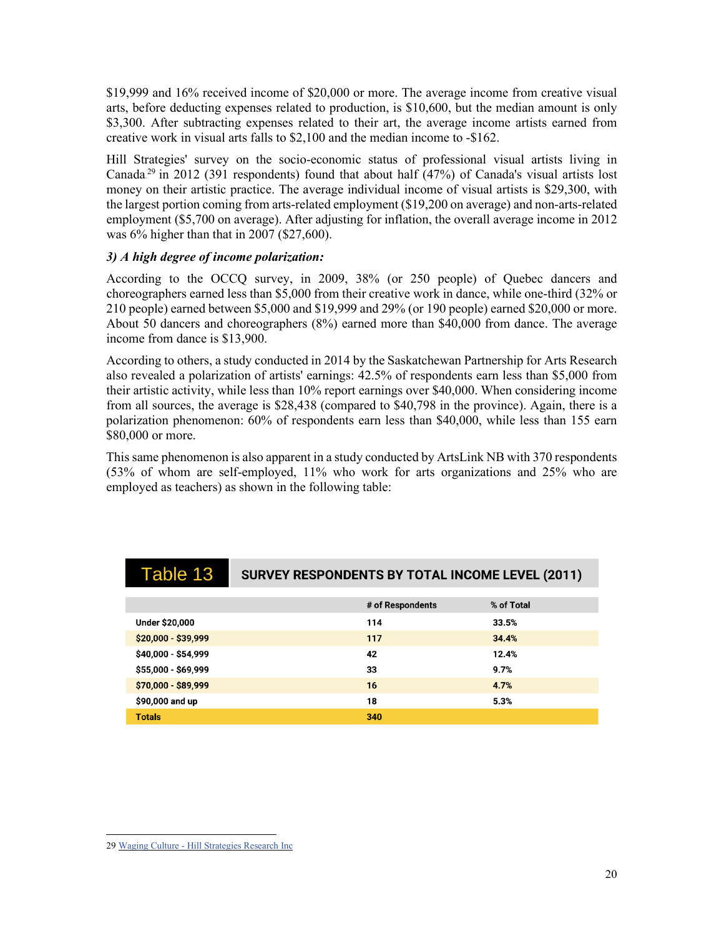\$19,999 and 16% received income of \$20,000 or more. The average income from creative visual arts, before deducting expenses related to production, is \$10,600, but the median amount is only \$3,300. After subtracting expenses related to their art, the average income artists earned from creative work in visual arts falls to \$2,100 and the median income to -\$162.

Hill Strategies' survey on the socio-economic status of professional visual artists living in Canada.<sup>29</sup> in 2012 (391 respondents) found that about half (47%) of Canada's visual artists lost money on their artistic practice. The average individual income of visual artists is \$29,300, with the largest portion coming from arts-related employment (\$19,200 on average) and non-arts-related employment (\$5,700 on average). After adjusting for inflation, the overall average income in 2012 was 6% higher than that in 2007 (\$27,600).

## <span id="page-22-0"></span>*3) A high degree of income polarization:*

According to the OCCQ survey, in 2009, 38% (or 250 people) of Quebec dancers and choreographers earned less than \$5,000 from their creative work in dance, while one-third (32% or 210 people) earned between \$5,000 and \$19,999 and 29% (or 190 people) earned \$20,000 or more. About 50 dancers and choreographers (8%) earned more than \$40,000 from dance. The average income from dance is \$13,900.

According to others, a study conducted in 2014 by the Saskatchewan Partnership for Arts Research also revealed a polarization of artists' earnings: 42.5% of respondents earn less than \$5,000 from their artistic activity, while less than 10% report earnings over \$40,000. When considering income from all sources, the average is \$28,438 (compared to \$40,798 in the province). Again, there is a polarization phenomenon: 60% of respondents earn less than \$40,000, while less than 155 earn \$80,000 or more.

This same phenomenon is also apparent in a study conducted by ArtsLink NB with 370 respondents (53% of whom are self-employed, 11% who work for arts organizations and 25% who are employed as teachers) as shown in the following table:

| <b>Table 13</b>       | SURVEY RESPONDENTS BY TOTAL INCOME LEVEL (2011) |                  |            |  |
|-----------------------|-------------------------------------------------|------------------|------------|--|
|                       |                                                 |                  |            |  |
|                       |                                                 | # of Respondents | % of Total |  |
| <b>Under \$20,000</b> |                                                 | 114              | 33.5%      |  |
| \$20,000 - \$39,999   |                                                 | 117              | 34.4%      |  |
| \$40,000 - \$54,999   |                                                 | 42               | 12.4%      |  |
| \$55,000 - \$69,999   |                                                 | 33               | 9.7%       |  |
| \$70,000 - \$89,999   |                                                 | 16               | 4.7%       |  |
| \$90,000 and up       |                                                 | 18               | 5.3%       |  |
| <b>Totals</b>         |                                                 | 340              |            |  |

<sup>29</sup> Waging Culture - Hill [Strategies](https://hillstrategies.com/2014/12/10/waging-culture/) Research Inc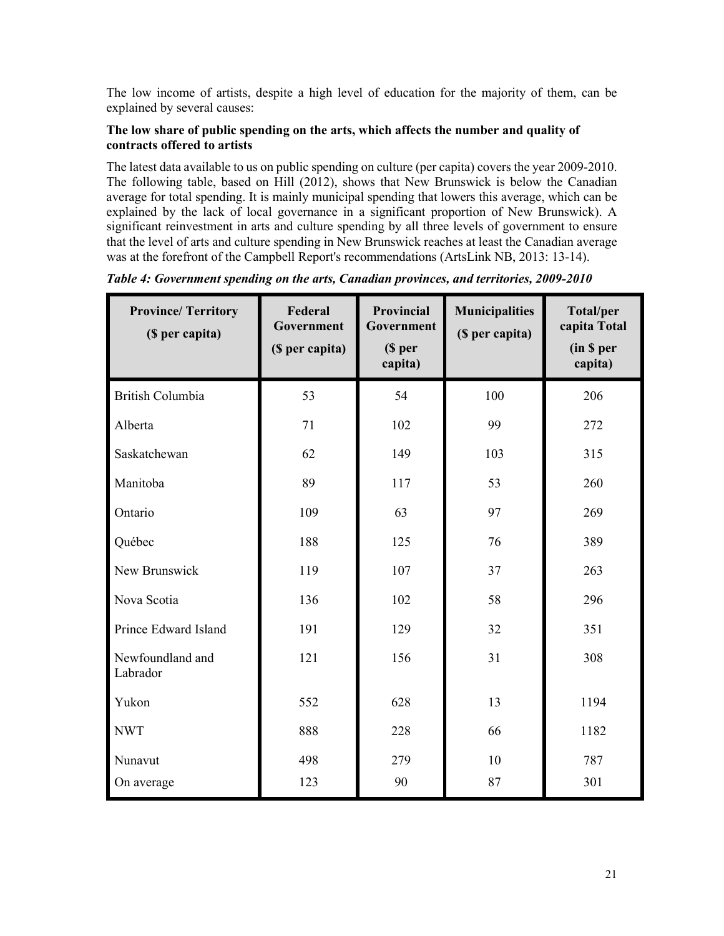The low income of artists, despite a high level of education for the majority of them, can be explained by several causes:

## **The low share of public spending on the arts, which affects the number and quality of contracts offered to artists**

The latest data available to us on public spending on culture (per capita) covers the year 2009-2010. The following table, based on Hill (2012), shows that New Brunswick is below the Canadian average for total spending. It is mainly municipal spending that lowers this average, which can be explained by the lack of local governance in a significant proportion of New Brunswick). A significant reinvestment in arts and culture spending by all three levels of government to ensure that the level of arts and culture spending in New Brunswick reaches at least the Canadian average was at the forefront of the Campbell Report's recommendations (ArtsLink NB, 2013: 13-14).

| <b>Province/Territory</b><br>(\$ per capita) | Federal<br>Government<br>(\$ per capita) | Provincial<br>Government<br>$$$ per<br>capita) | <b>Municipalities</b><br>(\$ per capita) | <b>Total/per</b><br>capita Total<br>(in \$ per<br>capita) |
|----------------------------------------------|------------------------------------------|------------------------------------------------|------------------------------------------|-----------------------------------------------------------|
| <b>British Columbia</b>                      | 53                                       | 54                                             | 100                                      | 206                                                       |
| Alberta                                      | 71                                       | 102                                            | 99                                       | 272                                                       |
| Saskatchewan                                 | 62                                       | 149                                            | 103                                      | 315                                                       |
| Manitoba                                     | 89                                       | 117                                            | 53                                       | 260                                                       |
| Ontario                                      | 109                                      | 63                                             | 97                                       | 269                                                       |
| Québec                                       | 188                                      | 125                                            | 76                                       | 389                                                       |
| New Brunswick                                | 119                                      | 107                                            | 37                                       | 263                                                       |
| Nova Scotia                                  | 136                                      | 102                                            | 58                                       | 296                                                       |
| Prince Edward Island                         | 191                                      | 129                                            | 32                                       | 351                                                       |
| Newfoundland and<br>Labrador                 | 121                                      | 156                                            | 31                                       | 308                                                       |
| Yukon                                        | 552                                      | 628                                            | 13                                       | 1194                                                      |
| <b>NWT</b>                                   | 888                                      | 228                                            | 66                                       | 1182                                                      |
| Nunavut                                      | 498                                      | 279                                            | 10                                       | 787                                                       |
| On average                                   | 123                                      | 90                                             | 87                                       | 301                                                       |

<span id="page-23-0"></span>*Table 4: Government spending on the arts, Canadian provinces, and territories, 2009-2010*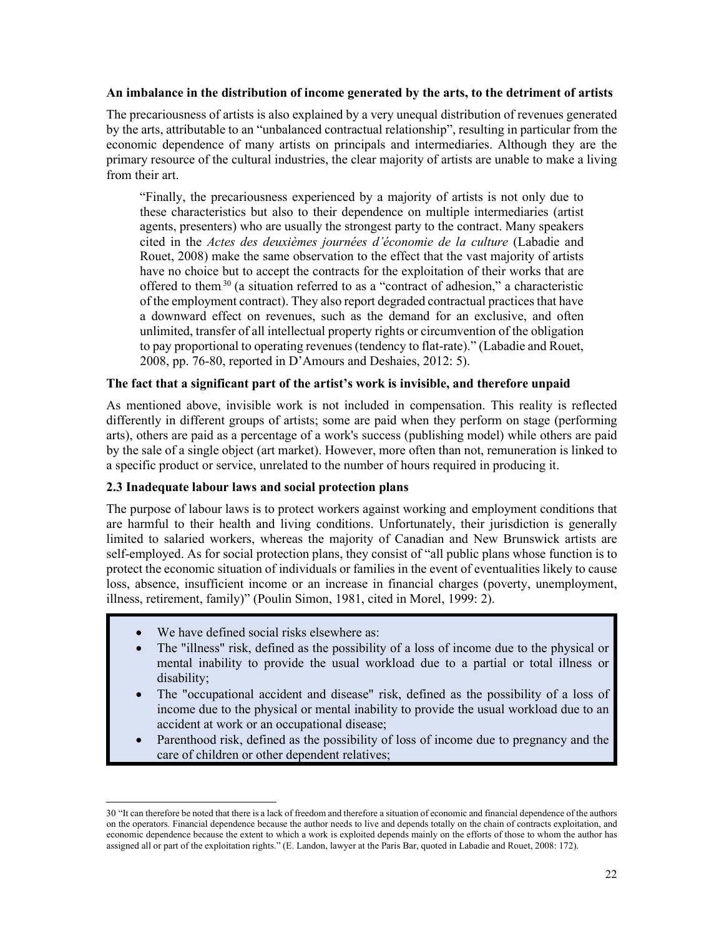#### **An imbalance in the distribution of income generated by the arts, to the detriment of artists**

The precariousness of artists is also explained by a very unequal distribution of revenues generated by the arts, attributable to an "unbalanced contractual relationship", resulting in particular from the economic dependence of many artists on principals and intermediaries. Although they are the primary resource of the cultural industries, the clear majority of artists are unable to make a living from their art.

"Finally, the precariousness experienced by a majority of artists is not only due to these characteristics but also to their dependence on multiple intermediaries (artist agents, presenters) who are usually the strongest party to the contract. Many speakers cited in the *Actes des deuxièmes journées d'économie de la culture* (Labadie and Rouet, 2008) make the same observation to the effect that the vast majority of artists have no choice but to accept the contracts for the exploitation of their works that are offered to them<sup>30</sup> (a situation referred to as a "contract of adhesion," a characteristic of the employment contract). They also report degraded contractual practicesthat have a downward effect on revenues, such as the demand for an exclusive, and often unlimited, transfer of all intellectual property rights or circumvention of the obligation to pay proportional to operating revenues (tendency to flat-rate)." (Labadie and Rouet, 2008, pp. 76-80, reported in D'Amours and Deshaies, 2012: 5).

## **The fact that a significant part of the artist's work is invisible, and therefore unpaid**

As mentioned above, invisible work is not included in compensation. This reality is reflected differently in different groups of artists; some are paid when they perform on stage (performing arts), others are paid as a percentage of a work's success (publishing model) while others are paid by the sale of a single object (art market). However, more often than not, remuneration is linked to a specific product or service, unrelated to the number of hours required in producing it.

## <span id="page-24-0"></span>**2.3 Inadequate labour laws and social protection plans**

The purpose of labour laws is to protect workers against working and employment conditions that are harmful to their health and living conditions. Unfortunately, their jurisdiction is generally limited to salaried workers, whereas the majority of Canadian and New Brunswick artists are self-employed. As for social protection plans, they consist of "all public plans whose function is to protect the economic situation of individuals or families in the event of eventualities likely to cause loss, absence, insufficient income or an increase in financial charges (poverty, unemployment, illness, retirement, family)" (Poulin Simon, 1981, cited in Morel, 1999: 2).

- We have defined social risks elsewhere as:
- The "illness" risk, defined as the possibility of a loss of income due to the physical or mental inability to provide the usual workload due to a partial or total illness or disability;
- The "occupational accident and disease" risk, defined as the possibility of a loss of income due to the physical or mental inability to provide the usual workload due to an accident at work or an occupational disease;
- Parenthood risk, defined as the possibility of loss of income due to pregnancy and the care of children or other dependent relatives;

<sup>30</sup> "It can therefore be noted that there is a lack of freedom and therefore a situation of economic and financial dependence of the authors on the operators. Financial dependence because the author needs to live and depends totally on the chain of contracts exploitation, and economic dependence because the extent to which a work is exploited depends mainly on the efforts of those to whom the author has assigned all or part of the exploitation rights." (E. Landon, lawyer at the Paris Bar, quoted in Labadie and Rouet, 2008: 172).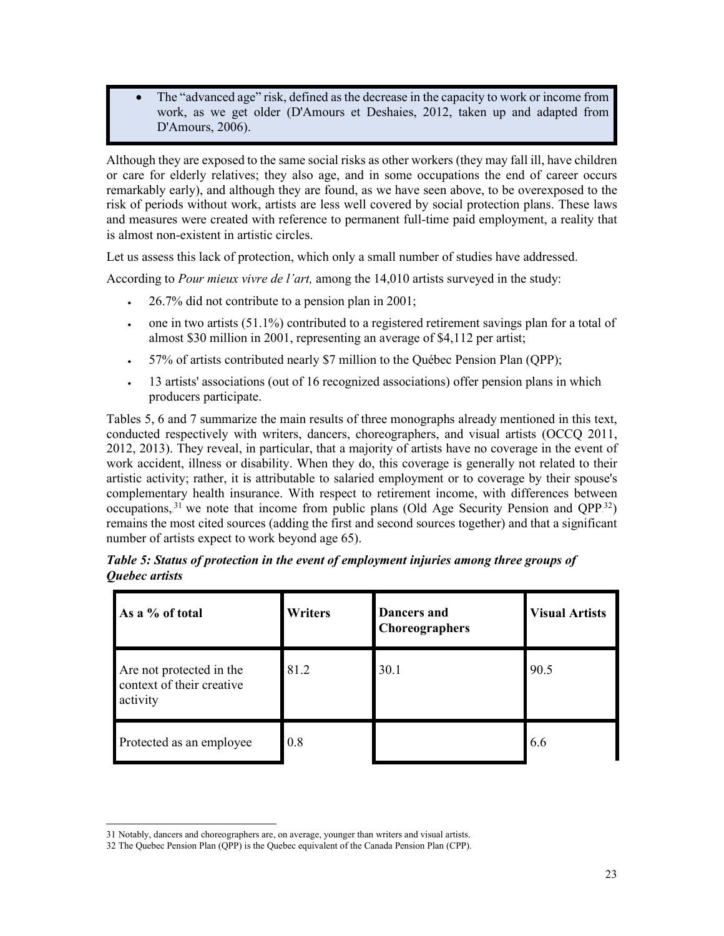The "advanced age" risk, defined as the decrease in the capacity to work or income from work, as we get older (D'Amours et Deshaies, 2012, taken up and adapted from D'Amours, 2006).

Although they are exposed to the same social risks as other workers (they may fall ill, have children or care for elderly relatives; they also age, and in some occupations the end of career occurs remarkably early), and although they are found, as we have seen above, to be overexposed to the risk of periods without work, artists are less well covered by social protection plans. These laws and measures were created with reference to permanent full-time paid employment, a reality that is almost non-existent in artistic circles.

Let us assess this lack of protection, which only a small number of studies have addressed.

According to *Pour mieux vivre de l'art,* among the 14,010 artists surveyed in the study:

- 26.7% did not contribute to a pension plan in 2001;
- one in two artists (51.1%) contributed to a registered retirement savings plan for a total of almost \$30 million in 2001, representing an average of \$4,112 per artist;
- 57% of artists contributed nearly \$7 million to the Québec Pension Plan (QPP);
- 13 artists' associations (out of 16 recognized associations) offer pension plans in which producers participate.

Tables 5, 6 and 7 summarize the main results of three monographs already mentioned in this text, conducted respectively with writers, dancers, choreographers, and visual artists (OCCQ 2011, 2012, 2013). They reveal, in particular, that a majority of artists have no coverage in the event of work accident, illness or disability. When they do, this coverage is generally not related to their artistic activity; rather, it is attributable to salaried employment or to coverage by their spouse's complementary health insurance. With respect to retirement income, with differences between occupations,  $31$  we note that income from public plans (Old Age Security Pension and QPP $32$ ) remains the most cited sources (adding the first and second sources together) and that a significant number of artists expect to work beyond age 65).

| As a % of total                                                   | <b>Writers</b> | <b>Dancers</b> and<br><b>Choreographers</b> | <b>Visual Artists</b> |
|-------------------------------------------------------------------|----------------|---------------------------------------------|-----------------------|
| Are not protected in the<br>context of their creative<br>activity | 81.2           | 30.1                                        | 90.5                  |
| Protected as an employee                                          | 0.8            |                                             | 6.6                   |

<span id="page-25-0"></span>

| Table 5: Status of protection in the event of employment injuries among three groups of |  |  |
|-----------------------------------------------------------------------------------------|--|--|
| Quebec artists                                                                          |  |  |

<sup>31</sup> Notably, dancers and choreographers are, on average, younger than writers and visual artists.

<sup>32</sup> The Quebec Pension Plan (QPP) is the Quebec equivalent of the Canada Pension Plan (CPP).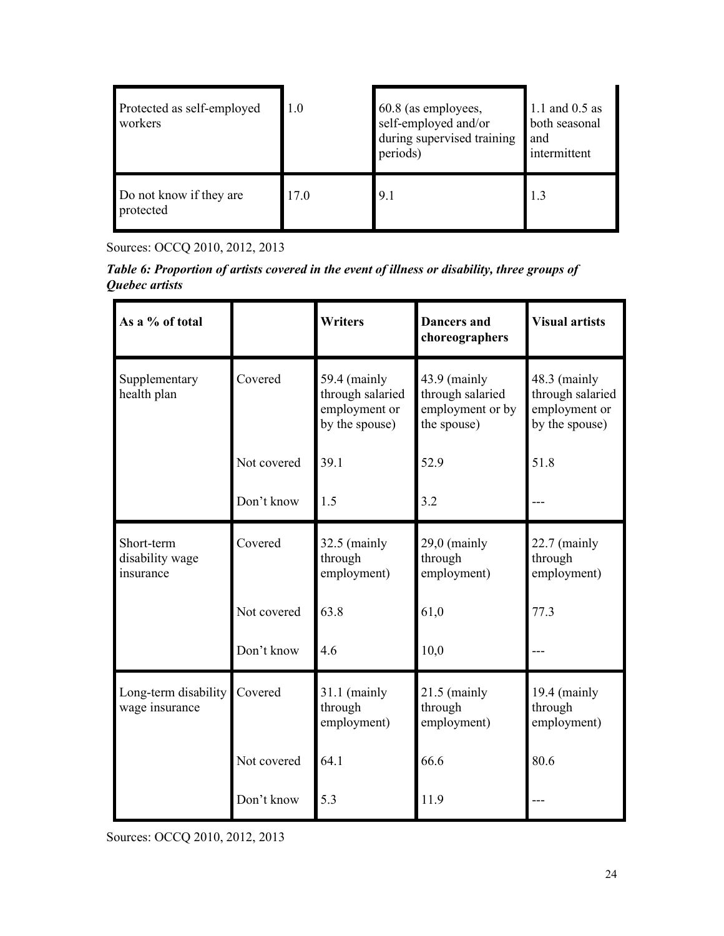| Protected as self-employed<br>workers | 1.0  | 60.8 (as employees,<br>self-employed and/or<br>during supervised training<br>periods) | 1.1 and 0.5 as<br>both seasonal<br>and<br>intermittent |
|---------------------------------------|------|---------------------------------------------------------------------------------------|--------------------------------------------------------|
| Do not know if they are<br>protected  | 17.0 | 9.1                                                                                   |                                                        |

Sources: OCCQ 2010, 2012, 2013

<span id="page-26-0"></span>*Table 6: Proportion of artists covered in the event of illness or disability, three groups of Quebec artists*

| As a % of total                            |             | <b>Writers</b>                                                      | <b>Dancers and</b><br>choreographers                                  | <b>Visual artists</b>                                               |
|--------------------------------------------|-------------|---------------------------------------------------------------------|-----------------------------------------------------------------------|---------------------------------------------------------------------|
| Supplementary<br>health plan               | Covered     | 59.4 (mainly<br>through salaried<br>employment or<br>by the spouse) | $43.9$ (mainly<br>through salaried<br>employment or by<br>the spouse) | 48.3 (mainly<br>through salaried<br>employment or<br>by the spouse) |
|                                            | Not covered | 39.1                                                                | 52.9                                                                  | 51.8                                                                |
|                                            | Don't know  | 1.5                                                                 | 3.2                                                                   |                                                                     |
| Short-term<br>disability wage<br>insurance | Covered     | $32.5$ (mainly<br>through<br>employment)                            | $29,0$ (mainly<br>through<br>employment)                              | $22.7$ (mainly<br>through<br>employment)                            |
|                                            | Not covered | 63.8                                                                | 61,0                                                                  | 77.3                                                                |
|                                            | Don't know  | 4.6                                                                 | 10,0                                                                  |                                                                     |
| Long-term disability<br>wage insurance     | Covered     | $31.1$ (mainly<br>through<br>employment)                            | $21.5$ (mainly<br>through<br>employment)                              | 19.4 (mainly<br>through<br>employment)                              |
|                                            | Not covered | 64.1                                                                | 66.6                                                                  | 80.6                                                                |
|                                            | Don't know  | 5.3                                                                 | 11.9                                                                  |                                                                     |

Sources: OCCQ 2010, 2012, 2013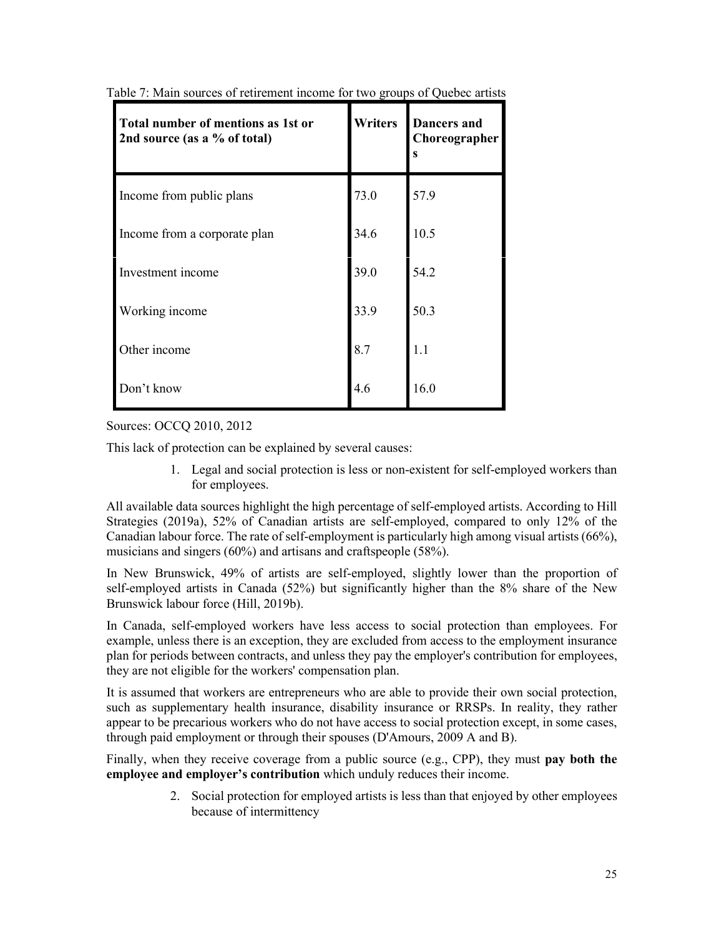| Total number of mentions as 1st or<br>2nd source (as a % of total) | Writers | <b>Dancers</b> and<br>Choreographer<br>S |
|--------------------------------------------------------------------|---------|------------------------------------------|
| Income from public plans                                           | 73.0    | 57.9                                     |
| Income from a corporate plan                                       | 34.6    | 10.5                                     |
| Investment income                                                  | 39.0    | 54.2                                     |
| Working income                                                     | 33.9    | 50.3                                     |
| Other income                                                       | 8.7     | 1.1                                      |
| Don't know                                                         | 4.6     | 16.0                                     |

Table 7: Main sources of retirement income for two groups of Quebec artists

Sources: OCCQ 2010, 2012

This lack of protection can be explained by several causes:

1. Legal and social protection is less or non-existent for self-employed workers than for employees.

All available data sources highlight the high percentage of self-employed artists. According to Hill Strategies (2019a), 52% of Canadian artists are self-employed, compared to only 12% of the Canadian labour force. The rate of self-employment is particularly high among visual artists (66%), musicians and singers (60%) and artisans and craftspeople (58%).

In New Brunswick, 49% of artists are self-employed, slightly lower than the proportion of self-employed artists in Canada (52%) but significantly higher than the 8% share of the New Brunswick labour force (Hill, 2019b).

In Canada, self-employed workers have less access to social protection than employees. For example, unless there is an exception, they are excluded from access to the employment insurance plan for periods between contracts, and unless they pay the employer's contribution for employees, they are not eligible for the workers' compensation plan.

It is assumed that workers are entrepreneurs who are able to provide their own social protection, such as supplementary health insurance, disability insurance or RRSPs. In reality, they rather appear to be precarious workers who do not have access to social protection except, in some cases, through paid employment or through their spouses (D'Amours, 2009 A and B).

Finally, when they receive coverage from a public source (e.g., CPP), they must **pay both the employee and employer's contribution** which unduly reduces their income.

> 2. Social protection for employed artists is less than that enjoyed by other employees because of intermittency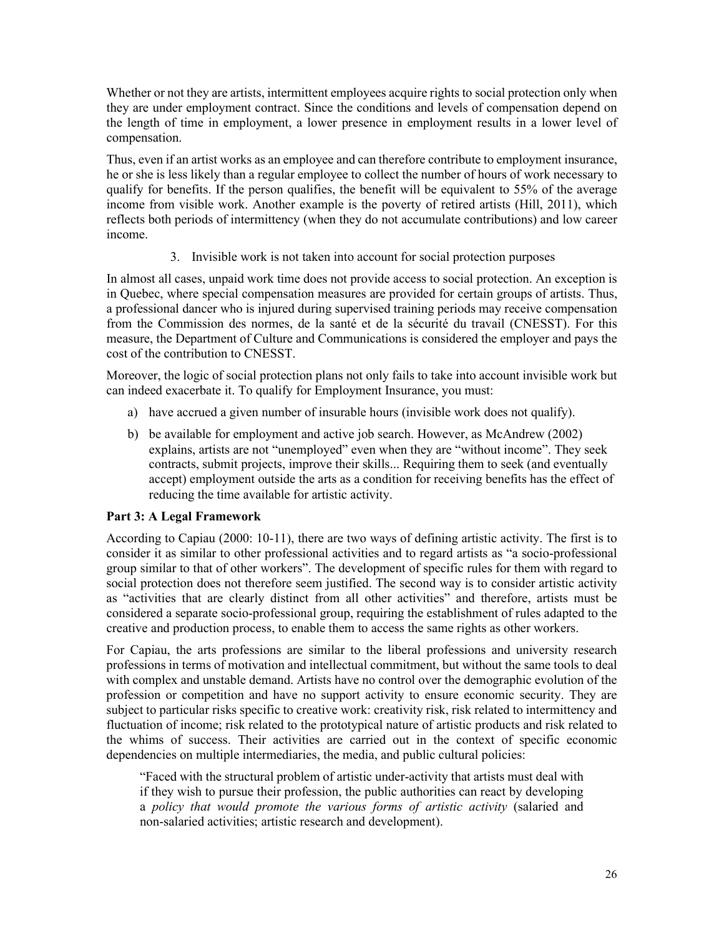Whether or not they are artists, intermittent employees acquire rights to social protection only when they are under employment contract. Since the conditions and levels of compensation depend on the length of time in employment, a lower presence in employment results in a lower level of compensation.

Thus, even if an artist works as an employee and can therefore contribute to employment insurance, he or she is less likely than a regular employee to collect the number of hours of work necessary to qualify for benefits. If the person qualifies, the benefit will be equivalent to 55% of the average income from visible work. Another example is the poverty of retired artists (Hill, 2011), which reflects both periods of intermittency (when they do not accumulate contributions) and low career income.

3. Invisible work is not taken into account for social protection purposes

In almost all cases, unpaid work time does not provide access to social protection. An exception is in Quebec, where special compensation measures are provided for certain groups of artists. Thus, a professional dancer who is injured during supervised training periods may receive compensation from the Commission des normes, de la santé et de la sécurité du travail (CNESST). For this measure, the Department of Culture and Communications is considered the employer and pays the cost of the contribution to CNESST.

Moreover, the logic of social protection plans not only fails to take into account invisible work but can indeed exacerbate it. To qualify for Employment Insurance, you must:

- a) have accrued a given number of insurable hours (invisible work does not qualify).
- b) be available for employment and active job search. However, as McAndrew (2002) explains, artists are not "unemployed" even when they are "without income". They seek contracts, submit projects, improve their skills... Requiring them to seek (and eventually accept) employment outside the arts as a condition for receiving benefits has the effect of reducing the time available for artistic activity.

# <span id="page-28-0"></span>**Part 3: A Legal Framework**

According to Capiau (2000: 10-11), there are two ways of defining artistic activity. The first is to consider it as similar to other professional activities and to regard artists as "a socio-professional group similar to that of other workers". The development of specific rules for them with regard to social protection does not therefore seem justified. The second way is to consider artistic activity as "activities that are clearly distinct from all other activities" and therefore, artists must be considered a separate socio-professional group, requiring the establishment of rules adapted to the creative and production process, to enable them to access the same rights as other workers.

For Capiau, the arts professions are similar to the liberal professions and university research professions in terms of motivation and intellectual commitment, but without the same tools to deal with complex and unstable demand. Artists have no control over the demographic evolution of the profession or competition and have no support activity to ensure economic security. They are subject to particular risks specific to creative work: creativity risk, risk related to intermittency and fluctuation of income; risk related to the prototypical nature of artistic products and risk related to the whims of success. Their activities are carried out in the context of specific economic dependencies on multiple intermediaries, the media, and public cultural policies:

"Faced with the structural problem of artistic under-activity that artists must deal with if they wish to pursue their profession, the public authorities can react by developing a *policy that would promote the various forms of artistic activity* (salaried and non-salaried activities; artistic research and development).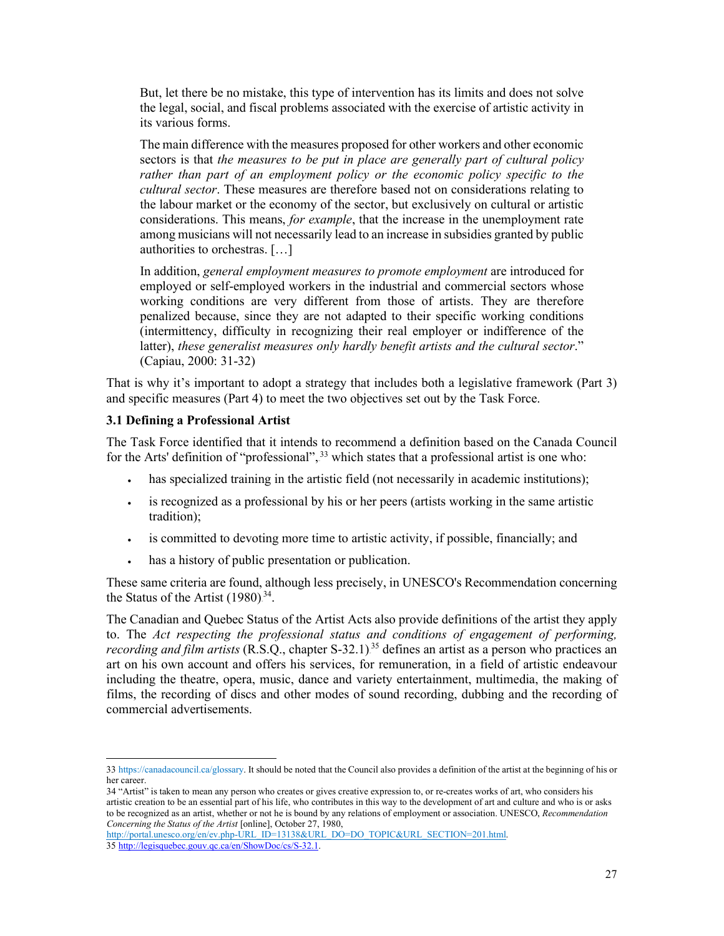But, let there be no mistake, this type of intervention has its limits and does not solve the legal, social, and fiscal problems associated with the exercise of artistic activity in its various forms.

The main difference with the measures proposed for other workers and other economic sectors is that *the measures to be put in place are generally part of cultural policy rather than part of an employment policy or the economic policy specific to the cultural sector*. These measures are therefore based not on considerations relating to the labour market or the economy of the sector, but exclusively on cultural or artistic considerations. This means, *for example*, that the increase in the unemployment rate among musicians will not necessarily lead to an increase in subsidies granted by public authorities to orchestras. […]

In addition, *general employment measures to promote employment* are introduced for employed or self-employed workers in the industrial and commercial sectors whose working conditions are very different from those of artists. They are therefore penalized because, since they are not adapted to their specific working conditions (intermittency, difficulty in recognizing their real employer or indifference of the latter), *these generalist measures only hardly benefit artists and the cultural sector*." (Capiau, 2000: 31-32)

That is why it's important to adopt a strategy that includes both a legislative framework (Part 3) and specific measures (Part 4) to meet the two objectives set out by the Task Force.

## <span id="page-29-0"></span>**3.1 Defining a Professional Artist**

The Task Force identified that it intends to recommend a definition based on the Canada Council for the Arts' definition of "professional",<sup>33</sup> which states that a professional artist is one who:

- has specialized training in the artistic field (not necessarily in academic institutions);
- is recognized as a professional by his or her peers (artists working in the same artistic tradition);
- is committed to devoting more time to artistic activity, if possible, financially; and
- has a history of public presentation or publication.

These same criteria are found, although less precisely, in UNESCO's Recommendation concerning the Status of the Artist  $(1980)^{34}$ .

The Canadian and Quebec Status of the Artist Acts also provide definitions of the artist they apply to. The *Act respecting the professional status and conditions of engagement of performing, recording and film artists* (R.S.Q., chapter S-32.1).<sup>35</sup> defines an artist as a person who practices an art on his own account and offers his services, for remuneration, in a field of artistic endeavour including the theatre, opera, music, dance and variety entertainment, multimedia, the making of films, the recording of discs and other modes of sound recording, dubbing and the recording of commercial advertisements.

[http://portal.unesco.org/en/ev.php-URL\\_ID=13138&URL\\_DO=DO\\_TOPIC&URL\\_SECTION=201.html.](http://portal.unesco.org/en/ev.php%20URL_ID=13138&URL_DO=DO_TOPIC&URL_SECTION=201.html)

<sup>33</sup> [https://canadacouncil.ca/glossary.](https://canadacouncil.ca/glossary) It should be noted that the Council also provides a definition of the artist at the beginning of his or her career.

<sup>34</sup> "Artist" is taken to mean any person who creates or gives creative expression to, or re-creates works of art, who considers his artistic creation to be an essential part of his life, who contributes in this way to the development of art and culture and who is or asks to be recognized as an artist, whether or not he is bound by any relations of employment or association. UNESCO, *Recommendation Concerning the Status of the Artist* [online], October 27, 1980,

<sup>35</sup> [http://legisquebec.gouv.qc.ca/en/ShowDoc/cs/S-32.1.](http://legisquebec.gouv.qc.ca/en/ShowDoc/cs/S-32.1)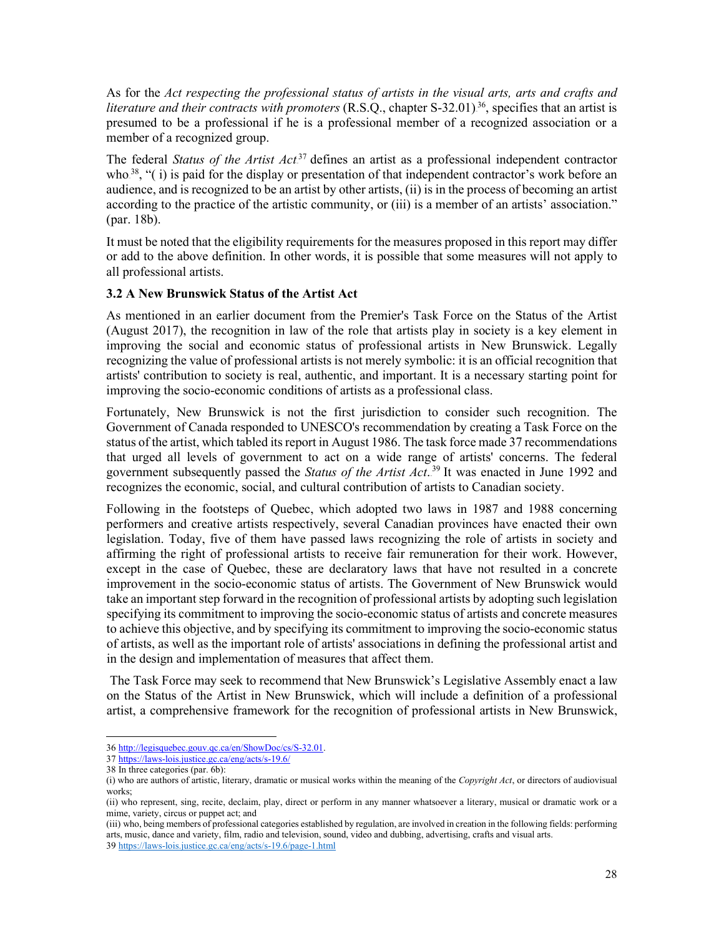As for the *Act respecting the professional status of artists in the visual arts, arts and crafts and literature and their contracts with promoters* (R.S.Q., chapter S-32.01)<sup>36</sup>, specifies that an artist is presumed to be a professional if he is a professional member of a recognized association or a member of a recognized group.

The federal *Status of the Artist Act*<sup>37</sup> defines an artist as a professional independent contractor who.<sup>38</sup>, " $(i)$  is paid for the display or presentation of that independent contractor's work before an audience, and is recognized to be an artist by other artists, (ii) is in the process of becoming an artist according to the practice of the artistic community, or (iii) is a member of an artists' association." (par. 18b).

It must be noted that the eligibility requirements for the measures proposed in this report may differ or add to the above definition. In other words, it is possible that some measures will not apply to all professional artists.

## <span id="page-30-0"></span>**3.2 A New Brunswick Status of the Artist Act**

As mentioned in an earlier document from the Premier's Task Force on the Status of the Artist (August 2017), the recognition in law of the role that artists play in society is a key element in improving the social and economic status of professional artists in New Brunswick. Legally recognizing the value of professional artists is not merely symbolic: it is an official recognition that artists' contribution to society is real, authentic, and important. It is a necessary starting point for improving the socio-economic conditions of artists as a professional class.

Fortunately, New Brunswick is not the first jurisdiction to consider such recognition. The Government of Canada responded to UNESCO's recommendation by creating a Task Force on the status of the artist, which tabled its report in August 1986. The task force made 37 recommendations that urged all levels of government to act on a wide range of artists' concerns. The federal government subsequently passed the *Status of the Artist Act*.<sup>39</sup> It was enacted in June 1992 and recognizes the economic, social, and cultural contribution of artists to Canadian society.

Following in the footsteps of Quebec, which adopted two laws in 1987 and 1988 concerning performers and creative artists respectively, several Canadian provinces have enacted their own legislation. Today, five of them have passed laws recognizing the role of artists in society and affirming the right of professional artists to receive fair remuneration for their work. However, except in the case of Quebec, these are declaratory laws that have not resulted in a concrete improvement in the socio-economic status of artists. The Government of New Brunswick would take an important step forward in the recognition of professional artists by adopting such legislation specifying its commitment to improving the socio-economic status of artists and concrete measures to achieve this objective, and by specifying its commitment to improving the socio-economic status of artists, as well as the important role of artists' associations in defining the professional artist and in the design and implementation of measures that affect them.

The Task Force may seek to recommend that New Brunswick's Legislative Assembly enact a law on the Status of the Artist in New Brunswick, which will include a definition of a professional artist, a comprehensive framework for the recognition of professional artists in New Brunswick,

<sup>36</sup> [http://legisquebec.gouv.qc.ca/en/ShowDoc/cs/S-32.01.](http://legisquebec.gouv.qc.ca/en/ShowDoc/cs/S-32.01)

<sup>37</sup> <https://laws-lois.justice.gc.ca/eng/acts/s-19.6/>

<sup>38</sup> In three categories (par. 6b):

<sup>(</sup>i) who are authors of artistic, literary, dramatic or musical works within the meaning of the *Copyright Act*, or directors of audiovisual works;

<sup>(</sup>ii) who represent, sing, recite, declaim, play, direct or perform in any manner whatsoever a literary, musical or dramatic work or a mime, variety, circus or puppet act; and

<sup>(</sup>iii) who, being members of professional categories established by regulation, are involved in creation in the following fields: performing arts, music, dance and variety, film, radio and television, sound, video and dubbing, advertising, crafts and visual arts. 39 <https://laws-lois.justice.gc.ca/eng/acts/s-19.6/page-1.html>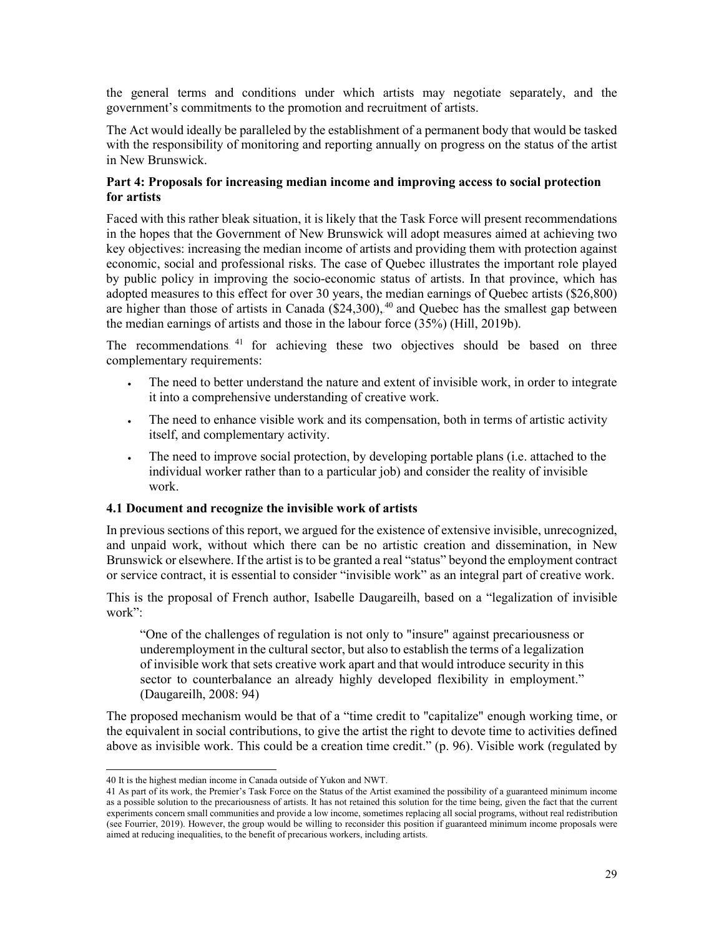the general terms and conditions under which artists may negotiate separately, and the government's commitments to the promotion and recruitment of artists.

The Act would ideally be paralleled by the establishment of a permanent body that would be tasked with the responsibility of monitoring and reporting annually on progress on the status of the artist in New Brunswick.

## <span id="page-31-0"></span>**Part 4: Proposals for increasing median income and improving access to social protection for artists**

Faced with this rather bleak situation, it is likely that the Task Force will present recommendations in the hopes that the Government of New Brunswick will adopt measures aimed at achieving two key objectives: increasing the median income of artists and providing them with protection against economic, social and professional risks. The case of Quebec illustrates the important role played by public policy in improving the socio-economic status of artists. In that province, which has adopted measures to this effect for over 30 years, the median earnings of Quebec artists (\$26,800) are higher than those of artists in Canada (\$24,300), <sup>40</sup> and Quebec has the smallest gap between the median earnings of artists and those in the labour force (35%) (Hill, 2019b).

The recommendations.<sup>41</sup> for achieving these two objectives should be based on three complementary requirements:

- The need to better understand the nature and extent of invisible work, in order to integrate it into a comprehensive understanding of creative work.
- The need to enhance visible work and its compensation, both in terms of artistic activity itself, and complementary activity.
- The need to improve social protection, by developing portable plans (i.e. attached to the individual worker rather than to a particular job) and consider the reality of invisible work.

## <span id="page-31-1"></span>**4.1 Document and recognize the invisible work of artists**

In previous sections of this report, we argued for the existence of extensive invisible, unrecognized, and unpaid work, without which there can be no artistic creation and dissemination, in New Brunswick or elsewhere. If the artist is to be granted a real "status" beyond the employment contract or service contract, it is essential to consider "invisible work" as an integral part of creative work.

This is the proposal of French author, Isabelle Daugareilh, based on a "legalization of invisible work":

"One of the challenges of regulation is not only to "insure" against precariousness or underemployment in the cultural sector, but also to establish the terms of a legalization of invisible work that sets creative work apart and that would introduce security in this sector to counterbalance an already highly developed flexibility in employment." (Daugareilh, 2008: 94)

The proposed mechanism would be that of a "time credit to "capitalize" enough working time, or the equivalent in social contributions, to give the artist the right to devote time to activities defined above as invisible work. This could be a creation time credit." (p. 96). Visible work (regulated by

<sup>40</sup> It is the highest median income in Canada outside of Yukon and NWT.

<sup>41</sup> As part of its work, the Premier's Task Force on the Status of the Artist examined the possibility of a guaranteed minimum income as a possible solution to the precariousness of artists. It has not retained this solution for the time being, given the fact that the current experiments concern small communities and provide a low income, sometimes replacing all social programs, without real redistribution (see Fourrier, 2019). However, the group would be willing to reconsider this position if guaranteed minimum income proposals were aimed at reducing inequalities, to the benefit of precarious workers, including artists.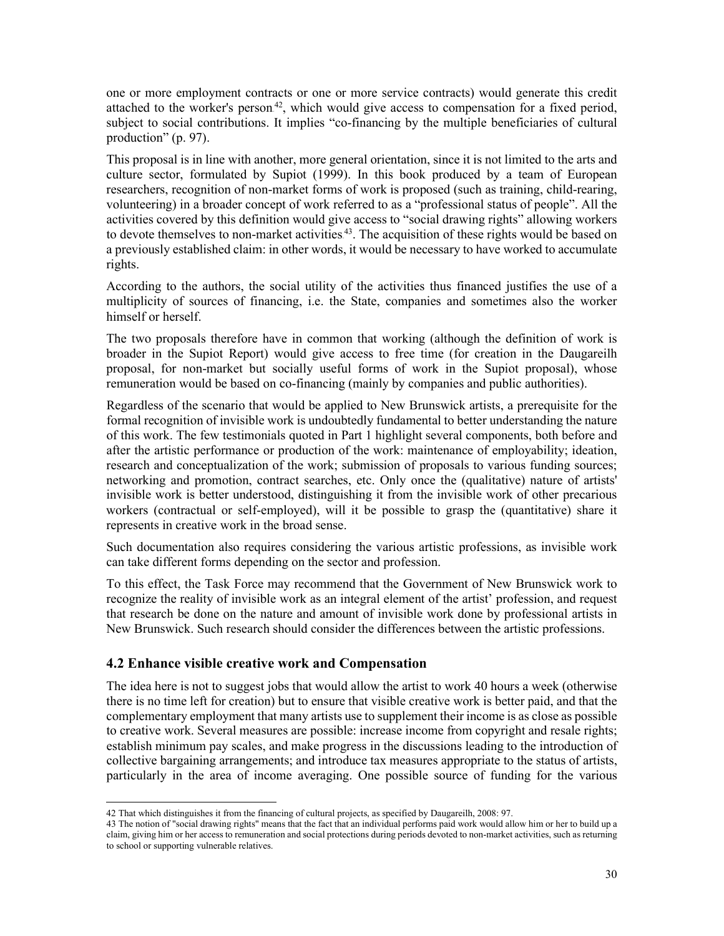one or more employment contracts or one or more service contracts) would generate this credit attached to the worker's person.<sup>42</sup>, which would give access to compensation for a fixed period, subject to social contributions. It implies "co-financing by the multiple beneficiaries of cultural production" (p. 97).

This proposal is in line with another, more general orientation, since it is not limited to the arts and culture sector, formulated by Supiot (1999). In this book produced by a team of European researchers, recognition of non-market forms of work is proposed (such as training, child-rearing, volunteering) in a broader concept of work referred to as a "professional status of people". All the activities covered by this definition would give access to "social drawing rights" allowing workers to devote themselves to non-market activities.<sup>43</sup>. The acquisition of these rights would be based on a previously established claim: in other words, it would be necessary to have worked to accumulate rights.

According to the authors, the social utility of the activities thus financed justifies the use of a multiplicity of sources of financing, i.e. the State, companies and sometimes also the worker himself or herself.

The two proposals therefore have in common that working (although the definition of work is broader in the Supiot Report) would give access to free time (for creation in the Daugareilh proposal, for non-market but socially useful forms of work in the Supiot proposal), whose remuneration would be based on co-financing (mainly by companies and public authorities).

Regardless of the scenario that would be applied to New Brunswick artists, a prerequisite for the formal recognition of invisible work is undoubtedly fundamental to better understanding the nature of this work. The few testimonials quoted in Part 1 highlight several components, both before and after the artistic performance or production of the work: maintenance of employability; ideation, research and conceptualization of the work; submission of proposals to various funding sources; networking and promotion, contract searches, etc. Only once the (qualitative) nature of artists' invisible work is better understood, distinguishing it from the invisible work of other precarious workers (contractual or self-employed), will it be possible to grasp the (quantitative) share it represents in creative work in the broad sense.

Such documentation also requires considering the various artistic professions, as invisible work can take different forms depending on the sector and profession.

To this effect, the Task Force may recommend that the Government of New Brunswick work to recognize the reality of invisible work as an integral element of the artist' profession, and request that research be done on the nature and amount of invisible work done by professional artists in New Brunswick. Such research should consider the differences between the artistic professions.

# <span id="page-32-0"></span>**4.2 Enhance visible creative work and Compensation**

The idea here is not to suggest jobs that would allow the artist to work 40 hours a week (otherwise there is no time left for creation) but to ensure that visible creative work is better paid, and that the complementary employment that many artists use to supplement their income is as close as possible to creative work. Several measures are possible: increase income from copyright and resale rights; establish minimum pay scales, and make progress in the discussions leading to the introduction of collective bargaining arrangements; and introduce tax measures appropriate to the status of artists, particularly in the area of income averaging. One possible source of funding for the various

<sup>42</sup> That which distinguishes it from the financing of cultural projects, as specified by Daugareilh, 2008: 97.

<sup>43</sup> The notion of "social drawing rights" means that the fact that an individual performs paid work would allow him or her to build up a claim, giving him or her access to remuneration and social protections during periods devoted to non-market activities, such as returning to school or supporting vulnerable relatives.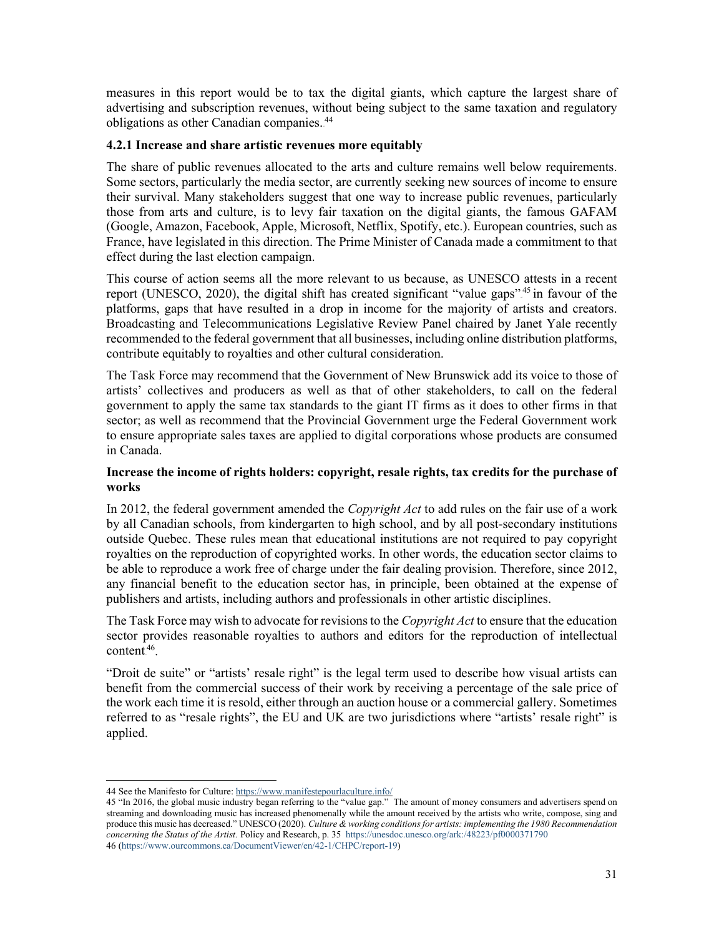measures in this report would be to tax the digital giants, which capture the largest share of advertising and subscription revenues, without being subject to the same taxation and regulatory obligations as other Canadian companies.<sup>44</sup>

## <span id="page-33-0"></span>**4.2.1 Increase and share artistic revenues more equitably**

The share of public revenues allocated to the arts and culture remains well below requirements. Some sectors, particularly the media sector, are currently seeking new sources of income to ensure their survival. Many stakeholders suggest that one way to increase public revenues, particularly those from arts and culture, is to levy fair taxation on the digital giants, the famous GAFAM (Google, Amazon, Facebook, Apple, Microsoft, Netflix, Spotify, etc.). European countries, such as France, have legislated in this direction. The Prime Minister of Canada made a commitment to that effect during the last election campaign.

This course of action seems all the more relevant to us because, as UNESCO attests in a recent report (UNESCO, 2020), the digital shift has created significant "value gaps".<sup>45</sup> in favour of the platforms, gaps that have resulted in a drop in income for the majority of artists and creators. Broadcasting and Telecommunications Legislative Review Panel chaired by Janet Yale recently recommended to the federal government that all businesses, including online distribution platforms, contribute equitably to royalties and other cultural consideration.

The Task Force may recommend that the Government of New Brunswick add its voice to those of artists' collectives and producers as well as that of other stakeholders, to call on the federal government to apply the same tax standards to the giant IT firms as it does to other firms in that sector; as well as recommend that the Provincial Government urge the Federal Government work to ensure appropriate sales taxes are applied to digital corporations whose products are consumed in Canada.

## **Increase the income of rights holders: copyright, resale rights, tax credits for the purchase of works**

In 2012, the federal government amended the *Copyright Act* to add rules on the fair use of a work by all Canadian schools, from kindergarten to high school, and by all post-secondary institutions outside Quebec. These rules mean that educational institutions are not required to pay copyright royalties on the reproduction of copyrighted works. In other words, the education sector claims to be able to reproduce a work free of charge under the fair dealing provision. Therefore, since 2012, any financial benefit to the education sector has, in principle, been obtained at the expense of publishers and artists, including authors and professionals in other artistic disciplines.

The Task Force may wish to advocate for revisionsto the *Copyright Act* to ensure that the education sector provides reasonable royalties to authors and editors for the reproduction of intellectual  $content<sup>46</sup>$ .

"Droit de suite" or "artists' resale right" is the legal term used to describe how visual artists can benefit from the commercial success of their work by receiving a percentage of the sale price of the work each time it is resold, either through an auction house or a commercial gallery. Sometimes referred to as "resale rights", the EU and UK are two jurisdictions where "artists' resale right" is applied.

<sup>44</sup> See the Manifesto for Culture: <https://www.manifestepourlaculture.info/>

<sup>45</sup> "In 2016, the global music industry began referring to the "value gap." The amount of money consumers and advertisers spend on streaming and downloading music has increased phenomenally while the amount received by the artists who write, compose, sing and produce this music has decreased." UNESCO (2020). *Culture & working conditionsfor artists: implementing the 1980 Recommendation concerning the Status of the Artist.* Policy and Research, p. 35 <https://unesdoc.unesco.org/ark:/48223/pf0000371790> 46 [\(https://www.ourcommons.ca/DocumentViewer/en/42-1/CHPC/report-19\)](https://www.noscommunes.ca/DocumentViewer/fr/42-1/CHPC/rapport-19/)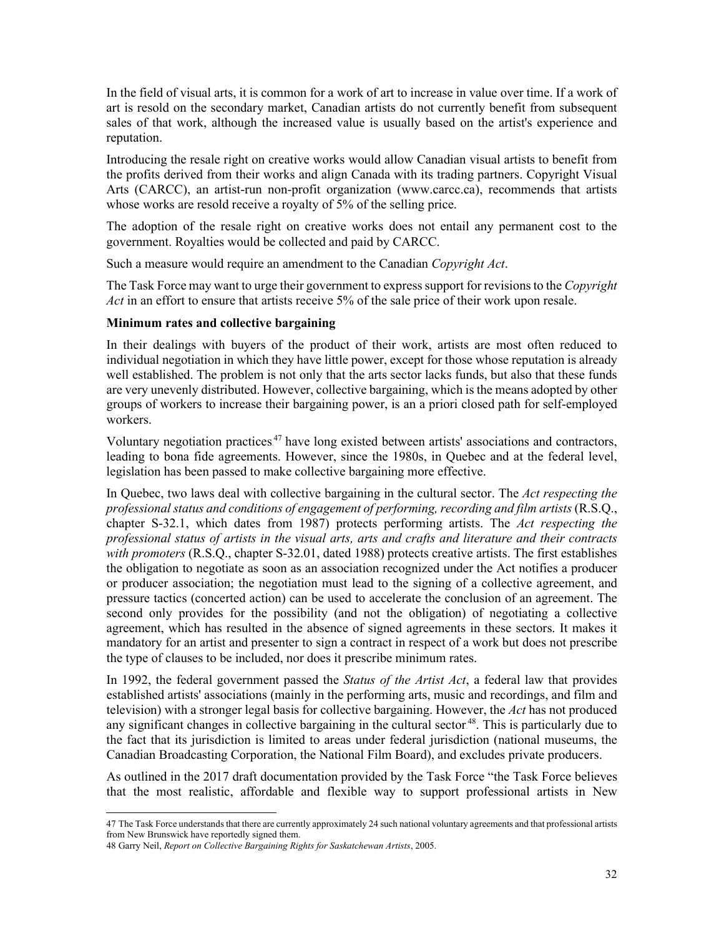In the field of visual arts, it is common for a work of art to increase in value over time. If a work of art is resold on the secondary market, Canadian artists do not currently benefit from subsequent sales of that work, although the increased value is usually based on the artist's experience and reputation.

Introducing the resale right on creative works would allow Canadian visual artists to benefit from the profits derived from their works and align Canada with its trading partners. Copyright Visual Arts (CARCC), an artist-run non-profit organization (www.carcc.ca), recommends that artists whose works are resold receive a royalty of 5% of the selling price.

The adoption of the resale right on creative works does not entail any permanent cost to the government. Royalties would be collected and paid by CARCC.

Such a measure would require an amendment to the Canadian *Copyright Act*.

The Task Force may want to urge their government to express support for revisions to the *Copyright Act* in an effort to ensure that artists receive 5% of the sale price of their work upon resale.

#### **Minimum rates and collective bargaining**

In their dealings with buyers of the product of their work, artists are most often reduced to individual negotiation in which they have little power, except for those whose reputation is already well established. The problem is not only that the arts sector lacks funds, but also that these funds are very unevenly distributed. However, collective bargaining, which is the means adopted by other groups of workers to increase their bargaining power, is an a priori closed path for self-employed workers.

Voluntary negotiation practices.<sup>47</sup> have long existed between artists' associations and contractors, leading to bona fide agreements. However, since the 1980s, in Quebec and at the federal level, legislation has been passed to make collective bargaining more effective.

In Quebec, two laws deal with collective bargaining in the cultural sector. The *Act respecting the professional status and conditions of engagement of performing, recording and film artists* (R.S.Q., chapter S-32.1, which dates from 1987) protects performing artists. The *Act respecting the professional status of artists in the visual arts, arts and crafts and literature and their contracts with promoters* (R.S.Q., chapter S-32.01, dated 1988) protects creative artists. The first establishes the obligation to negotiate as soon as an association recognized under the Act notifies a producer or producer association; the negotiation must lead to the signing of a collective agreement, and pressure tactics (concerted action) can be used to accelerate the conclusion of an agreement. The second only provides for the possibility (and not the obligation) of negotiating a collective agreement, which has resulted in the absence of signed agreements in these sectors. It makes it mandatory for an artist and presenter to sign a contract in respect of a work but does not prescribe the type of clauses to be included, nor does it prescribe minimum rates.

In 1992, the federal government passed the *Status of the Artist Act*, a federal law that provides established artists' associations (mainly in the performing arts, music and recordings, and film and television) with a stronger legal basis for collective bargaining. However, the *Act* has not produced any significant changes in collective bargaining in the cultural sector.<sup>48</sup>. This is particularly due to the fact that its jurisdiction is limited to areas under federal jurisdiction (national museums, the Canadian Broadcasting Corporation, the National Film Board), and excludes private producers.

As outlined in the 2017 draft documentation provided by the Task Force "the Task Force believes that the most realistic, affordable and flexible way to support professional artists in New

47 The Task Force understands that there are currently approximately 24 such national voluntary agreements and that professional artists from New Brunswick have reportedly signed them.

<sup>48</sup> Garry Neil, *Report on Collective Bargaining Rights for Saskatchewan Artists*, 2005.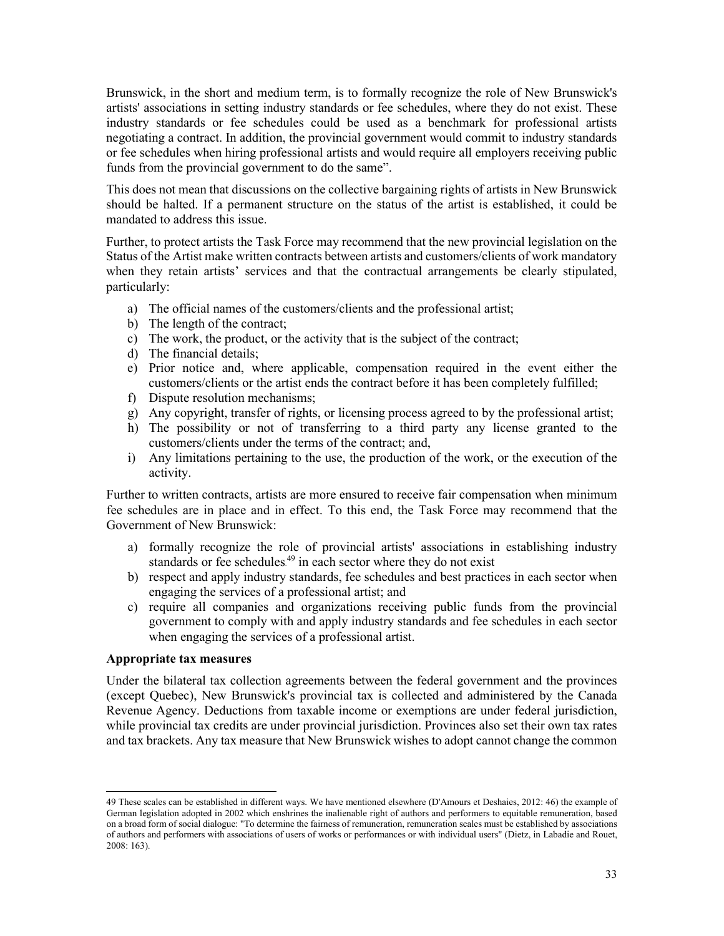Brunswick, in the short and medium term, is to formally recognize the role of New Brunswick's artists' associations in setting industry standards or fee schedules, where they do not exist. These industry standards or fee schedules could be used as a benchmark for professional artists negotiating a contract. In addition, the provincial government would commit to industry standards or fee schedules when hiring professional artists and would require all employers receiving public funds from the provincial government to do the same".

This does not mean that discussions on the collective bargaining rights of artists in New Brunswick should be halted. If a permanent structure on the status of the artist is established, it could be mandated to address this issue.

Further, to protect artists the Task Force may recommend that the new provincial legislation on the Status of the Artist make written contracts between artists and customers/clients of work mandatory when they retain artists' services and that the contractual arrangements be clearly stipulated, particularly:

- a) The official names of the customers/clients and the professional artist;
- b) The length of the contract;
- c) The work, the product, or the activity that is the subject of the contract;
- d) The financial details;
- e) Prior notice and, where applicable, compensation required in the event either the customers/clients or the artist ends the contract before it has been completely fulfilled;
- f) Dispute resolution mechanisms;
- g) Any copyright, transfer of rights, or licensing process agreed to by the professional artist;
- h) The possibility or not of transferring to a third party any license granted to the customers/clients under the terms of the contract; and,
- i) Any limitations pertaining to the use, the production of the work, or the execution of the activity.

Further to written contracts, artists are more ensured to receive fair compensation when minimum fee schedules are in place and in effect. To this end, the Task Force may recommend that the Government of New Brunswick:

- a) formally recognize the role of provincial artists' associations in establishing industry standards or fee schedules.<sup>49</sup> in each sector where they do not exist
- b) respect and apply industry standards, fee schedules and best practices in each sector when engaging the services of a professional artist; and
- c) require all companies and organizations receiving public funds from the provincial government to comply with and apply industry standards and fee schedules in each sector when engaging the services of a professional artist.

#### **Appropriate tax measures**

Under the bilateral tax collection agreements between the federal government and the provinces (except Quebec), New Brunswick's provincial tax is collected and administered by the Canada Revenue Agency. Deductions from taxable income or exemptions are under federal jurisdiction, while provincial tax credits are under provincial jurisdiction. Provinces also set their own tax rates and tax brackets. Any tax measure that New Brunswick wishes to adopt cannot change the common

<sup>49</sup> These scales can be established in different ways. We have mentioned elsewhere (D'Amours et Deshaies, 2012: 46) the example of German legislation adopted in 2002 which enshrines the inalienable right of authors and performers to equitable remuneration, based on a broad form of social dialogue: "To determine the fairness of remuneration, remuneration scales must be established by associations of authors and performers with associations of users of works or performances or with individual users" (Dietz, in Labadie and Rouet, 2008: 163).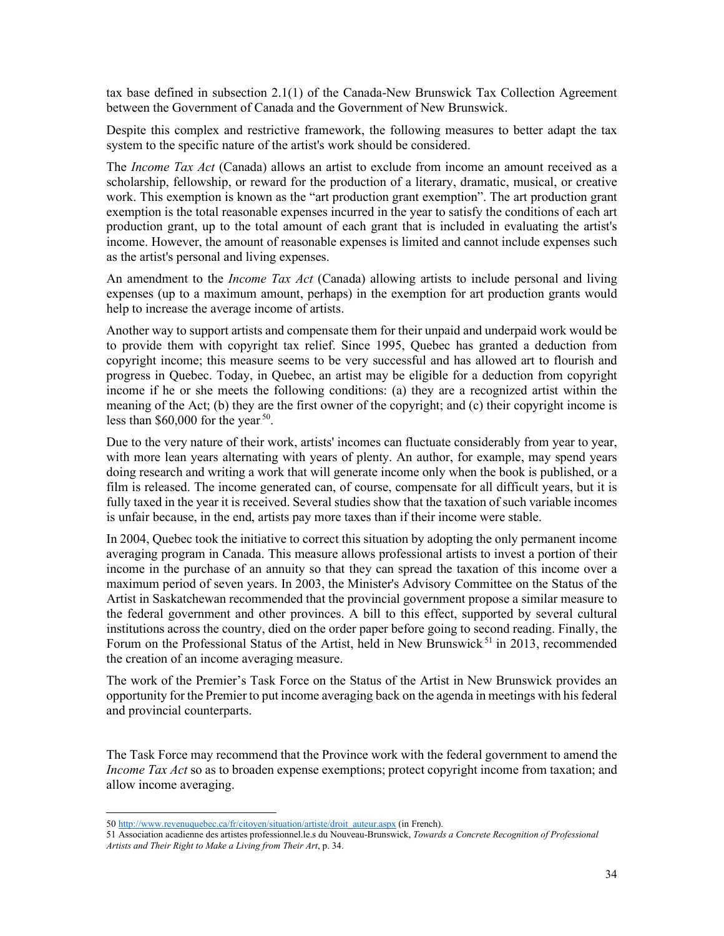tax base defined in subsection 2.1(1) of the Canada-New Brunswick Tax Collection Agreement between the Government of Canada and the Government of New Brunswick.

Despite this complex and restrictive framework, the following measures to better adapt the tax system to the specific nature of the artist's work should be considered.

The *Income Tax Act* (Canada) allows an artist to exclude from income an amount received as a scholarship, fellowship, or reward for the production of a literary, dramatic, musical, or creative work. This exemption is known as the "art production grant exemption". The art production grant exemption is the total reasonable expenses incurred in the year to satisfy the conditions of each art production grant, up to the total amount of each grant that is included in evaluating the artist's income. However, the amount of reasonable expenses is limited and cannot include expenses such as the artist's personal and living expenses.

An amendment to the *Income Tax Act* (Canada) allowing artists to include personal and living expenses (up to a maximum amount, perhaps) in the exemption for art production grants would help to increase the average income of artists.

Another way to support artists and compensate them for their unpaid and underpaid work would be to provide them with copyright tax relief. Since 1995, Quebec has granted a deduction from copyright income; this measure seems to be very successful and has allowed art to flourish and progress in Quebec. Today, in Quebec, an artist may be eligible for a deduction from copyright income if he or she meets the following conditions: (a) they are a recognized artist within the meaning of the Act; (b) they are the first owner of the copyright; and (c) their copyright income is less than  $$60,000$  for the year.<sup>50</sup>.

Due to the very nature of their work, artists' incomes can fluctuate considerably from year to year, with more lean years alternating with years of plenty. An author, for example, may spend years doing research and writing a work that will generate income only when the book is published, or a film is released. The income generated can, of course, compensate for all difficult years, but it is fully taxed in the year it is received. Several studies show that the taxation of such variable incomes is unfair because, in the end, artists pay more taxes than if their income were stable.

In 2004, Quebec took the initiative to correct this situation by adopting the only permanent income averaging program in Canada. This measure allows professional artists to invest a portion of their income in the purchase of an annuity so that they can spread the taxation of this income over a maximum period of seven years. In 2003, the Minister's Advisory Committee on the Status of the Artist in Saskatchewan recommended that the provincial government propose a similar measure to the federal government and other provinces. A bill to this effect, supported by several cultural institutions across the country, died on the order paper before going to second reading. Finally, the Forum on the Professional Status of the Artist, held in New Brunswick<sup>51</sup> in 2013, recommended the creation of an income averaging measure.

The work of the Premier's Task Force on the Status of the Artist in New Brunswick provides an opportunity for the Premier to put income averaging back on the agenda in meetings with his federal and provincial counterparts.

The Task Force may recommend that the Province work with the federal government to amend the *Income Tax Act* so as to broaden expense exemptions; protect copyright income from taxation; and allow income averaging.

<sup>50</sup> [http://www.revenuquebec.ca/fr/citoyen/situation/artiste/droit\\_auteur.aspx](http://www.revenuquebec.ca/fr/citoyen/situation/artiste/droit_auteur.aspx) (in French).

<sup>51</sup> Association acadienne des artistes professionnel.le.s du Nouveau-Brunswick, *Towards a Concrete Recognition of Professional Artists and Their Right to Make a Living from Their Art*, p. 34.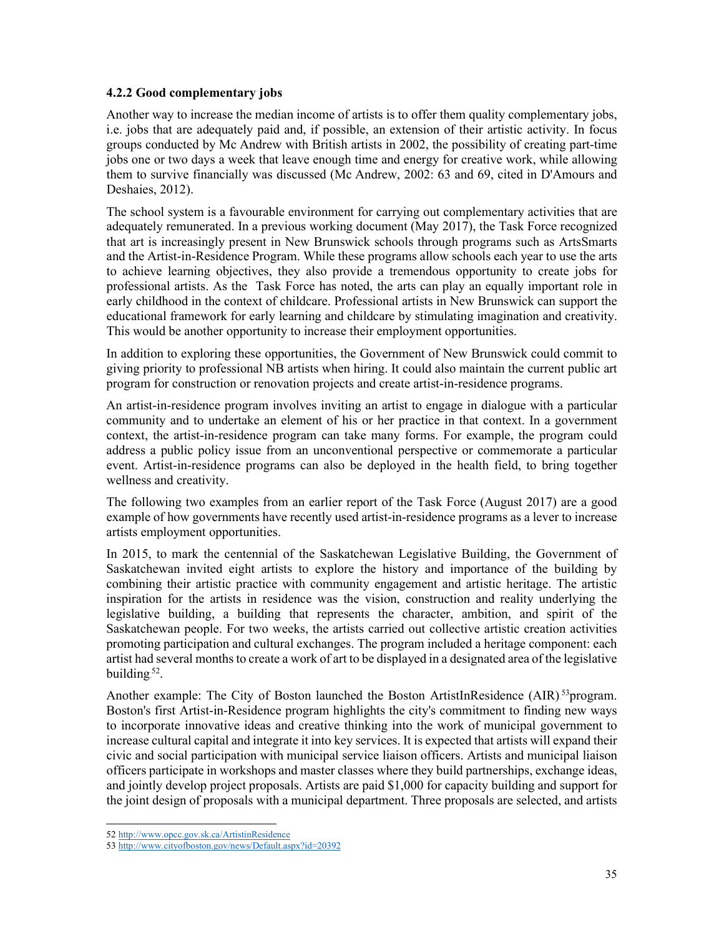#### <span id="page-37-0"></span>**4.2.2 Good complementary jobs**

Another way to increase the median income of artists is to offer them quality complementary jobs, i.e. jobs that are adequately paid and, if possible, an extension of their artistic activity. In focus groups conducted by Mc Andrew with British artists in 2002, the possibility of creating part-time jobs one or two days a week that leave enough time and energy for creative work, while allowing them to survive financially was discussed (Mc Andrew, 2002: 63 and 69, cited in D'Amours and Deshaies, 2012).

The school system is a favourable environment for carrying out complementary activities that are adequately remunerated. In a previous working document (May 2017), the Task Force recognized that art is increasingly present in New Brunswick schools through programs such as ArtsSmarts and the Artist-in-Residence Program. While these programs allow schools each year to use the arts to achieve learning objectives, they also provide a tremendous opportunity to create jobs for professional artists. As the Task Force has noted, the arts can play an equally important role in early childhood in the context of childcare. Professional artists in New Brunswick can support the educational framework for early learning and childcare by stimulating imagination and creativity. This would be another opportunity to increase their employment opportunities.

In addition to exploring these opportunities, the Government of New Brunswick could commit to giving priority to professional NB artists when hiring. It could also maintain the current public art program for construction or renovation projects and create artist-in-residence programs.

An artist-in-residence program involves inviting an artist to engage in dialogue with a particular community and to undertake an element of his or her practice in that context. In a government context, the artist-in-residence program can take many forms. For example, the program could address a public policy issue from an unconventional perspective or commemorate a particular event. Artist-in-residence programs can also be deployed in the health field, to bring together wellness and creativity.

The following two examples from an earlier report of the Task Force (August 2017) are a good example of how governments have recently used artist-in-residence programs as a lever to increase artists employment opportunities.

In 2015, to mark the centennial of the Saskatchewan Legislative Building, the Government of Saskatchewan invited eight artists to explore the history and importance of the building by combining their artistic practice with community engagement and artistic heritage. The artistic inspiration for the artists in residence was the vision, construction and reality underlying the legislative building, a building that represents the character, ambition, and spirit of the Saskatchewan people. For two weeks, the artists carried out collective artistic creation activities promoting participation and cultural exchanges. The program included a heritage component: each artist had several monthsto create a work of art to be displayed in a designated area of the legislative building.<sup>52</sup>.

Another example: The City of Boston launched the Boston ArtistInResidence (AIR)<sup>53</sup>program. Boston's first Artist-in-Residence program highlights the city's commitment to finding new ways to incorporate innovative ideas and creative thinking into the work of municipal government to increase cultural capital and integrate it into key services. It is expected that artists will expand their civic and social participation with municipal service liaison officers. Artists and municipal liaison officers participate in workshops and master classes where they build partnerships, exchange ideas, and jointly develop project proposals. Artists are paid \$1,000 for capacity building and support for the joint design of proposals with a municipal department. Three proposals are selected, and artists

<sup>52</sup> <http://www.opcc.gov.sk.ca/ArtistinResidence>

<sup>53</sup> <http://www.cityofboston.gov/news/Default.aspx?id=20392>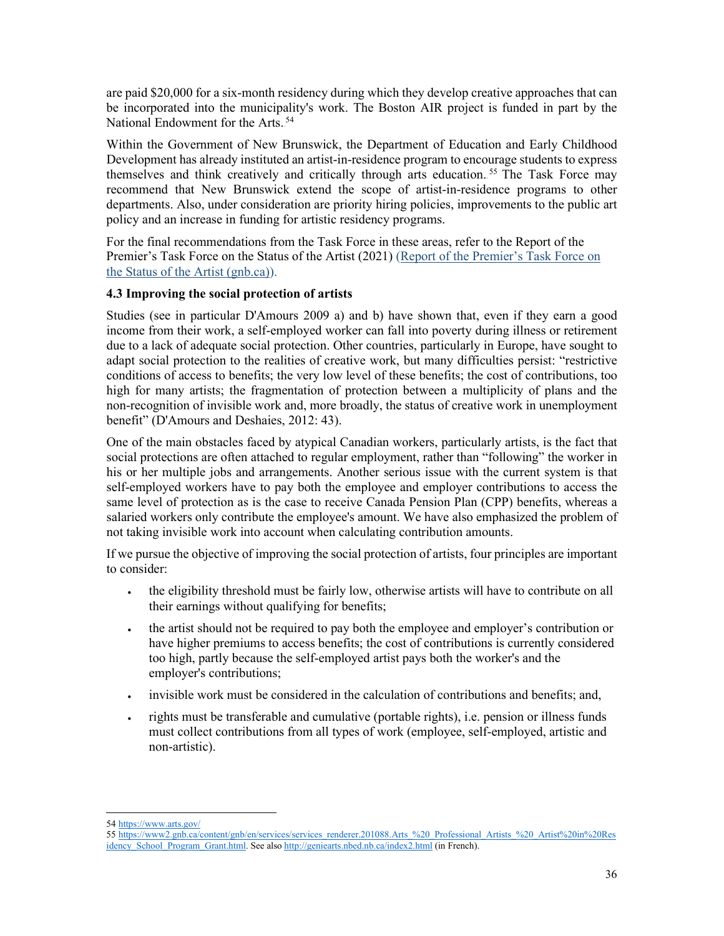are paid \$20,000 for a six-month residency during which they develop creative approaches that can be incorporated into the municipality's work. The Boston AIR project is funded in part by the National Endowment for the Arts.<sup>54</sup>

Within the Government of New Brunswick, the Department of Education and Early Childhood Development has already instituted an artist-in-residence program to encourage students to express themselves and think creatively and critically through arts education.<sup>55</sup> The Task Force may recommend that New Brunswick extend the scope of artist-in-residence programs to other departments. Also, under consideration are priority hiring policies, improvements to the public art policy and an increase in funding for artistic residency programs.

For the final recommendations from the Task Force in these areas, refer to the Report of the Premier's Task Force on the Status of the Artist (2021) (Report of the [Premier's](https://www2.gnb.ca/content/gnb/en/departments/thc/culture/content/status-of-the-artist.html) Task Force on the Status of the Artist [\(gnb.ca\)\)](https://www2.gnb.ca/content/gnb/en/departments/thc/culture/content/status-of-the-artist.html).

## <span id="page-38-0"></span>**4.3 Improving the social protection of artists**

Studies (see in particular D'Amours 2009 a) and b) have shown that, even if they earn a good income from their work, a self-employed worker can fall into poverty during illness or retirement due to a lack of adequate social protection. Other countries, particularly in Europe, have sought to adapt social protection to the realities of creative work, but many difficulties persist: "restrictive conditions of access to benefits; the very low level of these benefits; the cost of contributions, too high for many artists; the fragmentation of protection between a multiplicity of plans and the non-recognition of invisible work and, more broadly, the status of creative work in unemployment benefit" (D'Amours and Deshaies, 2012: 43).

One of the main obstacles faced by atypical Canadian workers, particularly artists, is the fact that social protections are often attached to regular employment, rather than "following" the worker in his or her multiple jobs and arrangements. Another serious issue with the current system is that self-employed workers have to pay both the employee and employer contributions to access the same level of protection as is the case to receive Canada Pension Plan (CPP) benefits, whereas a salaried workers only contribute the employee's amount. We have also emphasized the problem of not taking invisible work into account when calculating contribution amounts.

If we pursue the objective of improving the social protection of artists, four principles are important to consider:

- the eligibility threshold must be fairly low, otherwise artists will have to contribute on all their earnings without qualifying for benefits;
- the artist should not be required to pay both the employee and employer's contribution or have higher premiums to access benefits; the cost of contributions is currently considered too high, partly because the self-employed artist pays both the worker's and the employer's contributions;
- invisible work must be considered in the calculation of contributions and benefits; and,
- rights must be transferable and cumulative (portable rights), i.e. pension or illness funds must collect contributions from all types of work (employee, self-employed, artistic and non-artistic).

<sup>54</sup> <https://www.arts.gov/>

<sup>55</sup> [https://www2.gnb.ca/content/gnb/en/services/services\\_renderer.201088.Arts\\_%20\\_Professional\\_Artists\\_%20\\_Artist%20in%20Res](https://www2.gnb.ca/content/gnb/en/services/services_renderer.201088.Arts_%2520_Professional_Artists_%2520_Artist%2520in%2520Residency_School_Program_Grant.html) [idency\\_School\\_Program\\_Grant.html.](https://www2.gnb.ca/content/gnb/en/services/services_renderer.201088.Arts_%2520_Professional_Artists_%2520_Artist%2520in%2520Residency_School_Program_Grant.html) See also <http://geniearts.nbed.nb.ca/index2.html> (in French).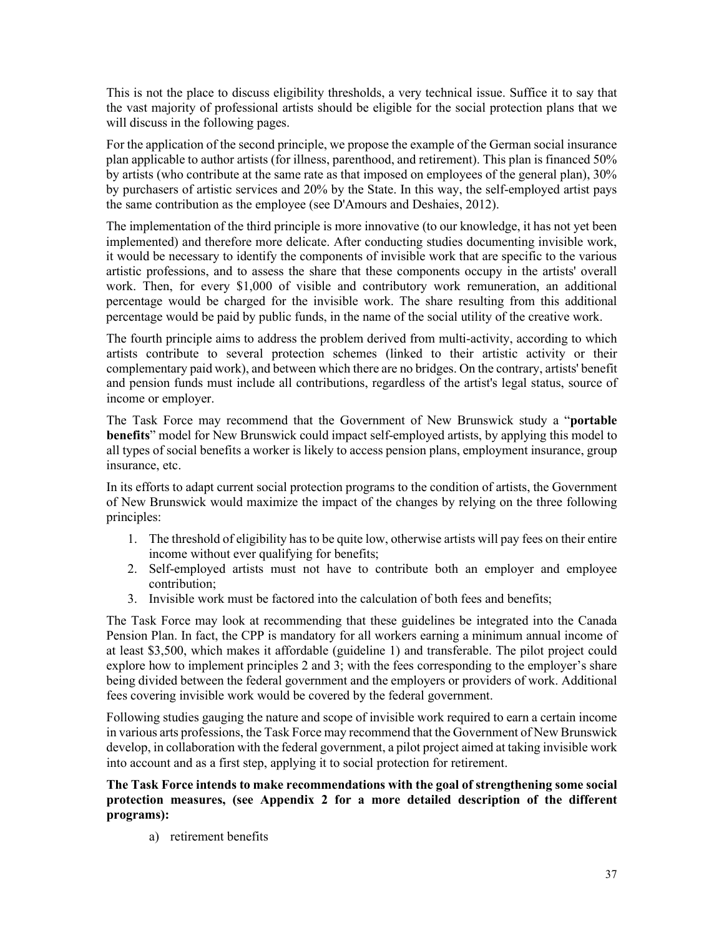This is not the place to discuss eligibility thresholds, a very technical issue. Suffice it to say that the vast majority of professional artists should be eligible for the social protection plans that we will discuss in the following pages.

For the application of the second principle, we propose the example of the German social insurance plan applicable to author artists (for illness, parenthood, and retirement). This plan is financed 50% by artists (who contribute at the same rate as that imposed on employees of the general plan), 30% by purchasers of artistic services and 20% by the State. In this way, the self-employed artist pays the same contribution as the employee (see D'Amours and Deshaies, 2012).

The implementation of the third principle is more innovative (to our knowledge, it has not yet been implemented) and therefore more delicate. After conducting studies documenting invisible work, it would be necessary to identify the components of invisible work that are specific to the various artistic professions, and to assess the share that these components occupy in the artists' overall work. Then, for every \$1,000 of visible and contributory work remuneration, an additional percentage would be charged for the invisible work. The share resulting from this additional percentage would be paid by public funds, in the name of the social utility of the creative work.

The fourth principle aims to address the problem derived from multi-activity, according to which artists contribute to several protection schemes (linked to their artistic activity or their complementary paid work), and between which there are no bridges. On the contrary, artists' benefit and pension funds must include all contributions, regardless of the artist's legal status, source of income or employer.

The Task Force may recommend that the Government of New Brunswick study a "**portable benefits**" model for New Brunswick could impact self-employed artists, by applying this model to all types of social benefits a worker is likely to access pension plans, employment insurance, group insurance, etc.

In its efforts to adapt current social protection programs to the condition of artists, the Government of New Brunswick would maximize the impact of the changes by relying on the three following principles:

- 1. The threshold of eligibility has to be quite low, otherwise artists will pay fees on their entire income without ever qualifying for benefits;
- 2. Self-employed artists must not have to contribute both an employer and employee contribution;
- 3. Invisible work must be factored into the calculation of both fees and benefits;

The Task Force may look at recommending that these guidelines be integrated into the Canada Pension Plan. In fact, the CPP is mandatory for all workers earning a minimum annual income of at least \$3,500, which makes it affordable (guideline 1) and transferable. The pilot project could explore how to implement principles 2 and 3; with the fees corresponding to the employer's share being divided between the federal government and the employers or providers of work. Additional fees covering invisible work would be covered by the federal government.

Following studies gauging the nature and scope of invisible work required to earn a certain income in various arts professions, the Task Force may recommend that the Government of New Brunswick develop, in collaboration with the federal government, a pilot project aimed at taking invisible work into account and as a first step, applying it to social protection for retirement.

**The Task Force intends to make recommendations with the goal of strengthening some social protection measures, (see Appendix 2 for a more detailed description of the different programs):**

a) retirement benefits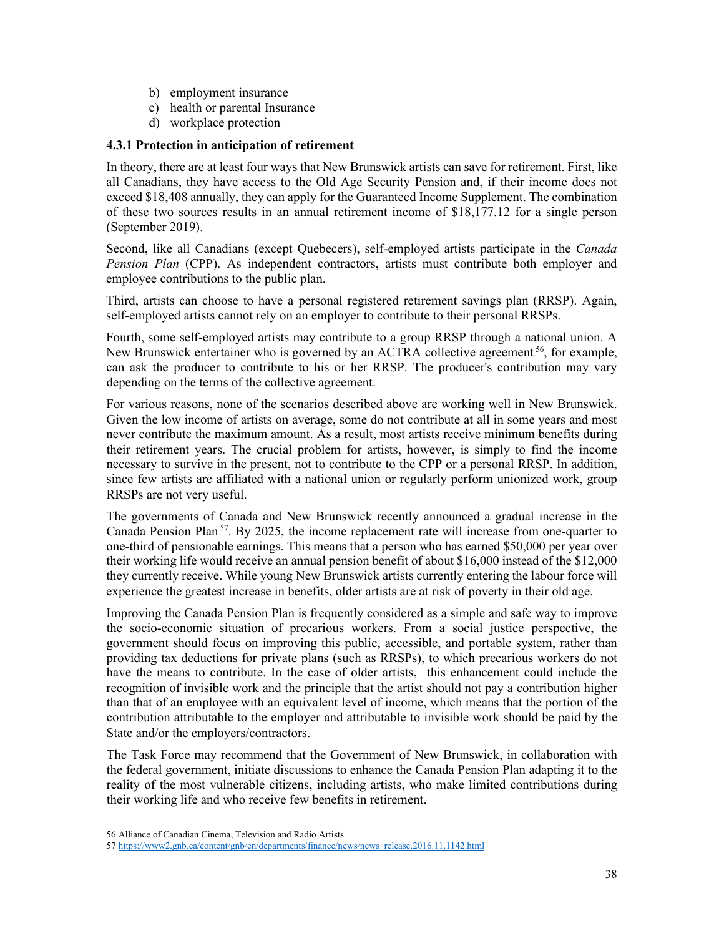- b) employment insurance
- c) health or parental Insurance
- d) workplace protection

## <span id="page-40-0"></span>**4.3.1 Protection in anticipation of retirement**

In theory, there are at least four ways that New Brunswick artists can save for retirement. First, like all Canadians, they have access to the Old Age Security Pension and, if their income does not exceed \$18,408 annually, they can apply for the Guaranteed Income Supplement. The combination of these two sources results in an annual retirement income of \$18,177.12 for a single person (September 2019).

Second, like all Canadians (except Quebecers), self-employed artists participate in the *Canada Pension Plan* (CPP). As independent contractors, artists must contribute both employer and employee contributions to the public plan.

Third, artists can choose to have a personal registered retirement savings plan (RRSP). Again, self-employed artists cannot rely on an employer to contribute to their personal RRSPs.

Fourth, some self-employed artists may contribute to a group RRSP through a national union. A New Brunswick entertainer who is governed by an ACTRA collective agreement.<sup>56</sup>, for example, can ask the producer to contribute to his or her RRSP. The producer's contribution may vary depending on the terms of the collective agreement.

For various reasons, none of the scenarios described above are working well in New Brunswick. Given the low income of artists on average, some do not contribute at all in some years and most never contribute the maximum amount. As a result, most artists receive minimum benefits during their retirement years. The crucial problem for artists, however, is simply to find the income necessary to survive in the present, not to contribute to the CPP or a personal RRSP. In addition, since few artists are affiliated with a national union or regularly perform unionized work, group RRSPs are not very useful.

The governments of Canada and New Brunswick recently announced a gradual increase in the Canada Pension Plan<sup>57</sup>. By 2025, the income replacement rate will increase from one-quarter to one-third of pensionable earnings. This means that a person who has earned \$50,000 per year over their working life would receive an annual pension benefit of about \$16,000 instead of the \$12,000 they currently receive. While young New Brunswick artists currently entering the labour force will experience the greatest increase in benefits, older artists are at risk of poverty in their old age.

Improving the Canada Pension Plan is frequently considered as a simple and safe way to improve the socio-economic situation of precarious workers. From a social justice perspective, the government should focus on improving this public, accessible, and portable system, rather than providing tax deductions for private plans (such as RRSPs), to which precarious workers do not have the means to contribute. In the case of older artists, this enhancement could include the recognition of invisible work and the principle that the artist should not pay a contribution higher than that of an employee with an equivalent level of income, which means that the portion of the contribution attributable to the employer and attributable to invisible work should be paid by the State and/or the employers/contractors.

The Task Force may recommend that the Government of New Brunswick, in collaboration with the federal government, initiate discussions to enhance the Canada Pension Plan adapting it to the reality of the most vulnerable citizens, including artists, who make limited contributions during their working life and who receive few benefits in retirement.

<sup>56</sup> Alliance of Canadian Cinema, Television and Radio Artists

<sup>57</sup> [https://www2.gnb.ca/content/gnb/en/departments/finance/news/news\\_release.2016.11.1142.html](https://www2.gnb.ca/content/gnb/en/departments/finance/news/news_release.2016.11.1142.html)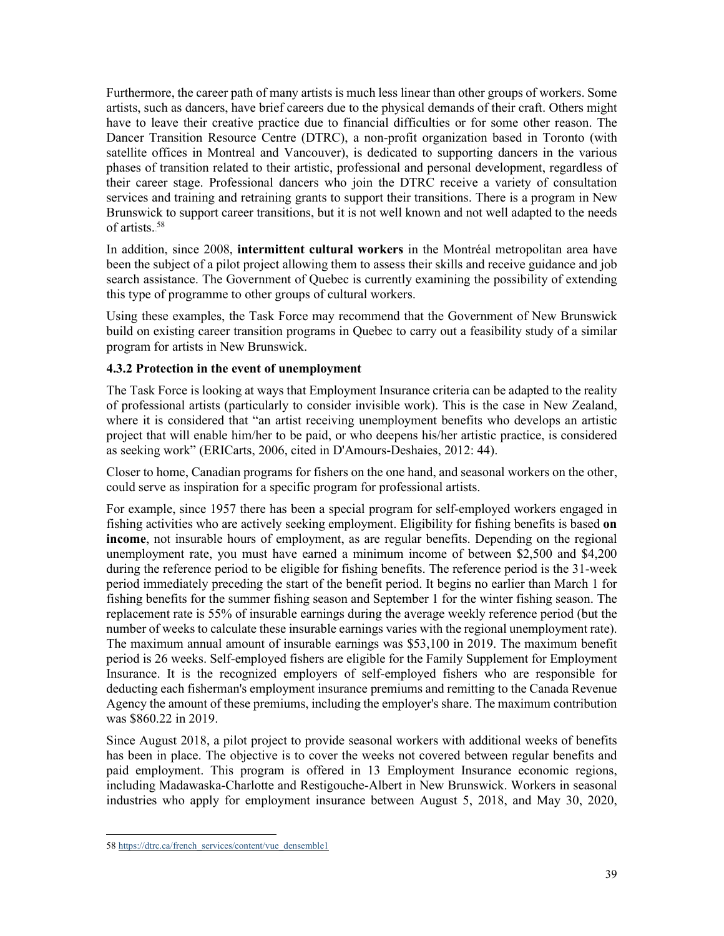Furthermore, the career path of many artists is much less linear than other groups of workers. Some artists, such as dancers, have brief careers due to the physical demands of their craft. Others might have to leave their creative practice due to financial difficulties or for some other reason. The Dancer Transition Resource Centre (DTRC), a non-profit organization based in Toronto (with satellite offices in Montreal and Vancouver), is dedicated to supporting dancers in the various phases of transition related to their artistic, professional and personal development, regardless of their career stage. Professional dancers who join the DTRC receive a variety of consultation services and training and retraining grants to support their transitions. There is a program in New Brunswick to support career transitions, but it is not well known and not well adapted to the needs of artists.<sup>58</sup>

In addition, since 2008, **intermittent cultural workers** in the Montréal metropolitan area have been the subject of a pilot project allowing them to assess their skills and receive guidance and job search assistance. The Government of Quebec is currently examining the possibility of extending this type of programme to other groups of cultural workers.

Using these examples, the Task Force may recommend that the Government of New Brunswick build on existing career transition programs in Quebec to carry out a feasibility study of a similar program for artists in New Brunswick.

# <span id="page-41-0"></span>**4.3.2 Protection in the event of unemployment**

The Task Force is looking at ways that Employment Insurance criteria can be adapted to the reality of professional artists (particularly to consider invisible work). This is the case in New Zealand, where it is considered that "an artist receiving unemployment benefits who develops an artistic project that will enable him/her to be paid, or who deepens his/her artistic practice, is considered as seeking work" (ERICarts, 2006, cited in D'Amours-Deshaies, 2012: 44).

Closer to home, Canadian programs for fishers on the one hand, and seasonal workers on the other, could serve as inspiration for a specific program for professional artists.

For example, since 1957 there has been a special program for self-employed workers engaged in fishing activities who are actively seeking employment. Eligibility for fishing benefits is based **on income**, not insurable hours of employment, as are regular benefits. Depending on the regional unemployment rate, you must have earned a minimum income of between \$2,500 and \$4,200 during the reference period to be eligible for fishing benefits. The reference period is the 31-week period immediately preceding the start of the benefit period. It begins no earlier than March 1 for fishing benefits for the summer fishing season and September 1 for the winter fishing season. The replacement rate is 55% of insurable earnings during the average weekly reference period (but the number of weeks to calculate these insurable earnings varies with the regional unemployment rate). The maximum annual amount of insurable earnings was \$53,100 in 2019. The maximum benefit period is 26 weeks. Self-employed fishers are eligible for the Family Supplement for Employment Insurance. It is the recognized employers of self-employed fishers who are responsible for deducting each fisherman's employment insurance premiums and remitting to the Canada Revenue Agency the amount of these premiums, including the employer's share. The maximum contribution was \$860.22 in 2019.

Since August 2018, a pilot project to provide seasonal workers with additional weeks of benefits has been in place. The objective is to cover the weeks not covered between regular benefits and paid employment. This program is offered in 13 Employment Insurance economic regions, including Madawaska-Charlotte and Restigouche-Albert in New Brunswick. Workers in seasonal industries who apply for employment insurance between August 5, 2018, and May 30, 2020,

<sup>58</sup> [https://dtrc.ca/french\\_services/content/vue\\_densemble1](https://dtrc.ca/french_services/content/vue_densemble1)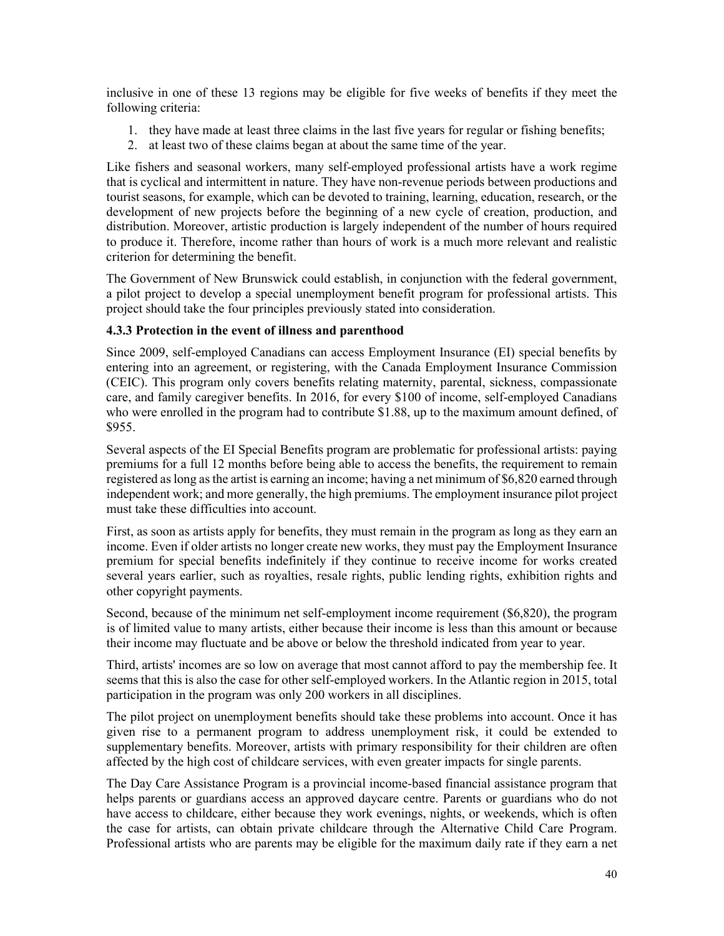inclusive in one of these 13 regions may be eligible for five weeks of benefits if they meet the following criteria:

- 1. they have made at least three claims in the last five years for regular or fishing benefits;
- 2. at least two of these claims began at about the same time of the year.

Like fishers and seasonal workers, many self-employed professional artists have a work regime that is cyclical and intermittent in nature. They have non-revenue periods between productions and tourist seasons, for example, which can be devoted to training, learning, education, research, or the development of new projects before the beginning of a new cycle of creation, production, and distribution. Moreover, artistic production is largely independent of the number of hours required to produce it. Therefore, income rather than hours of work is a much more relevant and realistic criterion for determining the benefit.

The Government of New Brunswick could establish, in conjunction with the federal government, a pilot project to develop a special unemployment benefit program for professional artists. This project should take the four principles previously stated into consideration.

## <span id="page-42-0"></span>**4.3.3 Protection in the event of illness and parenthood**

Since 2009, self-employed Canadians can access Employment Insurance (EI) special benefits by entering into an agreement, or registering, with the Canada Employment Insurance Commission (CEIC). This program only covers benefits relating maternity, parental, sickness, compassionate care, and family caregiver benefits. In 2016, for every \$100 of income, self-employed Canadians who were enrolled in the program had to contribute \$1.88, up to the maximum amount defined, of \$955.

Several aspects of the EI Special Benefits program are problematic for professional artists: paying premiums for a full 12 months before being able to access the benefits, the requirement to remain registered aslong asthe artist is earning an income; having a net minimum of \$6,820 earned through independent work; and more generally, the high premiums. The employment insurance pilot project must take these difficulties into account.

First, as soon as artists apply for benefits, they must remain in the program as long as they earn an income. Even if older artists no longer create new works, they must pay the Employment Insurance premium for special benefits indefinitely if they continue to receive income for works created several years earlier, such as royalties, resale rights, public lending rights, exhibition rights and other copyright payments.

Second, because of the minimum net self-employment income requirement (\$6,820), the program is of limited value to many artists, either because their income is less than this amount or because their income may fluctuate and be above or below the threshold indicated from year to year.

Third, artists' incomes are so low on average that most cannot afford to pay the membership fee. It seems that this is also the case for other self-employed workers. In the Atlantic region in 2015, total participation in the program was only 200 workers in all disciplines.

The pilot project on unemployment benefits should take these problems into account. Once it has given rise to a permanent program to address unemployment risk, it could be extended to supplementary benefits. Moreover, artists with primary responsibility for their children are often affected by the high cost of childcare services, with even greater impacts for single parents.

The Day Care Assistance Program is a provincial income-based financial assistance program that helps parents or guardians access an approved daycare centre. Parents or guardians who do not have access to childcare, either because they work evenings, nights, or weekends, which is often the case for artists, can obtain private childcare through the Alternative Child Care Program. Professional artists who are parents may be eligible for the maximum daily rate if they earn a net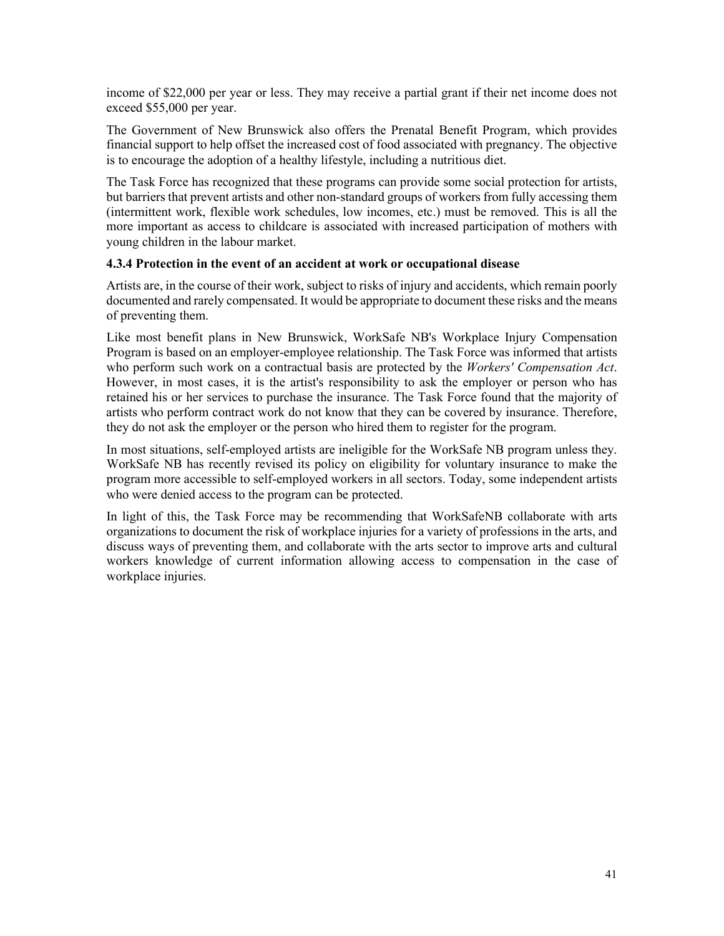income of \$22,000 per year or less. They may receive a partial grant if their net income does not exceed \$55,000 per year.

The Government of New Brunswick also offers the Prenatal Benefit Program, which provides financial support to help offset the increased cost of food associated with pregnancy. The objective is to encourage the adoption of a healthy lifestyle, including a nutritious diet.

The Task Force has recognized that these programs can provide some social protection for artists, but barriers that prevent artists and other non-standard groups of workers from fully accessing them (intermittent work, flexible work schedules, low incomes, etc.) must be removed. This is all the more important as access to childcare is associated with increased participation of mothers with young children in the labour market.

## <span id="page-43-0"></span>**4.3.4 Protection in the event of an accident at work or occupational disease**

Artists are, in the course of their work, subject to risks of injury and accidents, which remain poorly documented and rarely compensated. It would be appropriate to document these risks and the means of preventing them.

Like most benefit plans in New Brunswick, WorkSafe NB's Workplace Injury Compensation Program is based on an employer-employee relationship. The Task Force was informed that artists who perform such work on a contractual basis are protected by the *Workers' Compensation Act*. However, in most cases, it is the artist's responsibility to ask the employer or person who has retained his or her services to purchase the insurance. The Task Force found that the majority of artists who perform contract work do not know that they can be covered by insurance. Therefore, they do not ask the employer or the person who hired them to register for the program.

In most situations, self-employed artists are ineligible for the WorkSafe NB program unless they. WorkSafe NB has recently revised its policy on eligibility for voluntary insurance to make the program more accessible to self-employed workers in all sectors. Today, some independent artists who were denied access to the program can be protected.

In light of this, the Task Force may be recommending that WorkSafeNB collaborate with arts organizations to document the risk of workplace injuries for a variety of professions in the arts, and discuss ways of preventing them, and collaborate with the arts sector to improve arts and cultural workers knowledge of current information allowing access to compensation in the case of workplace injuries.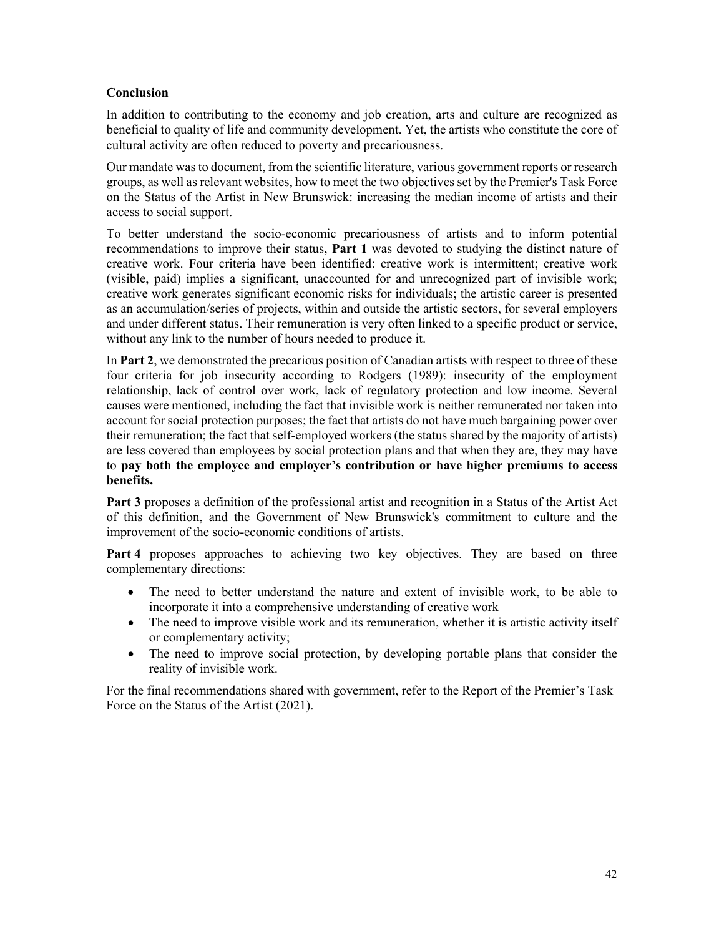## <span id="page-44-0"></span>**Conclusion**

In addition to contributing to the economy and job creation, arts and culture are recognized as beneficial to quality of life and community development. Yet, the artists who constitute the core of cultural activity are often reduced to poverty and precariousness.

Our mandate wasto document, from the scientific literature, various government reports or research groups, as well as relevant websites, how to meet the two objectives set by the Premier's Task Force on the Status of the Artist in New Brunswick: increasing the median income of artists and their access to social support.

To better understand the socio-economic precariousness of artists and to inform potential recommendations to improve their status, **Part 1** was devoted to studying the distinct nature of creative work. Four criteria have been identified: creative work is intermittent; creative work (visible, paid) implies a significant, unaccounted for and unrecognized part of invisible work; creative work generates significant economic risks for individuals; the artistic career is presented as an accumulation/series of projects, within and outside the artistic sectors, for several employers and under different status. Their remuneration is very often linked to a specific product or service, without any link to the number of hours needed to produce it.

In **Part 2**, we demonstrated the precarious position of Canadian artists with respect to three of these four criteria for job insecurity according to Rodgers (1989): insecurity of the employment relationship, lack of control over work, lack of regulatory protection and low income. Several causes were mentioned, including the fact that invisible work is neither remunerated nor taken into account for social protection purposes; the fact that artists do not have much bargaining power over their remuneration; the fact that self-employed workers (the status shared by the majority of artists) are less covered than employees by social protection plans and that when they are, they may have to **pay both the employee and employer's contribution or have higher premiums to access benefits.**

**Part 3** proposes a definition of the professional artist and recognition in a Status of the Artist Act of this definition, and the Government of New Brunswick's commitment to culture and the improvement of the socio-economic conditions of artists.

**Part 4** proposes approaches to achieving two key objectives. They are based on three complementary directions:

- The need to better understand the nature and extent of invisible work, to be able to incorporate it into a comprehensive understanding of creative work
- The need to improve visible work and its remuneration, whether it is artistic activity itself or complementary activity;
- The need to improve social protection, by developing portable plans that consider the reality of invisible work.

For the final recommendations shared with government, refer to the Report of the Premier's Task Force on the Status of the Artist (2021).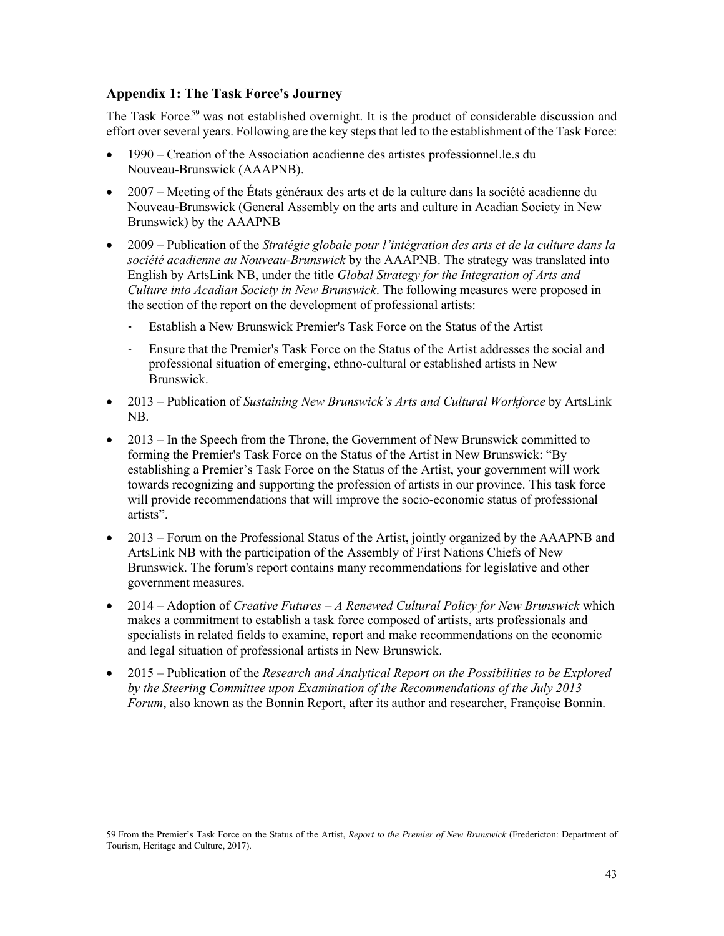# <span id="page-45-0"></span>**Appendix 1: The Task Force's Journey**

The Task Force.<sup>59</sup> was not established overnight. It is the product of considerable discussion and effort over several years. Following are the key steps that led to the establishment of the Task Force:

- 1990 Creation of the Association acadienne des artistes professionnel.le.s du Nouveau-Brunswick (AAAPNB).
- 2007 Meeting of the États généraux des arts et de la culture dans la société acadienne du Nouveau-Brunswick (General Assembly on the arts and culture in Acadian Society in New Brunswick) by the AAAPNB
- 2009 Publication of the *Stratégie globale pour l'intégration des arts et de la culture dans la société acadienne au Nouveau-Brunswick* by the AAAPNB. The strategy was translated into English by ArtsLink NB, under the title *Global Strategy for the Integration of Arts and Culture into Acadian Society in New Brunswick*. The following measures were proposed in the section of the report on the development of professional artists:
	- Establish a New Brunswick Premier's Task Force on the Status of the Artist
	- Ensure that the Premier's Task Force on the Status of the Artist addresses the social and professional situation of emerging, ethno-cultural or established artists in New Brunswick.
- 2013 Publication of *Sustaining New Brunswick's Arts and Cultural Workforce* by ArtsLink NB.
- 2013 In the Speech from the Throne, the Government of New Brunswick committed to forming the Premier's Task Force on the Status of the Artist in New Brunswick: "By establishing a Premier's Task Force on the Status of the Artist, your government will work towards recognizing and supporting the profession of artists in our province. This task force will provide recommendations that will improve the socio-economic status of professional artists".
- 2013 Forum on the Professional Status of the Artist, jointly organized by the AAAPNB and ArtsLink NB with the participation of the Assembly of First Nations Chiefs of New Brunswick. The forum's report contains many recommendations for legislative and other government measures.
- 2014 Adoption of *Creative Futures – A Renewed Cultural Policy for New Brunswick* which makes a commitment to establish a task force composed of artists, arts professionals and specialists in related fields to examine, report and make recommendations on the economic and legal situation of professional artists in New Brunswick.
- 2015 Publication of the *Research and Analytical Report on the Possibilities to be Explored by the Steering Committee upon Examination of the Recommendations of the July 2013 Forum*, also known as the Bonnin Report, after its author and researcher, Françoise Bonnin.

<sup>59</sup> From the Premier's Task Force on the Status of the Artist, *Report to the Premier of New Brunswick* (Fredericton: Department of Tourism, Heritage and Culture, 2017).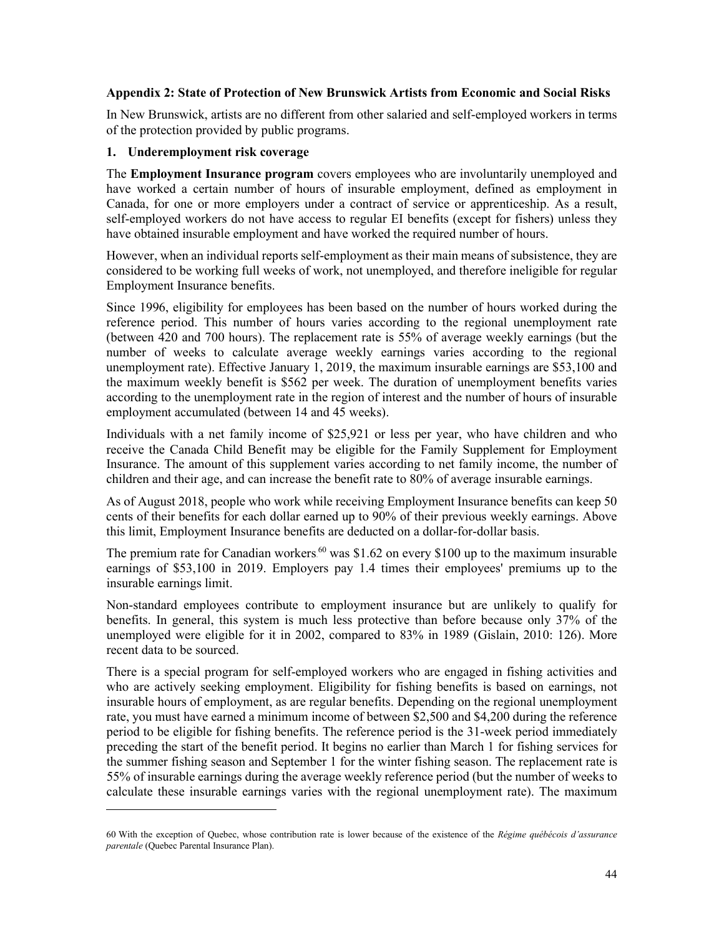## <span id="page-46-0"></span>**Appendix 2: State of Protection of New Brunswick Artists from Economic and Social Risks**

In New Brunswick, artists are no different from other salaried and self-employed workers in terms of the protection provided by public programs.

#### **1. Underemployment risk coverage**

The **Employment Insurance program** covers employees who are involuntarily unemployed and have worked a certain number of hours of insurable employment, defined as employment in Canada, for one or more employers under a contract of service or apprenticeship. As a result, self-employed workers do not have access to regular EI benefits (except for fishers) unless they have obtained insurable employment and have worked the required number of hours.

However, when an individual reports self-employment as their main means of subsistence, they are considered to be working full weeks of work, not unemployed, and therefore ineligible for regular Employment Insurance benefits.

Since 1996, eligibility for employees has been based on the number of hours worked during the reference period. This number of hours varies according to the regional unemployment rate (between 420 and 700 hours). The replacement rate is 55% of average weekly earnings (but the number of weeks to calculate average weekly earnings varies according to the regional unemployment rate). Effective January 1, 2019, the maximum insurable earnings are \$53,100 and the maximum weekly benefit is \$562 per week. The duration of unemployment benefits varies according to the unemployment rate in the region of interest and the number of hours of insurable employment accumulated (between 14 and 45 weeks).

Individuals with a net family income of \$25,921 or less per year, who have children and who receive the Canada Child Benefit may be eligible for the Family Supplement for Employment Insurance. The amount of this supplement varies according to net family income, the number of children and their age, and can increase the benefit rate to 80% of average insurable earnings.

As of August 2018, people who work while receiving Employment Insurance benefits can keep 50 cents of their benefits for each dollar earned up to 90% of their previous weekly earnings. Above this limit, Employment Insurance benefits are deducted on a dollar-for-dollar basis.

The premium rate for Canadian workers  $60$  was \$1.62 on every \$100 up to the maximum insurable earnings of \$53,100 in 2019. Employers pay 1.4 times their employees' premiums up to the insurable earnings limit.

Non-standard employees contribute to employment insurance but are unlikely to qualify for benefits. In general, this system is much less protective than before because only 37% of the unemployed were eligible for it in 2002, compared to 83% in 1989 (Gislain, 2010: 126). More recent data to be sourced.

There is a special program for self-employed workers who are engaged in fishing activities and who are actively seeking employment. Eligibility for fishing benefits is based on earnings, not insurable hours of employment, as are regular benefits. Depending on the regional unemployment rate, you must have earned a minimum income of between \$2,500 and \$4,200 during the reference period to be eligible for fishing benefits. The reference period is the 31-week period immediately preceding the start of the benefit period. It begins no earlier than March 1 for fishing services for the summer fishing season and September 1 for the winter fishing season. The replacement rate is 55% of insurable earnings during the average weekly reference period (but the number of weeks to calculate these insurable earnings varies with the regional unemployment rate). The maximum

<sup>60</sup> With the exception of Quebec, whose contribution rate is lower because of the existence of the *Régime québécois d'assurance parentale* (Quebec Parental Insurance Plan).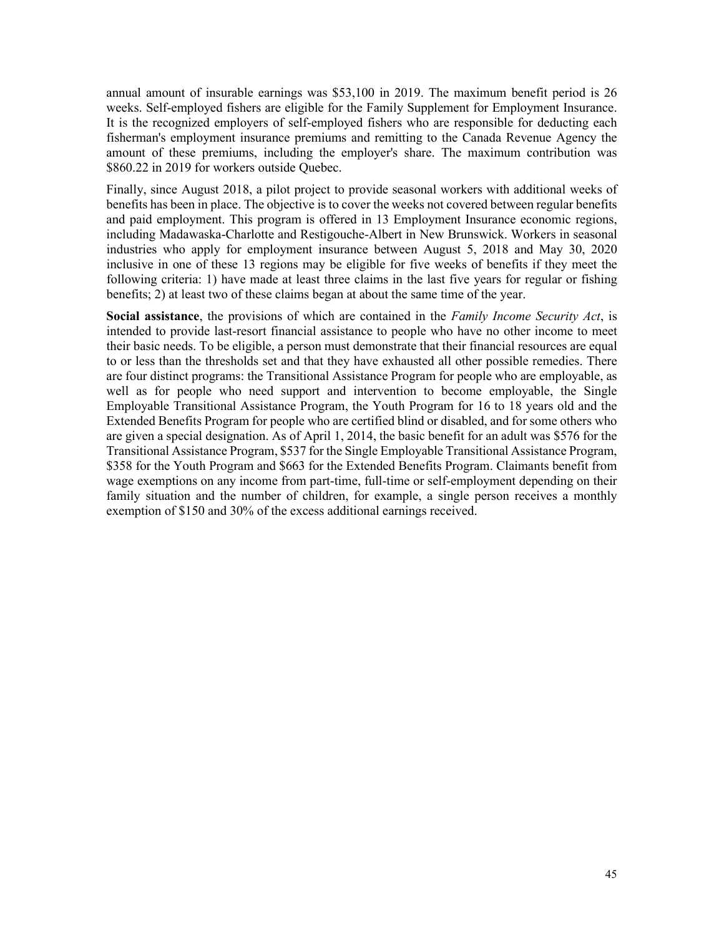annual amount of insurable earnings was \$53,100 in 2019. The maximum benefit period is 26 weeks. Self-employed fishers are eligible for the Family Supplement for Employment Insurance. It is the recognized employers of self-employed fishers who are responsible for deducting each fisherman's employment insurance premiums and remitting to the Canada Revenue Agency the amount of these premiums, including the employer's share. The maximum contribution was \$860.22 in 2019 for workers outside Quebec.

Finally, since August 2018, a pilot project to provide seasonal workers with additional weeks of benefits has been in place. The objective is to cover the weeks not covered between regular benefits and paid employment. This program is offered in 13 Employment Insurance economic regions, including Madawaska-Charlotte and Restigouche-Albert in New Brunswick. Workers in seasonal industries who apply for employment insurance between August 5, 2018 and May 30, 2020 inclusive in one of these 13 regions may be eligible for five weeks of benefits if they meet the following criteria: 1) have made at least three claims in the last five years for regular or fishing benefits; 2) at least two of these claims began at about the same time of the year.

**Social assistance**, the provisions of which are contained in the *Family Income Security Act*, is intended to provide last-resort financial assistance to people who have no other income to meet their basic needs. To be eligible, a person must demonstrate that their financial resources are equal to or less than the thresholds set and that they have exhausted all other possible remedies. There are four distinct programs: the Transitional Assistance Program for people who are employable, as well as for people who need support and intervention to become employable, the Single Employable Transitional Assistance Program, the Youth Program for 16 to 18 years old and the Extended Benefits Program for people who are certified blind or disabled, and for some others who are given a special designation. As of April 1, 2014, the basic benefit for an adult was \$576 for the Transitional Assistance Program, \$537 for the Single Employable Transitional Assistance Program, \$358 for the Youth Program and \$663 for the Extended Benefits Program. Claimants benefit from wage exemptions on any income from part-time, full-time or self-employment depending on their family situation and the number of children, for example, a single person receives a monthly exemption of \$150 and 30% of the excess additional earnings received.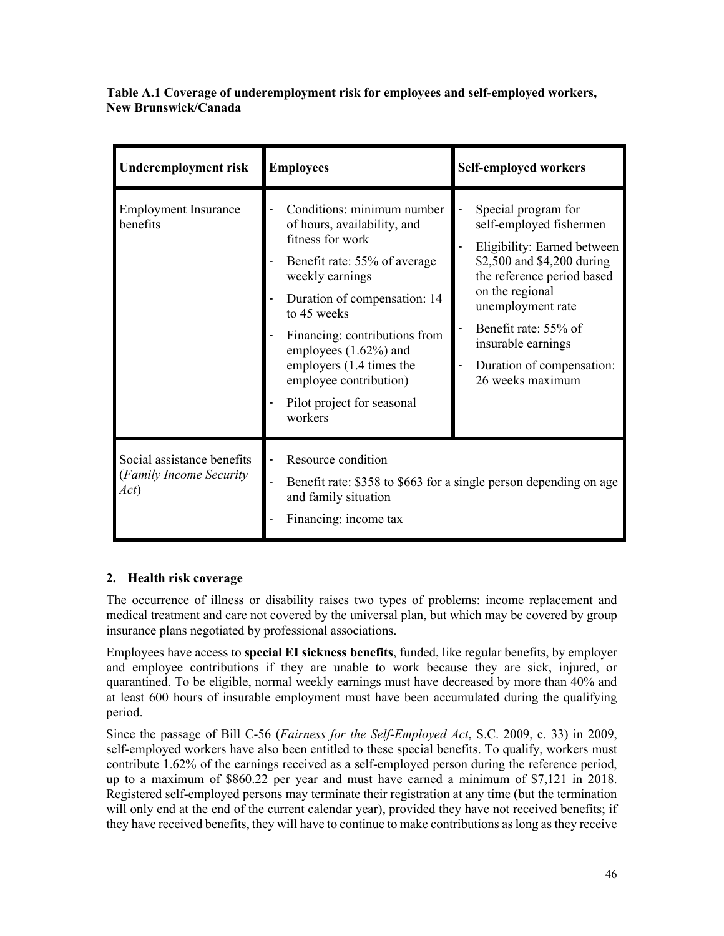**Table A.1 Coverage of underemployment risk for employees and self-employed workers, New Brunswick/Canada**

| Underemployment risk                                           | <b>Employees</b>                                                                                                                                                                                                                                                                                                                            | <b>Self-employed workers</b>                                                                                                                                                                                                                                                     |
|----------------------------------------------------------------|---------------------------------------------------------------------------------------------------------------------------------------------------------------------------------------------------------------------------------------------------------------------------------------------------------------------------------------------|----------------------------------------------------------------------------------------------------------------------------------------------------------------------------------------------------------------------------------------------------------------------------------|
| <b>Employment Insurance</b><br>benefits                        | Conditions: minimum number<br>of hours, availability, and<br>fitness for work<br>Benefit rate: 55% of average<br>weekly earnings<br>Duration of compensation: 14<br>to 45 weeks<br>Financing: contributions from<br>employees $(1.62\%)$ and<br>employers (1.4 times the<br>employee contribution)<br>Pilot project for seasonal<br>workers | Special program for<br>self-employed fishermen<br>Eligibility: Earned between<br>\$2,500 and \$4,200 during<br>the reference period based<br>on the regional<br>unemployment rate<br>Benefit rate: 55% of<br>insurable earnings<br>Duration of compensation:<br>26 weeks maximum |
| Social assistance benefits<br>(Family Income Security)<br>Act) | Resource condition<br>Benefit rate: \$358 to \$663 for a single person depending on age<br>and family situation<br>Financing: income tax                                                                                                                                                                                                    |                                                                                                                                                                                                                                                                                  |

# **2. Health risk coverage**

The occurrence of illness or disability raises two types of problems: income replacement and medical treatment and care not covered by the universal plan, but which may be covered by group insurance plans negotiated by professional associations.

Employees have access to **special EI sickness benefits**, funded, like regular benefits, by employer and employee contributions if they are unable to work because they are sick, injured, or quarantined. To be eligible, normal weekly earnings must have decreased by more than 40% and at least 600 hours of insurable employment must have been accumulated during the qualifying period.

Since the passage of Bill C-56 (*Fairness for the Self-Employed Act*, S.C. 2009, c. 33) in 2009, self-employed workers have also been entitled to these special benefits. To qualify, workers must contribute 1.62% of the earnings received as a self-employed person during the reference period, up to a maximum of \$860.22 per year and must have earned a minimum of \$7,121 in 2018. Registered self-employed persons may terminate their registration at any time (but the termination will only end at the end of the current calendar year), provided they have not received benefits; if they have received benefits, they will have to continue to make contributions aslong as they receive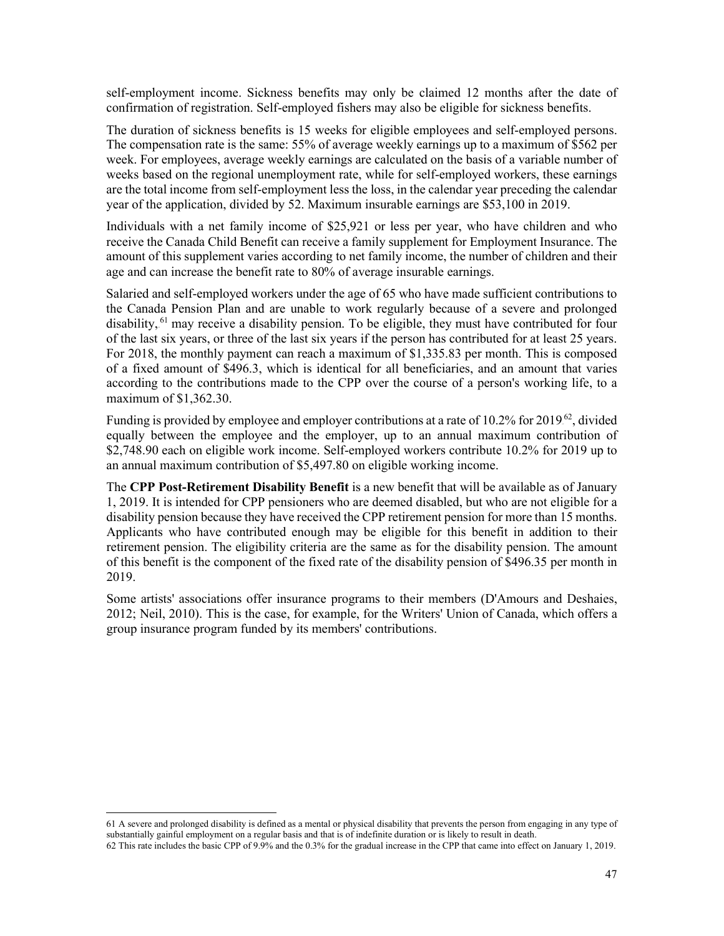self-employment income. Sickness benefits may only be claimed 12 months after the date of confirmation of registration. Self-employed fishers may also be eligible for sickness benefits.

The duration of sickness benefits is 15 weeks for eligible employees and self-employed persons. The compensation rate is the same: 55% of average weekly earnings up to a maximum of \$562 per week. For employees, average weekly earnings are calculated on the basis of a variable number of weeks based on the regional unemployment rate, while for self-employed workers, these earnings are the total income from self-employment less the loss, in the calendar year preceding the calendar year of the application, divided by 52. Maximum insurable earnings are \$53,100 in 2019.

Individuals with a net family income of \$25,921 or less per year, who have children and who receive the Canada Child Benefit can receive a family supplement for Employment Insurance. The amount of this supplement varies according to net family income, the number of children and their age and can increase the benefit rate to 80% of average insurable earnings.

Salaried and self-employed workers under the age of 65 who have made sufficient contributions to the Canada Pension Plan and are unable to work regularly because of a severe and prolonged disability, <sup>61</sup> may receive a disability pension. To be eligible, they must have contributed for four of the last six years, or three of the last six years if the person has contributed for at least 25 years. For 2018, the monthly payment can reach a maximum of \$1,335.83 per month. This is composed of a fixed amount of \$496.3, which is identical for all beneficiaries, and an amount that varies according to the contributions made to the CPP over the course of a person's working life, to a maximum of \$1,362.30.

Funding is provided by employee and employer contributions at a rate of 10.2% for 2019.<sup>62</sup>, divided equally between the employee and the employer, up to an annual maximum contribution of \$2,748.90 each on eligible work income. Self-employed workers contribute 10.2% for 2019 up to an annual maximum contribution of \$5,497.80 on eligible working income.

The **CPP Post-Retirement Disability Benefit** is a new benefit that will be available as of January 1, 2019. It is intended for CPP pensioners who are deemed disabled, but who are not eligible for a disability pension because they have received the CPP retirement pension for more than 15 months. Applicants who have contributed enough may be eligible for this benefit in addition to their retirement pension. The eligibility criteria are the same as for the disability pension. The amount of this benefit is the component of the fixed rate of the disability pension of \$496.35 per month in 2019.

Some artists' associations offer insurance programs to their members (D'Amours and Deshaies, 2012; Neil, 2010). This is the case, for example, for the Writers' Union of Canada, which offers a group insurance program funded by its members' contributions.

<sup>61</sup> A severe and prolonged disability is defined as a mental or physical disability that prevents the person from engaging in any type of substantially gainful employment on a regular basis and that is of indefinite duration or is likely to result in death.

<sup>62</sup> This rate includes the basic CPP of 9.9% and the 0.3% for the gradual increase in the CPP that came into effect on January 1, 2019.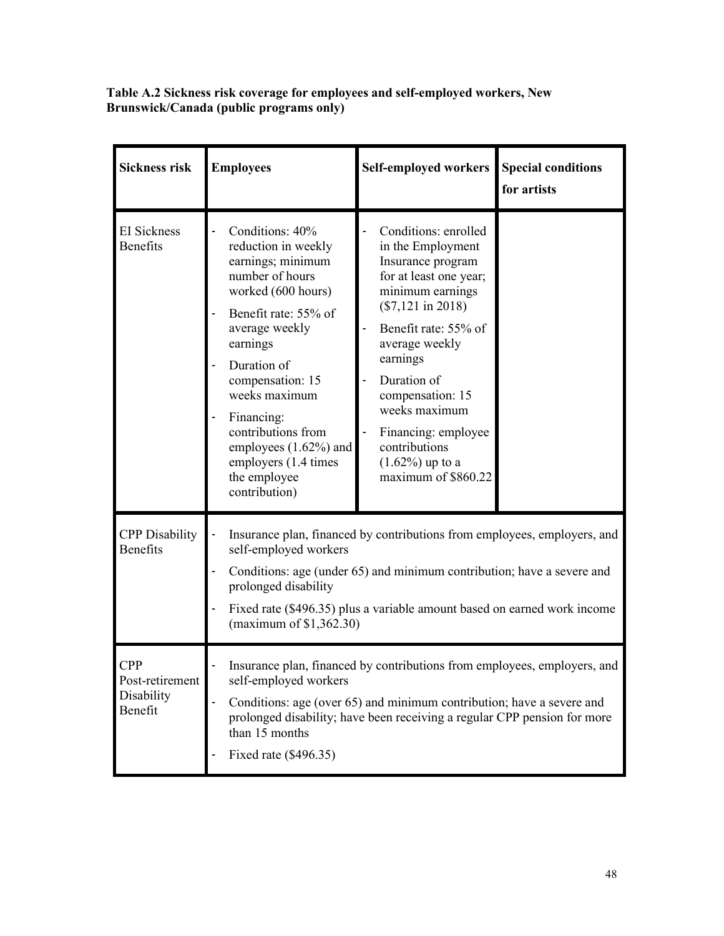**Table A.2 Sickness risk coverage for employees and self-employed workers, New Brunswick/Canada (public programs only)**

| <b>Sickness risk</b>                                   | <b>Employees</b>                                                                                                                                                                                                                                                                                                                     | <b>Self-employed workers</b>                                                                                                                                                                                                                                                                                                       | <b>Special conditions</b><br>for artists |
|--------------------------------------------------------|--------------------------------------------------------------------------------------------------------------------------------------------------------------------------------------------------------------------------------------------------------------------------------------------------------------------------------------|------------------------------------------------------------------------------------------------------------------------------------------------------------------------------------------------------------------------------------------------------------------------------------------------------------------------------------|------------------------------------------|
| <b>EI</b> Sickness<br><b>Benefits</b>                  | Conditions: 40%<br>reduction in weekly<br>earnings; minimum<br>number of hours<br>worked (600 hours)<br>Benefit rate: 55% of<br>average weekly<br>earnings<br>Duration of<br>compensation: 15<br>weeks maximum<br>Financing:<br>contributions from<br>employees (1.62%) and<br>employers (1.4 times<br>the employee<br>contribution) | Conditions: enrolled<br>in the Employment<br>Insurance program<br>for at least one year;<br>minimum earnings<br>$(\$7,121$ in 2018)<br>Benefit rate: 55% of<br>average weekly<br>earnings<br>Duration of<br>compensation: 15<br>weeks maximum<br>Financing: employee<br>contributions<br>$(1.62\%)$ up to a<br>maximum of \$860.22 |                                          |
| <b>CPP</b> Disability<br><b>Benefits</b>               | Insurance plan, financed by contributions from employees, employers, and<br>self-employed workers<br>Conditions: age (under 65) and minimum contribution; have a severe and<br>prolonged disability<br>Fixed rate (\$496.35) plus a variable amount based on earned work income<br>(maximum of $$1,362.30$ )                         |                                                                                                                                                                                                                                                                                                                                    |                                          |
| <b>CPP</b><br>Post-retirement<br>Disability<br>Benefit | Insurance plan, financed by contributions from employees, employers, and<br>self-employed workers<br>Conditions: age (over 65) and minimum contribution; have a severe and<br>prolonged disability; have been receiving a regular CPP pension for more<br>than 15 months<br>Fixed rate (\$496.35)                                    |                                                                                                                                                                                                                                                                                                                                    |                                          |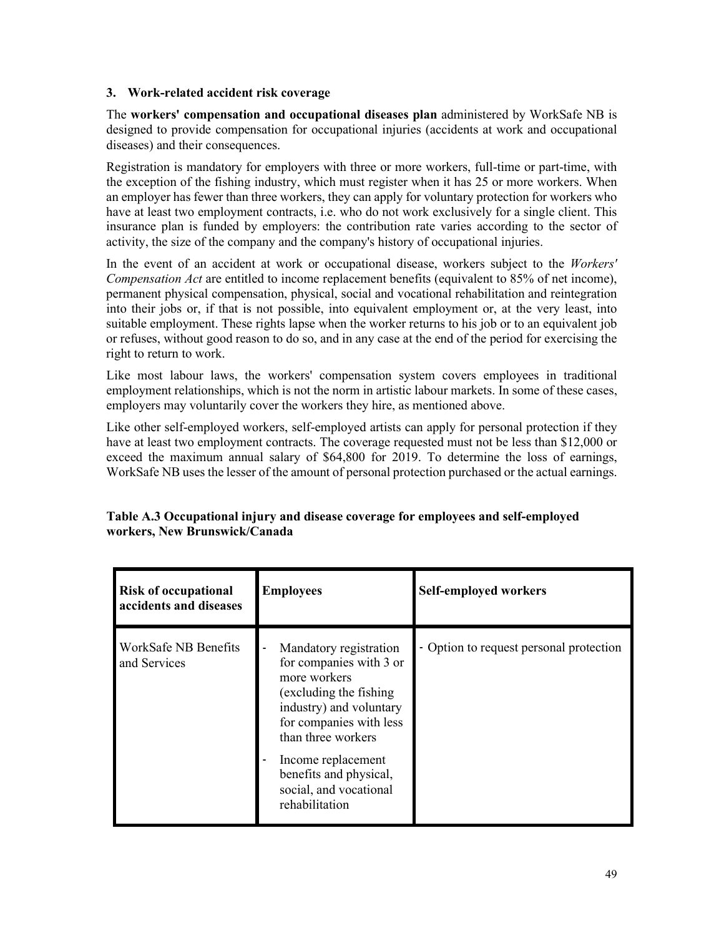## **3. Work-related accident risk coverage**

The **workers' compensation and occupational diseases plan** administered by WorkSafe NB is designed to provide compensation for occupational injuries (accidents at work and occupational diseases) and their consequences.

Registration is mandatory for employers with three or more workers, full-time or part-time, with the exception of the fishing industry, which must register when it has 25 or more workers. When an employer has fewer than three workers, they can apply for voluntary protection for workers who have at least two employment contracts, i.e. who do not work exclusively for a single client. This insurance plan is funded by employers: the contribution rate varies according to the sector of activity, the size of the company and the company's history of occupational injuries.

In the event of an accident at work or occupational disease, workers subject to the *Workers' Compensation Act* are entitled to income replacement benefits (equivalent to 85% of net income), permanent physical compensation, physical, social and vocational rehabilitation and reintegration into their jobs or, if that is not possible, into equivalent employment or, at the very least, into suitable employment. These rights lapse when the worker returns to his job or to an equivalent job or refuses, without good reason to do so, and in any case at the end of the period for exercising the right to return to work.

Like most labour laws, the workers' compensation system covers employees in traditional employment relationships, which is not the norm in artistic labour markets. In some of these cases, employers may voluntarily cover the workers they hire, as mentioned above.

Like other self-employed workers, self-employed artists can apply for personal protection if they have at least two employment contracts. The coverage requested must not be less than \$12,000 or exceed the maximum annual salary of \$64,800 for 2019. To determine the loss of earnings, WorkSafe NB uses the lesser of the amount of personal protection purchased or the actual earnings.

| <b>Risk of occupational</b><br>accidents and diseases | <b>Employees</b>                                                                                                                                                                                                                                                     | Self-employed workers                   |
|-------------------------------------------------------|----------------------------------------------------------------------------------------------------------------------------------------------------------------------------------------------------------------------------------------------------------------------|-----------------------------------------|
| WorkSafe NB Benefits<br>and Services                  | Mandatory registration<br>for companies with 3 or<br>more workers<br>(excluding the fishing)<br>industry) and voluntary<br>for companies with less<br>than three workers<br>Income replacement<br>benefits and physical,<br>social, and vocational<br>rehabilitation | - Option to request personal protection |

# **Table A.3 Occupational injury and disease coverage for employees and self-employed workers, New Brunswick/Canada**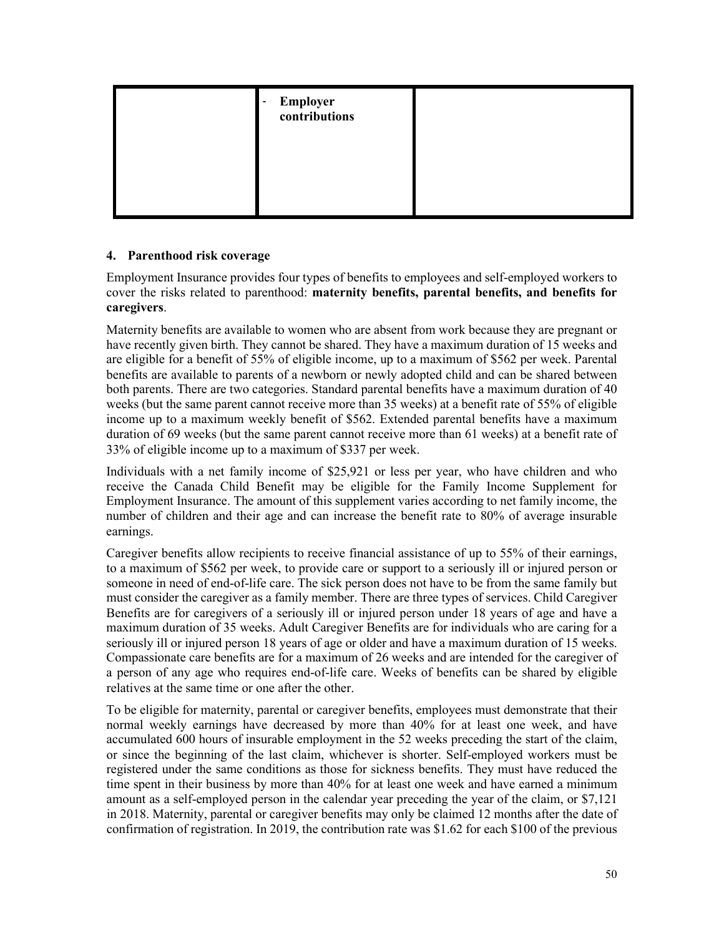| <b>Employer</b><br>contributions<br>٠ |  |
|---------------------------------------|--|
|                                       |  |
|                                       |  |

## **4. Parenthood risk coverage**

Employment Insurance provides four types of benefits to employees and self-employed workers to cover the risks related to parenthood: **maternity benefits, parental benefits, and benefits for caregivers**.

Maternity benefits are available to women who are absent from work because they are pregnant or have recently given birth. They cannot be shared. They have a maximum duration of 15 weeks and are eligible for a benefit of 55% of eligible income, up to a maximum of \$562 per week. Parental benefits are available to parents of a newborn or newly adopted child and can be shared between both parents. There are two categories. Standard parental benefits have a maximum duration of 40 weeks (but the same parent cannot receive more than 35 weeks) at a benefit rate of 55% of eligible income up to a maximum weekly benefit of \$562. Extended parental benefits have a maximum duration of 69 weeks (but the same parent cannot receive more than 61 weeks) at a benefit rate of 33% of eligible income up to a maximum of \$337 per week.

Individuals with a net family income of \$25,921 or less per year, who have children and who receive the Canada Child Benefit may be eligible for the Family Income Supplement for Employment Insurance. The amount of this supplement varies according to net family income, the number of children and their age and can increase the benefit rate to 80% of average insurable earnings.

Caregiver benefits allow recipients to receive financial assistance of up to 55% of their earnings, to a maximum of \$562 per week, to provide care or support to a seriously ill or injured person or someone in need of end-of-life care. The sick person does not have to be from the same family but must consider the caregiver as a family member. There are three types of services. Child Caregiver Benefits are for caregivers of a seriously ill or injured person under 18 years of age and have a maximum duration of 35 weeks. Adult Caregiver Benefits are for individuals who are caring for a seriously ill or injured person 18 years of age or older and have a maximum duration of 15 weeks. Compassionate care benefits are for a maximum of 26 weeks and are intended for the caregiver of a person of any age who requires end-of-life care. Weeks of benefits can be shared by eligible relatives at the same time or one after the other.

To be eligible for maternity, parental or caregiver benefits, employees must demonstrate that their normal weekly earnings have decreased by more than 40% for at least one week, and have accumulated 600 hours of insurable employment in the 52 weeks preceding the start of the claim, or since the beginning of the last claim, whichever is shorter. Self-employed workers must be registered under the same conditions as those for sickness benefits. They must have reduced the time spent in their business by more than 40% for at least one week and have earned a minimum amount as a self-employed person in the calendar year preceding the year of the claim, or \$7,121 in 2018. Maternity, parental or caregiver benefits may only be claimed 12 months after the date of confirmation of registration. In 2019, the contribution rate was \$1.62 for each \$100 of the previous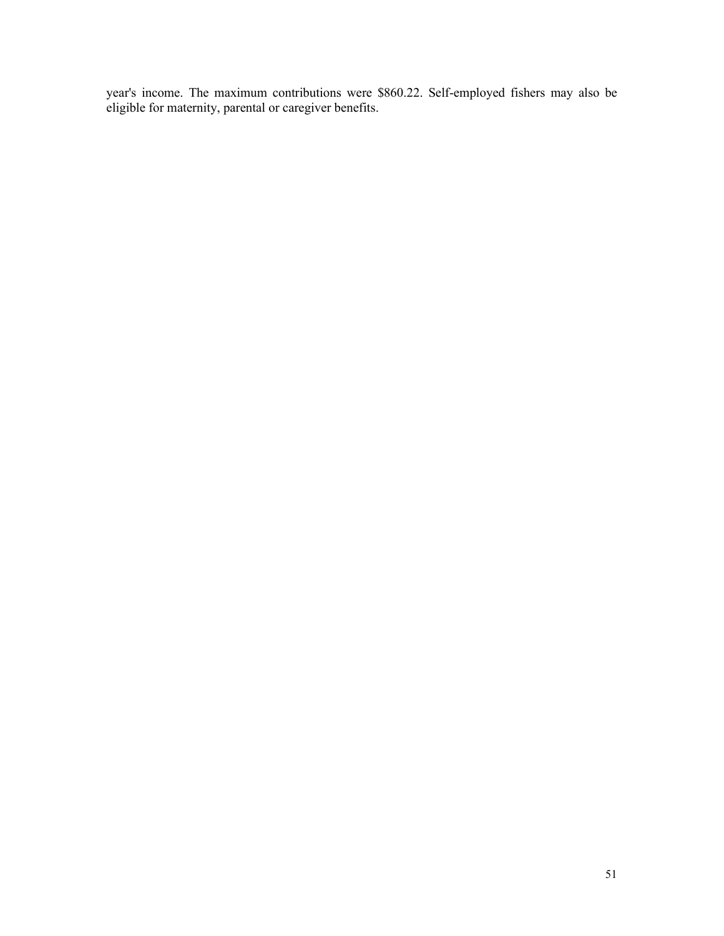year's income. The maximum contributions were \$860.22. Self-employed fishers may also be eligible for maternity, parental or caregiver benefits.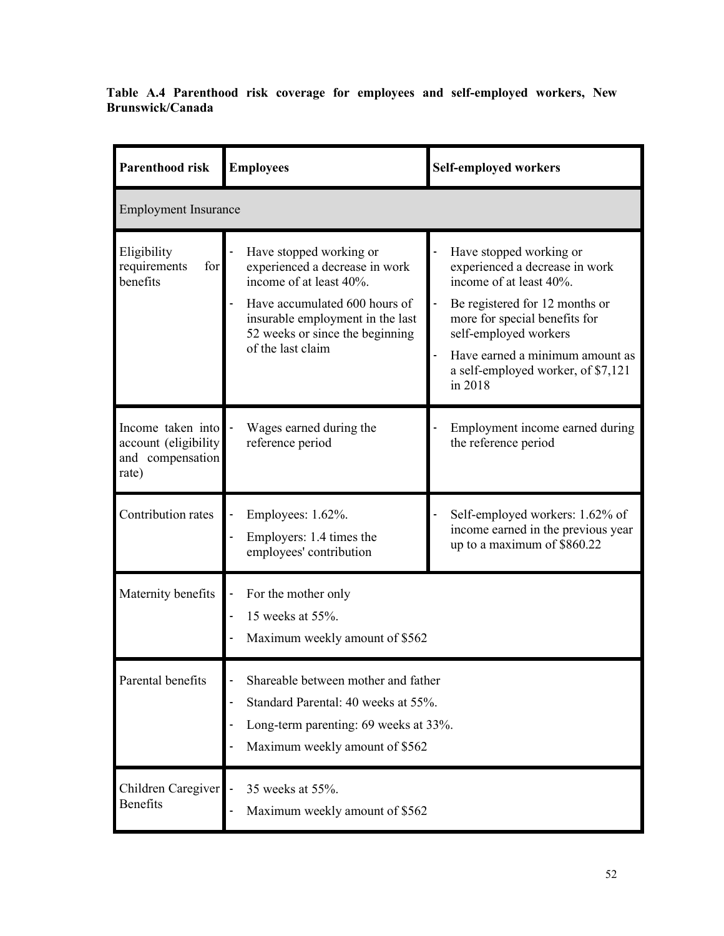**Table A.4 Parenthood risk coverage for employees and self-employed workers, New Brunswick/Canada**

| <b>Parenthood risk</b>                                                  | <b>Employees</b>                                                                                                                                                                                                  | <b>Self-employed workers</b>                                                                                                                                                                                                                                         |  |
|-------------------------------------------------------------------------|-------------------------------------------------------------------------------------------------------------------------------------------------------------------------------------------------------------------|----------------------------------------------------------------------------------------------------------------------------------------------------------------------------------------------------------------------------------------------------------------------|--|
| <b>Employment Insurance</b>                                             |                                                                                                                                                                                                                   |                                                                                                                                                                                                                                                                      |  |
| Eligibility<br>requirements<br>for<br>benefits                          | Have stopped working or<br>experienced a decrease in work<br>income of at least 40%.<br>Have accumulated 600 hours of<br>insurable employment in the last<br>52 weeks or since the beginning<br>of the last claim | Have stopped working or<br>experienced a decrease in work<br>income of at least 40%.<br>Be registered for 12 months or<br>more for special benefits for<br>self-employed workers<br>Have earned a minimum amount as<br>a self-employed worker, of \$7,121<br>in 2018 |  |
| Income taken into<br>account (eligibility)<br>and compensation<br>rate) | Wages earned during the<br>reference period                                                                                                                                                                       | Employment income earned during<br>the reference period                                                                                                                                                                                                              |  |
| Contribution rates                                                      | Employees: 1.62%.<br>Employers: 1.4 times the<br>employees' contribution                                                                                                                                          | Self-employed workers: 1.62% of<br>income earned in the previous year<br>up to a maximum of \$860.22                                                                                                                                                                 |  |
| Maternity benefits                                                      | For the mother only<br>15 weeks at 55%.<br>Maximum weekly amount of \$562                                                                                                                                         |                                                                                                                                                                                                                                                                      |  |
| Parental benefits                                                       | Shareable between mother and father<br>Standard Parental: 40 weeks at 55%.<br>Long-term parenting: 69 weeks at 33%.<br>Maximum weekly amount of \$562                                                             |                                                                                                                                                                                                                                                                      |  |
| Children Caregiver<br><b>Benefits</b>                                   | 35 weeks at 55%.<br>Maximum weekly amount of \$562                                                                                                                                                                |                                                                                                                                                                                                                                                                      |  |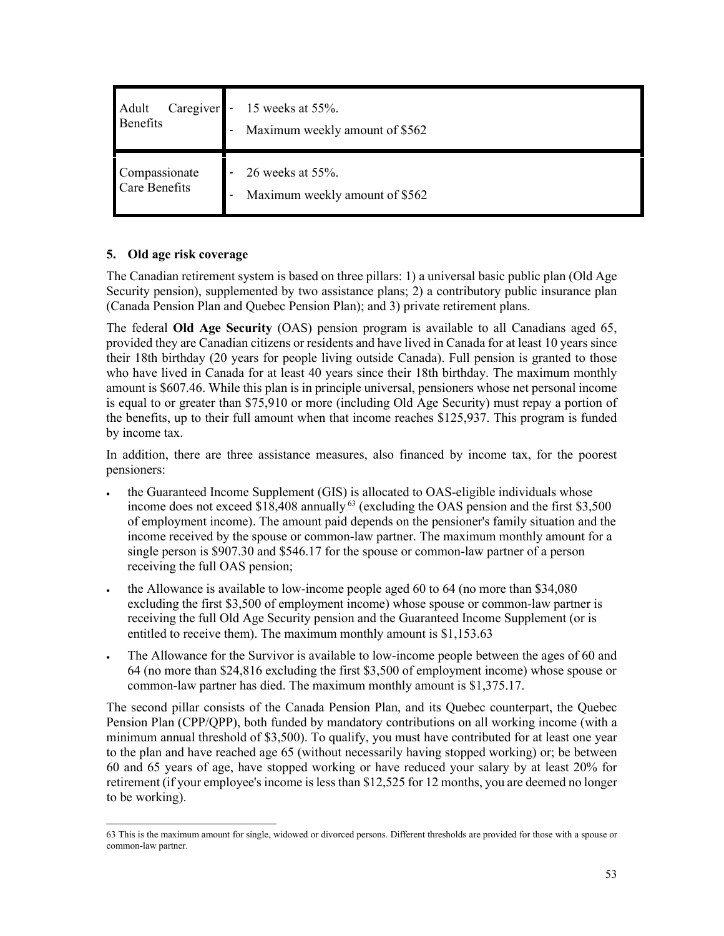| Caregiver            | 15 weeks at $55%$ .            |
|----------------------|--------------------------------|
| Adult                | $\sim$                         |
| Benefits             | Maximum weekly amount of \$562 |
| Compassionate        | 26 weeks at 55%.               |
| <b>Care Benefits</b> | Maximum weekly amount of \$562 |

## **5. Old age risk coverage**

The Canadian retirement system is based on three pillars: 1) a universal basic public plan (Old Age Security pension), supplemented by two assistance plans; 2) a contributory public insurance plan (Canada Pension Plan and Quebec Pension Plan); and 3) private retirement plans.

The federal **Old Age Security** (OAS) pension program is available to all Canadians aged 65, provided they are Canadian citizens or residents and have lived in Canada for at least 10 years since their 18th birthday (20 years for people living outside Canada). Full pension is granted to those who have lived in Canada for at least 40 years since their 18th birthday. The maximum monthly amount is \$607.46. While this plan is in principle universal, pensioners whose net personal income is equal to or greater than \$75,910 or more (including Old Age Security) must repay a portion of the benefits, up to their full amount when that income reaches \$125,937. This program is funded by income tax.

In addition, there are three assistance measures, also financed by income tax, for the poorest pensioners:

- the Guaranteed Income Supplement (GIS) is allocated to OAS-eligible individuals whose income does not exceed \$18,408 annually.<sup>63</sup> (excluding the OAS pension and the first \$3,500 of employment income). The amount paid depends on the pensioner's family situation and the income received by the spouse or common-law partner. The maximum monthly amount for a single person is \$907.30 and \$546.17 for the spouse or common-law partner of a person receiving the full OAS pension;
- the Allowance is available to low-income people aged 60 to 64 (no more than \$34,080 excluding the first \$3,500 of employment income) whose spouse or common-law partner is receiving the full Old Age Security pension and the Guaranteed Income Supplement (or is entitled to receive them). The maximum monthly amount is \$1,153.63
- The Allowance for the Survivor is available to low-income people between the ages of 60 and 64 (no more than \$24,816 excluding the first \$3,500 of employment income) whose spouse or common-law partner has died. The maximum monthly amount is \$1,375.17.

The second pillar consists of the Canada Pension Plan, and its Quebec counterpart, the Quebec Pension Plan (CPP/QPP), both funded by mandatory contributions on all working income (with a minimum annual threshold of \$3,500). To qualify, you must have contributed for at least one year to the plan and have reached age 65 (without necessarily having stopped working) or; be between 60 and 65 years of age, have stopped working or have reduced your salary by at least 20% for retirement (if your employee's income is lessthan \$12,525 for 12 months, you are deemed no longer to be working).

<sup>63</sup> This is the maximum amount for single, widowed or divorced persons. Different thresholds are provided for those with a spouse or common-law partner.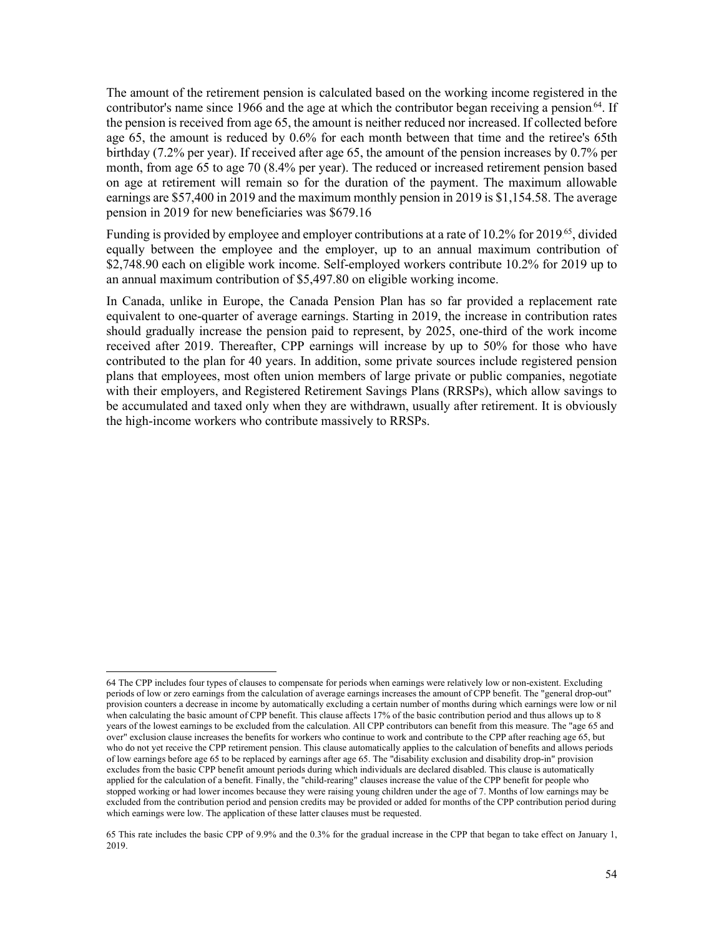The amount of the retirement pension is calculated based on the working income registered in the contributor's name since 1966 and the age at which the contributor began receiving a pension<sup>64</sup>. If the pension is received from age 65, the amount is neither reduced nor increased. If collected before age 65, the amount is reduced by 0.6% for each month between that time and the retiree's 65th birthday (7.2% per year). If received after age 65, the amount of the pension increases by 0.7% per month, from age 65 to age 70 (8.4% per year). The reduced or increased retirement pension based on age at retirement will remain so for the duration of the payment. The maximum allowable earnings are \$57,400 in 2019 and the maximum monthly pension in 2019 is \$1,154.58. The average pension in 2019 for new beneficiaries was \$679.16

Funding is provided by employee and employer contributions at a rate of 10.2% for 2019.<sup>65</sup>, divided equally between the employee and the employer, up to an annual maximum contribution of \$2,748.90 each on eligible work income. Self-employed workers contribute 10.2% for 2019 up to an annual maximum contribution of \$5,497.80 on eligible working income.

In Canada, unlike in Europe, the Canada Pension Plan has so far provided a replacement rate equivalent to one-quarter of average earnings. Starting in 2019, the increase in contribution rates should gradually increase the pension paid to represent, by 2025, one-third of the work income received after 2019. Thereafter, CPP earnings will increase by up to 50% for those who have contributed to the plan for 40 years. In addition, some private sources include registered pension plans that employees, most often union members of large private or public companies, negotiate with their employers, and Registered Retirement Savings Plans (RRSPs), which allow savings to be accumulated and taxed only when they are withdrawn, usually after retirement. It is obviously the high-income workers who contribute massively to RRSPs.

<sup>64</sup> The CPP includes four types of clauses to compensate for periods when earnings were relatively low or non-existent. Excluding periods of low or zero earnings from the calculation of average earnings increases the amount of CPP benefit. The "general drop-out" provision counters a decrease in income by automatically excluding a certain number of months during which earnings were low or nil when calculating the basic amount of CPP benefit. This clause affects 17% of the basic contribution period and thus allows up to 8 years of the lowest earnings to be excluded from the calculation. All CPP contributors can benefit from this measure. The "age 65 and over" exclusion clause increases the benefits for workers who continue to work and contribute to the CPP after reaching age 65, but who do not yet receive the CPP retirement pension. This clause automatically applies to the calculation of benefits and allows periods of low earnings before age 65 to be replaced by earnings after age 65. The "disability exclusion and disability drop-in" provision excludes from the basic CPP benefit amount periods during which individuals are declared disabled. This clause is automatically applied for the calculation of a benefit. Finally, the "child-rearing" clauses increase the value of the CPP benefit for people who stopped working or had lower incomes because they were raising young children under the age of 7. Months of low earnings may be excluded from the contribution period and pension credits may be provided or added for months of the CPP contribution period during which earnings were low. The application of these latter clauses must be requested.

<sup>65</sup> This rate includes the basic CPP of 9.9% and the 0.3% for the gradual increase in the CPP that began to take effect on January 1, 2019.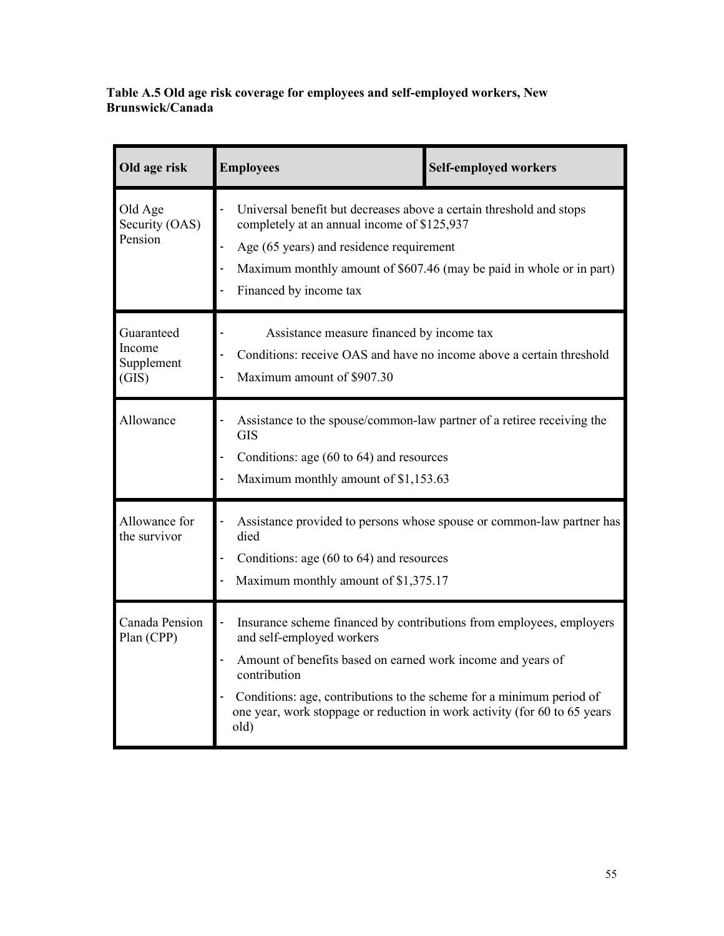**Table A.5 Old age risk coverage for employees and self-employed workers, New Brunswick/Canada**

| Old age risk                                | <b>Employees</b>                                                                                                                                                                                                                                                      | <b>Self-employed workers</b>                                                                                                                                                                                                           |  |
|---------------------------------------------|-----------------------------------------------------------------------------------------------------------------------------------------------------------------------------------------------------------------------------------------------------------------------|----------------------------------------------------------------------------------------------------------------------------------------------------------------------------------------------------------------------------------------|--|
| Old Age<br>Security (OAS)<br>Pension        | Financed by income tax                                                                                                                                                                                                                                                | Universal benefit but decreases above a certain threshold and stops<br>completely at an annual income of \$125,937<br>Age (65 years) and residence requirement<br>Maximum monthly amount of \$607.46 (may be paid in whole or in part) |  |
| Guaranteed<br>Income<br>Supplement<br>(GIS) | Assistance measure financed by income tax<br>Conditions: receive OAS and have no income above a certain threshold<br>Maximum amount of \$907.30                                                                                                                       |                                                                                                                                                                                                                                        |  |
| Allowance                                   | Assistance to the spouse/common-law partner of a retiree receiving the<br>GIS<br>Conditions: age $(60 \text{ to } 64)$ and resources<br>Maximum monthly amount of \$1,153.63                                                                                          |                                                                                                                                                                                                                                        |  |
| Allowance for<br>the survivor               | died<br>Conditions: age (60 to 64) and resources<br>Maximum monthly amount of \$1,375.17                                                                                                                                                                              | Assistance provided to persons whose spouse or common-law partner has                                                                                                                                                                  |  |
| Canada Pension<br>Plan (CPP)                | and self-employed workers<br>Amount of benefits based on earned work income and years of<br>contribution<br>Conditions: age, contributions to the scheme for a minimum period of<br>one year, work stoppage or reduction in work activity (for 60 to 65 years<br>old) | Insurance scheme financed by contributions from employees, employers                                                                                                                                                                   |  |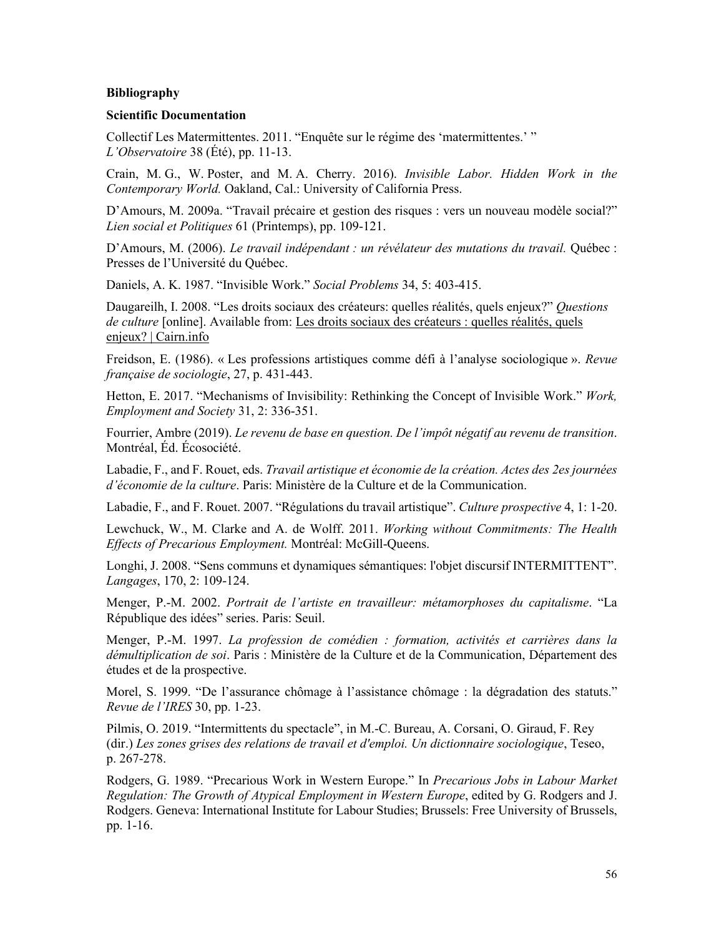#### <span id="page-58-0"></span>**Bibliography**

#### <span id="page-58-1"></span>**Scientific Documentation**

Collectif Les Matermittentes. 2011. "Enquête sur le régime des 'matermittentes.' " *L'Observatoire* 38 (Été), pp. 11-13.

Crain, M. G., W. Poster, and M. A. Cherry. 2016). *Invisible Labor. Hidden Work in the Contemporary World.* Oakland, Cal.: University of California Press.

D'Amours, M. 2009a. "Travail précaire et gestion des risques : vers un nouveau modèle social?" *Lien social et Politiques* 61 (Printemps), pp. 109-121.

D'Amours, M. (2006). *Le travail indépendant : un révélateur des mutations du travail.* Québec : Presses de l'Université du Québec.

Daniels, A. K. 1987. "Invisible Work." *Social Problems* 34, 5: 403-415.

Daugareilh, I. 2008. "Les droits sociaux des créateurs: quelles réalités, quels enjeux?" *Questions de culture* [online]. Available from: Les droits sociaux des [créateurs](https://www.cairn.info/travail-artistique-et-economie-de-la-creation--9782110975379-page-87.htm) : quelles réalités, quels enjeux? | [Cairn.info](https://www.cairn.info/travail-artistique-et-economie-de-la-creation--9782110975379-page-87.htm)

Freidson, E. (1986). « Les professions artistiques comme défi à l'analyse sociologique ». *Revue française de sociologie*, 27, p. 431-443.

Hetton, E. 2017. "Mechanisms of Invisibility: Rethinking the Concept of Invisible Work." *Work, Employment and Society* 31, 2: 336-351.

Fourrier, Ambre (2019). *Le revenu de base en question. De l'impôt négatif au revenu de transition*. Montréal, Éd. Écosociété.

Labadie, F., and F. Rouet, eds. *Travail artistique et économie de la création. Actes des 2es journées d'économie de la culture*. Paris: Ministère de la Culture et de la Communication.

Labadie, F., and F. Rouet. 2007. "Régulations du travail artistique". *Culture prospective* 4, 1: 1-20.

Lewchuck, W., M. Clarke and A. de Wolff. 2011. *Working without Commitments: The Health Effects of Precarious Employment.* Montréal: McGill-Queens.

Longhi, J. 2008. "Sens communs et dynamiques sémantiques: l'objet discursif INTERMITTENT". *Langages*, 170, 2: 109-124.

Menger, P.-M. 2002. *Portrait de l'artiste en travailleur: métamorphoses du capitalisme*. "La République des idées" series. Paris: Seuil.

Menger, P.-M. 1997. *La profession de comédien : formation, activités et carrières dans la démultiplication de soi*. Paris : Ministère de la Culture et de la Communication, Département des études et de la prospective.

Morel, S. 1999. "De l'assurance chômage à l'assistance chômage : la dégradation des statuts." *Revue de l'IRES* 30, pp. 1-23.

Pilmis, O. 2019. "Intermittents du spectacle", in M.-C. Bureau, A. Corsani, O. Giraud, F. Rey (dir.) *Les zones grises des relations de travail et d'emploi. Un dictionnaire sociologique*, Teseo, p. 267-278.

Rodgers, G. 1989. "Precarious Work in Western Europe." In *Precarious Jobs in Labour Market Regulation: The Growth of Atypical Employment in Western Europe*, edited by G. Rodgers and J. Rodgers. Geneva: International Institute for Labour Studies; Brussels: Free University of Brussels, pp. 1-16.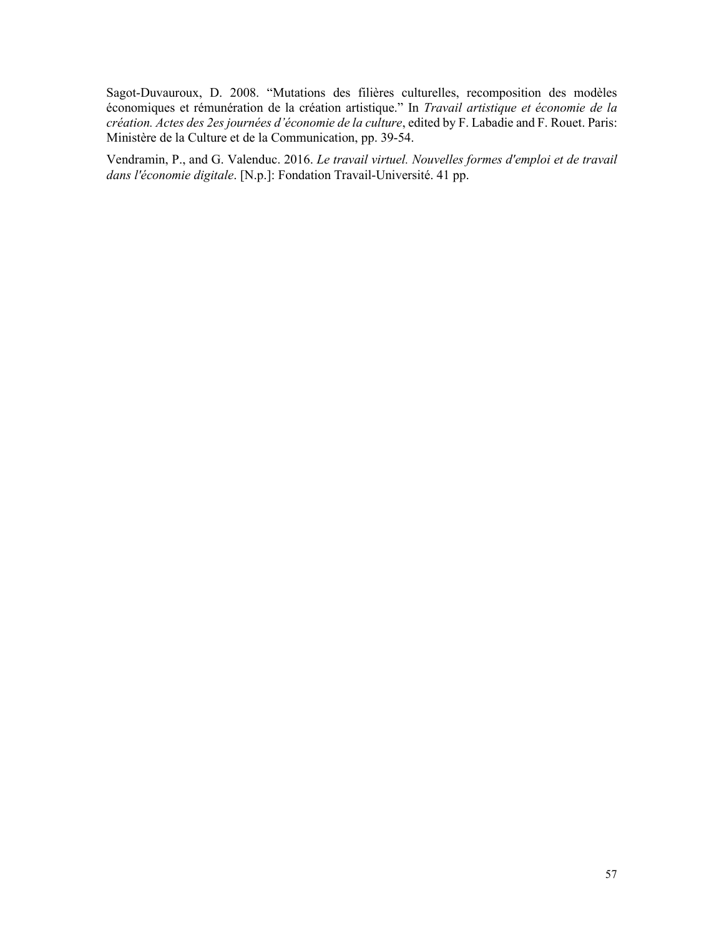Sagot-Duvauroux, D. 2008. "Mutations des filières culturelles, recomposition des modèles économiques et rémunération de la création artistique." In *Travail artistique et économie de la création. Actes des 2es journées d'économie de la culture*, edited by F. Labadie and F. Rouet. Paris: Ministère de la Culture et de la Communication, pp. 39-54.

Vendramin, P., and G. Valenduc. 2016. *Le travail virtuel. Nouvelles formes d'emploi et de travail dans l'économie digitale*. [N.p.]: Fondation Travail-Université. 41 pp.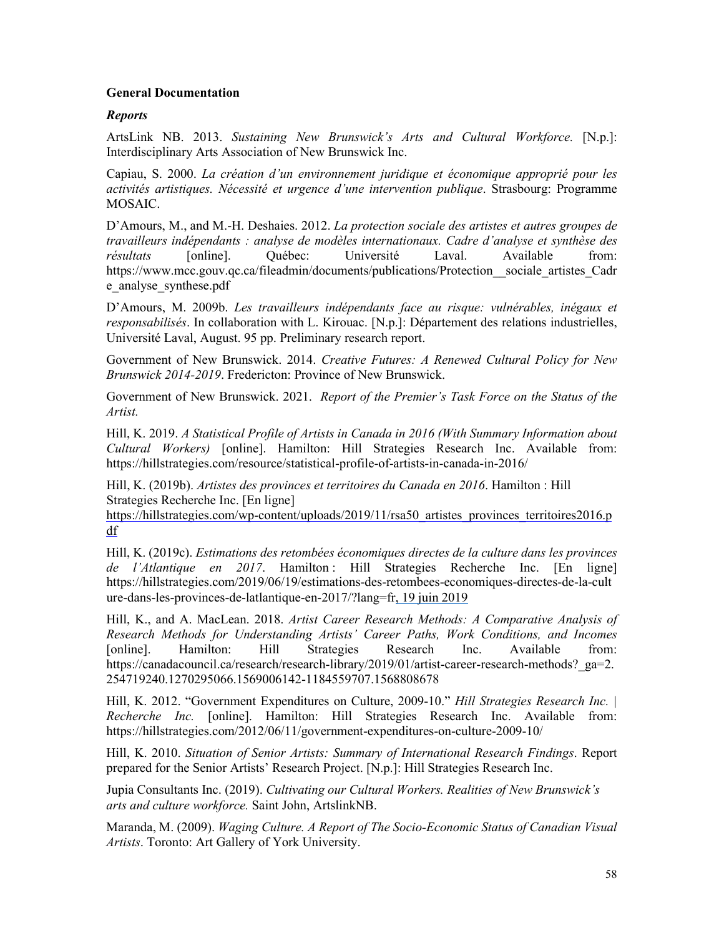#### <span id="page-60-0"></span>**General Documentation**

#### <span id="page-60-1"></span>*Reports*

ArtsLink NB. 2013. *Sustaining New Brunswick's Arts and Cultural Workforce.* [N.p.]: Interdisciplinary Arts Association of New Brunswick Inc.

Capiau, S. 2000. *La création d'un environnement juridique et économique approprié pour les activités artistiques. Nécessité et urgence d'une intervention publique*. Strasbourg: Programme MOSAIC.

D'Amours, M., and M.-H. Deshaies. 2012. *La protection sociale des artistes et autres groupes de travailleurs indépendants : analyse de modèles internationaux. Cadre d'analyse et synthèse des résultats* [online]. Québec: Université Laval. Available from: https://www.mcc.gouv.qc.ca/fileadmin/documents/publications/Protection sociale artistes Cadr [e\\_analyse\\_synthese.pdf](https://www.mcc.gouv.qc.ca/fileadmin/documents/publications/Protection__sociale_artistes_Cadre_analyse_synthese.pdf)

D'Amours, M. 2009b. *Les travailleurs indépendants face au risque: vulnérables, inégaux et responsabilisés*. In collaboration with L. Kirouac. [N.p.]: Département des relations industrielles, Université Laval, August. 95 pp. Preliminary research report.

Government of New Brunswick. 2014. *Creative Futures: A Renewed Cultural Policy for New Brunswick 2014-2019*. Fredericton: Province of New Brunswick.

Government of New Brunswick. 2021. *Report of the Premier's Task Force on the Status of the Artist.*

Hill, K. 2019. *A Statistical Profile of Artists in Canada in 2016 (With Summary Information about Cultural Workers)* [online]. Hamilton: Hill Strategies Research Inc. Available from: <https://hillstrategies.com/resource/statistical-profile-of-artists-in-canada-in-2016/>

Hill, K. (2019b). *Artistes des provinces et territoires du Canada en 2016*. Hamilton : Hill Strategies Recherche Inc. [En ligne]

https://hillstrategies.com/wp-content/uploads/2019/11/rsa50 artistes provinces territoires2016.p [df](https://hillstrategies.com/wp-content/uploads/2019/11/rsa50_artistes_provinces_territoires2016.pdf)

Hill, K. (2019c). *Estimations des retombées économiques directes de la culture dans les provinces de l'Atlantique en 2017*. Hamilton : Hill Strategies Recherche Inc. [En ligne] [https://hillstrategies.com/2019/06/19/estimations-des-retombees-economiques-directes-de-la-cult](https://hillstrategies.com/2019/06/19/estimations-des-retombees-economiques-directes-de-la-culture-dans-les-provinces-de-latlantique-en-2017/?lang=fr) [ure-dans-les-provinces-de-latlantique-en-2017/?lang=fr,](https://hillstrategies.com/2019/06/19/estimations-des-retombees-economiques-directes-de-la-culture-dans-les-provinces-de-latlantique-en-2017/?lang=fr) 19 juin 2019

Hill, K., and A. MacLean. 2018. *Artist Career Research Methods: A Comparative Analysis of Research Methods for Understanding Artists' Career Paths, Work Conditions, and Incomes* [online]. Hamilton: Hill Strategies Research Inc. Available from: https://canadacouncil.ca/research/research-library/2019/01/artist-career-research-methods? ga=2. [254719240.1270295066.1569006142-1184559707.1568808678](https://canadacouncil.ca/research/research-library/2019/01/artist-career-research-methods?_ga=2.254719240.1270295066.1569006142-1184559707.1568808678)

Hill, K. 2012. "Government Expenditures on Culture, 2009-10." *Hill Strategies Research Inc. | Recherche Inc.* [online]. Hamilton: Hill Strategies Research Inc. Available from: <https://hillstrategies.com/2012/06/11/government-expenditures-on-culture-2009-10/>

Hill, K. 2010. *Situation of Senior Artists: Summary of International Research Findings*. Report prepared for the Senior Artists' Research Project. [N.p.]: Hill Strategies Research Inc.

Jupia Consultants Inc. (2019). *Cultivating our Cultural Workers. Realities of New Brunswick's arts and culture workforce.* Saint John, ArtslinkNB.

Maranda, M. (2009). *Waging Culture. A Report of The Socio-Economic Status of Canadian Visual Artists*. Toronto: Art Gallery of York University.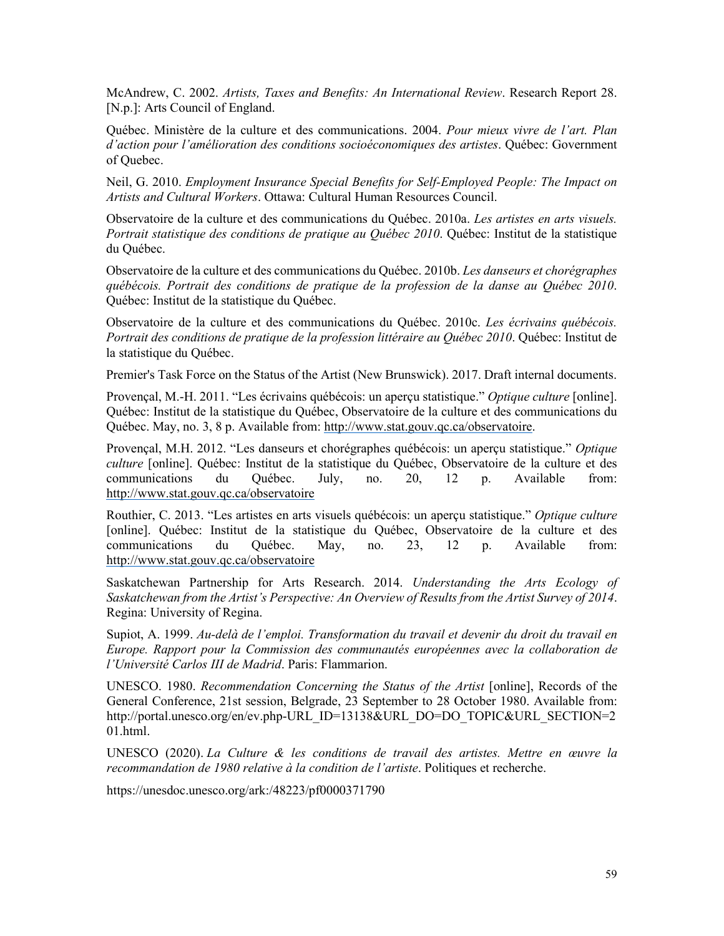McAndrew, C. 2002. *Artists, Taxes and Benefits: An International Review*. Research Report 28. [N.p.]: Arts Council of England.

Québec. Ministère de la culture et des communications. 2004. *Pour mieux vivre de l'art. Plan d'action pour l'amélioration des conditions socioéconomiques des artistes*. Québec: Government of Quebec.

Neil, G. 2010. *Employment Insurance Special Benefits for Self-Employed People: The Impact on Artists and Cultural Workers*. Ottawa: Cultural Human Resources Council.

Observatoire de la culture et des communications du Québec. 2010a. *Les artistes en arts visuels. Portrait statistique des conditions de pratique au Québec 2010*. Québec: Institut de la statistique du Québec.

Observatoire de la culture et des communications du Québec. 2010b. *Les danseurs et chorégraphes québécois. Portrait des conditions de pratique de la profession de la danse au Québec 2010*. Québec: Institut de la statistique du Québec.

Observatoire de la culture et des communications du Québec. 2010c. *Les écrivains québécois. Portrait des conditions de pratique de la profession littéraire au Québec 2010*. Québec: Institut de la statistique du Québec.

Premier's Task Force on the Status of the Artist (New Brunswick). 2017. Draft internal documents.

Provençal, M.-H. 2011. "Les écrivains québécois: un aperçu statistique." *Optique culture* [online]. Québec: Institut de la statistique du Québec, Observatoire de la culture et des communications du Québec. May, no. 3, 8 p. Available from: [http://www.stat.gouv.qc.ca/observatoire.](http://www.stat.gouv.qc.ca/observatoire)

Provençal, M.H. 2012. "Les danseurs et chorégraphes québécois: un aperçu statistique." *Optique culture* [online]. Québec: Institut de la statistique du Québec, Observatoire de la culture et des communications du Québec. July, no. 20, 12 p. Available from: <http://www.stat.gouv.qc.ca/observatoire>

Routhier, C. 2013. "Les artistes en arts visuels québécois: un aperçu statistique." *Optique culture* [online]. Québec: Institut de la statistique du Québec, Observatoire de la culture et des communications du Québec. May, no. 23, 12 p. Available from: <http://www.stat.gouv.qc.ca/observatoire>

Saskatchewan Partnership for Arts Research. 2014. *Understanding the Arts Ecology of Saskatchewan from the Artist's Perspective: An Overview of Results from the Artist Survey of 2014*. Regina: University of Regina.

Supiot, A. 1999. *Au-delà de l'emploi. Transformation du travail et devenir du droit du travail en Europe. Rapport pour la Commission des communautés européennes avec la collaboration de l'Université Carlos III de Madrid*. Paris: Flammarion.

UNESCO. 1980. *Recommendation Concerning the Status of the Artist* [online], Records of the General Conference, 21st session, Belgrade, 23 September to 28 October 1980. Available from: [http://portal.unesco.org/en/ev.php-URL\\_ID=13138&URL\\_DO=DO\\_TOPIC&URL\\_SECTION=2](http://portal.unesco.org/en/ev.php-URL_ID=13138&URL_DO=DO_TOPIC&URL_SECTION=201.html) [01.html.](http://portal.unesco.org/en/ev.php-URL_ID=13138&URL_DO=DO_TOPIC&URL_SECTION=201.html)

UNESCO (2020). *La Culture & les conditions de travail des artistes. Mettre en œuvre la recommandation de 1980 relative à la condition de l'artiste*. Politiques et recherche.

<https://unesdoc.unesco.org/ark:/48223/pf0000371790>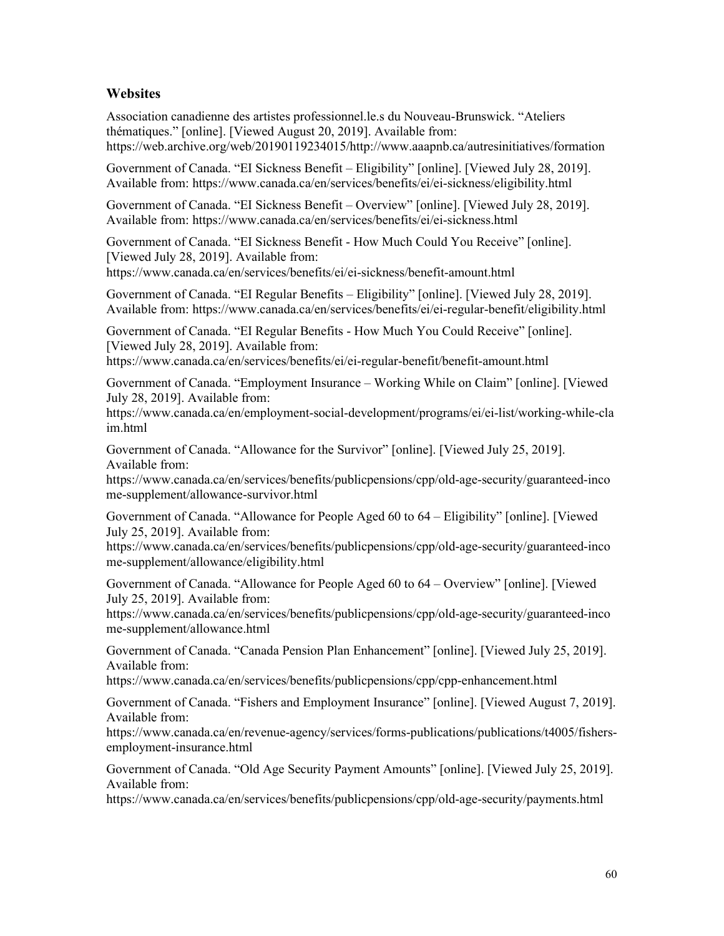## <span id="page-62-0"></span>**Websites**

Association canadienne des artistes professionnel.le.s du Nouveau-Brunswick. "Ateliers thématiques." [online]. [Viewed August 20, 2019]. Available from: [https://web.archive.org/web/20190119234015/http://www.aaapnb.ca/autresinitiatives/formation](https://web.archive.org/web/20190119234015/http:/www.aaapnb.ca/autresinitiatives/formation)

Government of Canada. "EI Sickness Benefit – Eligibility" [online]. [Viewed July 28, 2019]. Available from: <https://www.canada.ca/en/services/benefits/ei/ei-sickness/eligibility.html>

Government of Canada. "EI Sickness Benefit – Overview" [online]. [Viewed July 28, 2019]. Available from: <https://www.canada.ca/en/services/benefits/ei/ei-sickness.html>

Government of Canada. "EI Sickness Benefit - How Much Could You Receive" [online]. [Viewed July 28, 2019]. Available from:

<https://www.canada.ca/en/services/benefits/ei/ei-sickness/benefit-amount.html>

Government of Canada. "EI Regular Benefits – Eligibility" [online]. [Viewed July 28, 2019]. Available from: <https://www.canada.ca/en/services/benefits/ei/ei-regular-benefit/eligibility.html>

Government of Canada. "EI Regular Benefits - How Much You Could Receive" [online]. [Viewed July 28, 2019]. Available from:

<https://www.canada.ca/en/services/benefits/ei/ei-regular-benefit/benefit-amount.html>

Government of Canada. "Employment Insurance – Working While on Claim" [online]. [Viewed July 28, 2019]. Available from:

[https://www.canada.ca/en/employment-social-development/programs/ei/ei-list/working-while-cla](https://www.canada.ca/en/employment-social-development/programs/ei/ei-list/working-while-claim.html) [im.html](https://www.canada.ca/en/employment-social-development/programs/ei/ei-list/working-while-claim.html)

Government of Canada. "Allowance for the Survivor" [online]. [Viewed July 25, 2019]. Available from:

[https://www.canada.ca/en/services/benefits/publicpensions/cpp/old-age-security/guaranteed-inco](https://www.canada.ca/en/services/benefits/publicpensions/cpp/old-age-security/guaranteed-income-supplement/allowance-survivor.html) [me-supplement/allowance-survivor.html](https://www.canada.ca/en/services/benefits/publicpensions/cpp/old-age-security/guaranteed-income-supplement/allowance-survivor.html)

Government of Canada. "Allowance for People Aged 60 to 64 – Eligibility" [online]. [Viewed July 25, 2019]. Available from:

[https://www.canada.ca/en/services/benefits/publicpensions/cpp/old-age-security/guaranteed-inco](https://www.canada.ca/en/services/benefits/publicpensions/cpp/old-age-security/guaranteed-income-supplement/allowance/eligibility.html) [me-supplement/allowance/eligibility.html](https://www.canada.ca/en/services/benefits/publicpensions/cpp/old-age-security/guaranteed-income-supplement/allowance/eligibility.html)

Government of Canada. "Allowance for People Aged 60 to 64 – Overview" [online]. [Viewed July 25, 2019]. Available from:

[https://www.canada.ca/en/services/benefits/publicpensions/cpp/old-age-security/guaranteed-inco](https://www.canada.ca/en/services/benefits/publicpensions/cpp/old-age-security/guaranteed-income-supplement/allowance.html) [me-supplement/allowance.html](https://www.canada.ca/en/services/benefits/publicpensions/cpp/old-age-security/guaranteed-income-supplement/allowance.html)

Government of Canada. "Canada Pension Plan Enhancement" [online]. [Viewed July 25, 2019]. Available from:

<https://www.canada.ca/en/services/benefits/publicpensions/cpp/cpp-enhancement.html>

Government of Canada. "Fishers and Employment Insurance" [online]. [Viewed August 7, 2019]. Available from:

[https://www.canada.ca/en/revenue-agency/services/forms-publications/publications/t4005/fishers](https://www.canada.ca/en/revenue-agency/services/forms-publications/publications/t4005/fishers-employment-insurance.html)[employment-insurance.html](https://www.canada.ca/en/revenue-agency/services/forms-publications/publications/t4005/fishers-employment-insurance.html)

Government of Canada. "Old Age Security Payment Amounts" [online]. [Viewed July 25, 2019]. Available from:

<https://www.canada.ca/en/services/benefits/publicpensions/cpp/old-age-security/payments.html>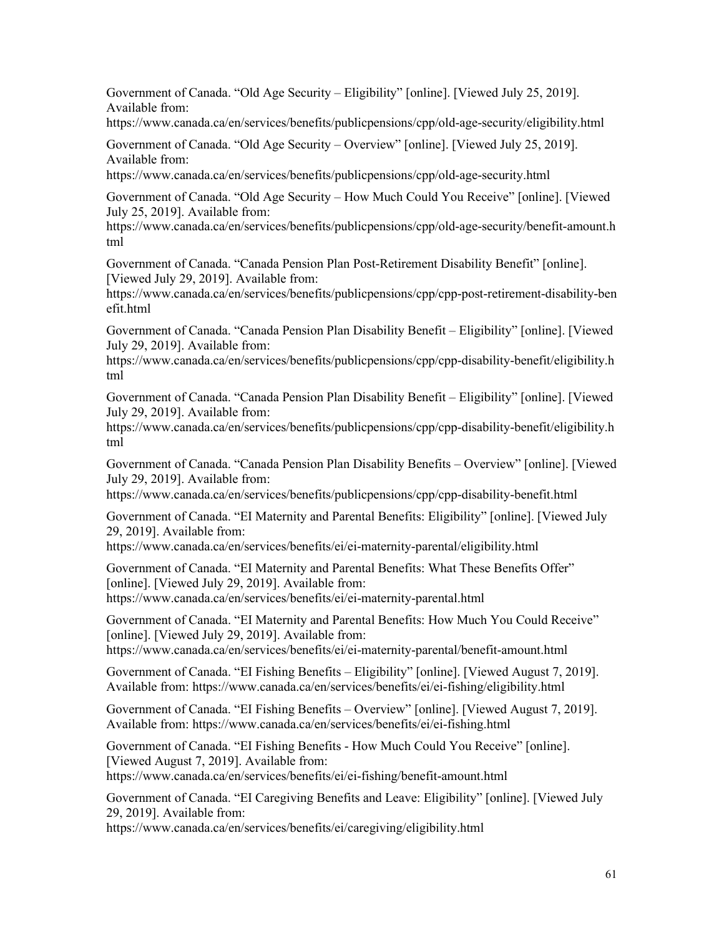Government of Canada. "Old Age Security – Eligibility" [online]. [Viewed July 25, 2019]. Available from:

<https://www.canada.ca/en/services/benefits/publicpensions/cpp/old-age-security/eligibility.html>

Government of Canada. "Old Age Security – Overview" [online]. [Viewed July 25, 2019]. Available from:

<https://www.canada.ca/en/services/benefits/publicpensions/cpp/old-age-security.html>

Government of Canada. "Old Age Security – How Much Could You Receive" [online]. [Viewed July 25, 2019]. Available from:

[https://www.canada.ca/en/services/benefits/publicpensions/cpp/old-age-security/benefit-amount.h](https://www.canada.ca/en/services/benefits/publicpensions/cpp/old-age-security/benefit-amount.html) [tml](https://www.canada.ca/en/services/benefits/publicpensions/cpp/old-age-security/benefit-amount.html)

Government of Canada. "Canada Pension Plan Post-Retirement Disability Benefit" [online]. [Viewed July 29, 2019]. Available from:

[https://www.canada.ca/en/services/benefits/publicpensions/cpp/cpp-post-retirement-disability-ben](https://www.canada.ca/en/services/benefits/publicpensions/cpp/cpp-post-retirement-disability-benefit.html) [efit.html](https://www.canada.ca/en/services/benefits/publicpensions/cpp/cpp-post-retirement-disability-benefit.html)

Government of Canada. "Canada Pension Plan Disability Benefit – Eligibility" [online]. [Viewed July 29, 2019]. Available from:

[https://www.canada.ca/en/services/benefits/publicpensions/cpp/cpp-disability-benefit/eligibility.h](https://www.canada.ca/en/services/benefits/publicpensions/cpp/cpp-disability-benefit/eligibility.html) [tml](https://www.canada.ca/en/services/benefits/publicpensions/cpp/cpp-disability-benefit/eligibility.html)

Government of Canada. "Canada Pension Plan Disability Benefit – Eligibility" [online]. [Viewed July 29, 2019]. Available from:

[https://www.canada.ca/en/services/benefits/publicpensions/cpp/cpp-disability-benefit/eligibility.h](https://www.canada.ca/en/services/benefits/publicpensions/cpp/cpp-disability-benefit/eligibility.html) [tml](https://www.canada.ca/en/services/benefits/publicpensions/cpp/cpp-disability-benefit/eligibility.html)

Government of Canada. "Canada Pension Plan Disability Benefits – Overview" [online]. [Viewed July 29, 2019]. Available from:

<https://www.canada.ca/en/services/benefits/publicpensions/cpp/cpp-disability-benefit.html>

Government of Canada. "EI Maternity and Parental Benefits: Eligibility" [online]. [Viewed July 29, 2019]. Available from:

<https://www.canada.ca/en/services/benefits/ei/ei-maternity-parental/eligibility.html>

Government of Canada. "EI Maternity and Parental Benefits: What These Benefits Offer" [online]. [Viewed July 29, 2019]. Available from: <https://www.canada.ca/en/services/benefits/ei/ei-maternity-parental.html>

Government of Canada. "EI Maternity and Parental Benefits: How Much You Could Receive" [online]. [Viewed July 29, 2019]. Available from:

<https://www.canada.ca/en/services/benefits/ei/ei-maternity-parental/benefit-amount.html>

Government of Canada. "EI Fishing Benefits – Eligibility" [online]. [Viewed August 7, 2019]. Available from: <https://www.canada.ca/en/services/benefits/ei/ei-fishing/eligibility.html>

Government of Canada. "EI Fishing Benefits – Overview" [online]. [Viewed August 7, 2019]. Available from: <https://www.canada.ca/en/services/benefits/ei/ei-fishing.html>

Government of Canada. "EI Fishing Benefits - How Much Could You Receive" [online]. [Viewed August 7, 2019]. Available from:

<https://www.canada.ca/en/services/benefits/ei/ei-fishing/benefit-amount.html>

Government of Canada. "EI Caregiving Benefits and Leave: Eligibility" [online]. [Viewed July 29, 2019]. Available from:

<https://www.canada.ca/en/services/benefits/ei/caregiving/eligibility.html>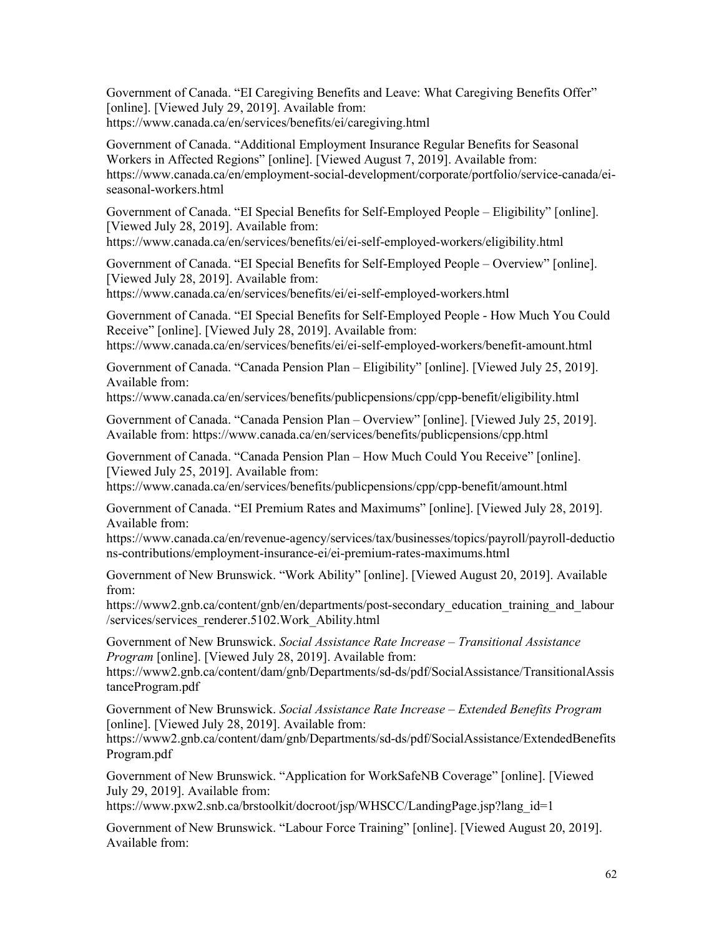Government of Canada. "EI Caregiving Benefits and Leave: What Caregiving Benefits Offer" [online]. [Viewed July 29, 2019]. Available from: <https://www.canada.ca/en/services/benefits/ei/caregiving.html>

Government of Canada. "Additional Employment Insurance Regular Benefits for Seasonal Workers in Affected Regions" [online]. [Viewed August 7, 2019]. Available from: [https://www.canada.ca/en/employment-social-development/corporate/portfolio/service-canada/ei](https://www.canada.ca/en/employment-social-development/corporate/portfolio/service-canada/ei-seasonal-workers.html)[seasonal-workers.html](https://www.canada.ca/en/employment-social-development/corporate/portfolio/service-canada/ei-seasonal-workers.html)

Government of Canada. "EI Special Benefits for Self-Employed People – Eligibility" [online]. [Viewed July 28, 2019]. Available from:

<https://www.canada.ca/en/services/benefits/ei/ei-self-employed-workers/eligibility.html>

Government of Canada. "EI Special Benefits for Self-Employed People – Overview" [online]. [Viewed July 28, 2019]. Available from:

<https://www.canada.ca/en/services/benefits/ei/ei-self-employed-workers.html>

Government of Canada. "EI Special Benefits for Self-Employed People - How Much You Could Receive" [online]. [Viewed July 28, 2019]. Available from:

<https://www.canada.ca/en/services/benefits/ei/ei-self-employed-workers/benefit-amount.html>

Government of Canada. "Canada Pension Plan – Eligibility" [online]. [Viewed July 25, 2019]. Available from:

<https://www.canada.ca/en/services/benefits/publicpensions/cpp/cpp-benefit/eligibility.html>

Government of Canada. "Canada Pension Plan – Overview" [online]. [Viewed July 25, 2019]. Available from: <https://www.canada.ca/en/services/benefits/publicpensions/cpp.html>

Government of Canada. "Canada Pension Plan – How Much Could You Receive" [online]. [Viewed July 25, 2019]. Available from:

<https://www.canada.ca/en/services/benefits/publicpensions/cpp/cpp-benefit/amount.html>

Government of Canada. "EI Premium Rates and Maximums" [online]. [Viewed July 28, 2019]. Available from:

[https://www.canada.ca/en/revenue-agency/services/tax/businesses/topics/payroll/payroll-deductio](https://www.canada.ca/en/revenue-agency/services/tax/businesses/topics/payroll/payroll-deductions-contributions/employment-insurance-ei/ei-premium-rates-maximums.html) [ns-contributions/employment-insurance-ei/ei-premium-rates-maximums.html](https://www.canada.ca/en/revenue-agency/services/tax/businesses/topics/payroll/payroll-deductions-contributions/employment-insurance-ei/ei-premium-rates-maximums.html)

Government of New Brunswick. "Work Ability" [online]. [Viewed August 20, 2019]. Available from:

https://www2.gnb.ca/content/gnb/en/departments/post-secondary education training and labour [/services/services\\_renderer.5102.Work\\_Ability.html](https://www2.gnb.ca/content/gnb/en/departments/post-secondary_education_training_and_labour/services/services_renderer.5102.Work_Ability.html)

Government of New Brunswick. *Social Assistance Rate Increase – Transitional Assistance Program* [online]. [Viewed July 28, 2019]. Available from:

[https://www2.gnb.ca/content/dam/gnb/Departments/sd-ds/pdf/SocialAssistance/TransitionalAssis](https://www2.gnb.ca/content/dam/gnb/Departments/sd-ds/pdf/SocialAssistance/TransitionalAssistanceProgram.pdf) [tanceProgram.pdf](https://www2.gnb.ca/content/dam/gnb/Departments/sd-ds/pdf/SocialAssistance/TransitionalAssistanceProgram.pdf)

Government of New Brunswick. *Social Assistance Rate Increase – Extended Benefits Program* [online]. [Viewed July 28, 2019]. Available from:

[https://www2.gnb.ca/content/dam/gnb/Departments/sd-ds/pdf/SocialAssistance/ExtendedBenefits](https://www2.gnb.ca/content/dam/gnb/Departments/sd-ds/pdf/SocialAssistance/ExtendedBenefitsProgram.pdf) [Program.pdf](https://www2.gnb.ca/content/dam/gnb/Departments/sd-ds/pdf/SocialAssistance/ExtendedBenefitsProgram.pdf)

Government of New Brunswick. "Application for WorkSafeNB Coverage" [online]. [Viewed July 29, 2019]. Available from:

[https://www.pxw2.snb.ca/brstoolkit/docroot/jsp/WHSCC/LandingPage.jsp?lang\\_id=1](https://www.pxw2.snb.ca/brstoolkit/docroot/jsp/WHSCC/LandingPage.jsp?lang_id=1)

Government of New Brunswick. "Labour Force Training" [online]. [Viewed August 20, 2019]. Available from: